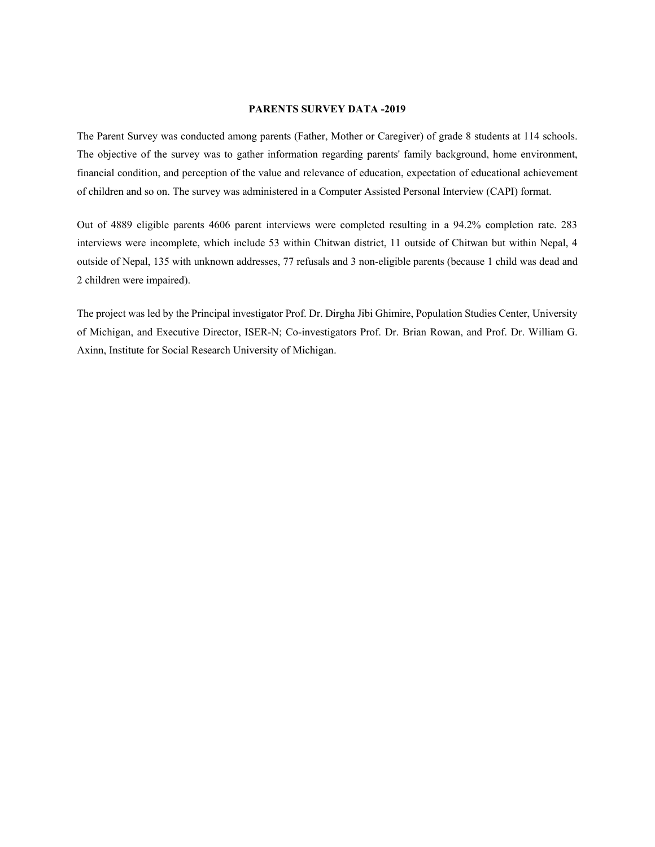#### **PARENTS SURVEY DATA -2019**

The Parent Survey was conducted among parents (Father, Mother or Caregiver) of grade 8 students at 114 schools. The objective of the survey was to gather information regarding parents' family background, home environment, financial condition, and perception of the value and relevance of education, expectation of educational achievement of children and so on. The survey was administered in a Computer Assisted Personal Interview (CAPI) format.

Out of 4889 eligible parents 4606 parent interviews were completed resulting in a 94.2% completion rate. 283 interviews were incomplete, which include 53 within Chitwan district, 11 outside of Chitwan but within Nepal, 4 outside of Nepal, 135 with unknown addresses, 77 refusals and 3 non-eligible parents (because 1 child was dead and 2 children were impaired).

The project was led by the Principal investigator Prof. Dr. Dirgha Jibi Ghimire, Population Studies Center, University of Michigan, and Executive Director, ISER-N; Co-investigators Prof. Dr. Brian Rowan, and Prof. Dr. William G. Axinn, Institute for Social Research University of Michigan.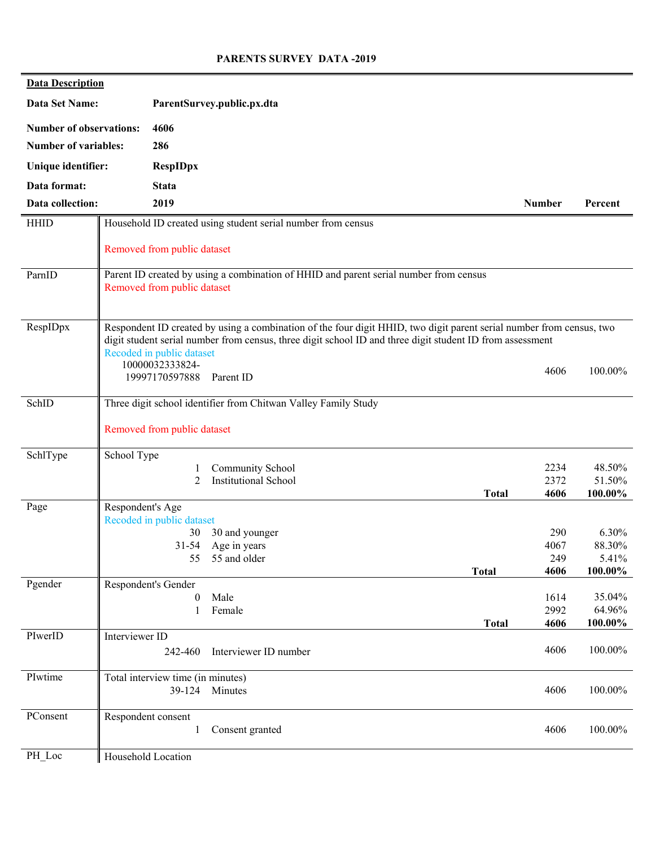#### **PARENTS SURVEY DATA -2019**

| <b>Data Description</b>        |                    |                                              |                                                                                                                      |               |                  |
|--------------------------------|--------------------|----------------------------------------------|----------------------------------------------------------------------------------------------------------------------|---------------|------------------|
| Data Set Name:                 |                    |                                              | ParentSurvey.public.px.dta                                                                                           |               |                  |
| <b>Number of observations:</b> |                    | 4606                                         |                                                                                                                      |               |                  |
| <b>Number of variables:</b>    |                    | 286                                          |                                                                                                                      |               |                  |
| Unique identifier:             |                    | <b>RespIDpx</b>                              |                                                                                                                      |               |                  |
| Data format:                   |                    | <b>Stata</b>                                 |                                                                                                                      |               |                  |
| Data collection:               |                    | 2019                                         |                                                                                                                      | <b>Number</b> | Percent          |
| <b>HHID</b>                    |                    |                                              | Household ID created using student serial number from census                                                         |               |                  |
|                                |                    | Removed from public dataset                  |                                                                                                                      |               |                  |
| ParnID                         |                    |                                              | Parent ID created by using a combination of HHID and parent serial number from census                                |               |                  |
|                                |                    | Removed from public dataset                  |                                                                                                                      |               |                  |
| RespIDpx                       |                    |                                              | Respondent ID created by using a combination of the four digit HHID, two digit parent serial number from census, two |               |                  |
|                                |                    |                                              | digit student serial number from census, three digit school ID and three digit student ID from assessment            |               |                  |
|                                |                    | Recoded in public dataset<br>10000032333824- |                                                                                                                      |               |                  |
|                                |                    | 19997170597888                               | Parent ID                                                                                                            | 4606          | 100.00%          |
| SchID                          |                    |                                              | Three digit school identifier from Chitwan Valley Family Study                                                       |               |                  |
|                                |                    |                                              |                                                                                                                      |               |                  |
|                                |                    | Removed from public dataset                  |                                                                                                                      |               |                  |
| SchlType                       | School Type        |                                              |                                                                                                                      |               |                  |
|                                |                    | $\overline{2}$                               | Community School<br><b>Institutional School</b>                                                                      | 2234<br>2372  | 48.50%<br>51.50% |
|                                |                    |                                              | <b>Total</b>                                                                                                         | 4606          | 100.00%          |
| Page                           | Respondent's Age   |                                              |                                                                                                                      |               |                  |
|                                |                    | Recoded in public dataset                    |                                                                                                                      |               |                  |
|                                |                    | 30                                           | 30 and younger                                                                                                       | 290           | $6.30\%$         |
|                                |                    | $31 - 54$<br>55                              | Age in years<br>55 and older                                                                                         | 4067<br>249   | 88.30%<br>5.41%  |
|                                |                    |                                              | <b>Total</b>                                                                                                         | 4606          | 100.00%          |
| Pgender                        |                    | Respondent's Gender                          |                                                                                                                      |               |                  |
|                                |                    | $\theta$                                     | Male                                                                                                                 | 1614          | 35.04%           |
|                                |                    | 1                                            | Female                                                                                                               | 2992          | 64.96%           |
| PIwerID                        | Interviewer ID     |                                              | <b>Total</b>                                                                                                         | 4606          | 100.00%          |
|                                |                    | 242-460                                      | Interviewer ID number                                                                                                | 4606          | 100.00%          |
|                                |                    |                                              |                                                                                                                      |               |                  |
| PIwtime                        |                    | Total interview time (in minutes)            |                                                                                                                      |               |                  |
|                                |                    |                                              | 39-124 Minutes                                                                                                       | 4606          | 100.00%          |
| PConsent                       | Respondent consent |                                              |                                                                                                                      |               |                  |
|                                |                    | 1                                            | Consent granted                                                                                                      | 4606          | 100.00%          |
| PH Loc                         | Household Location |                                              |                                                                                                                      |               |                  |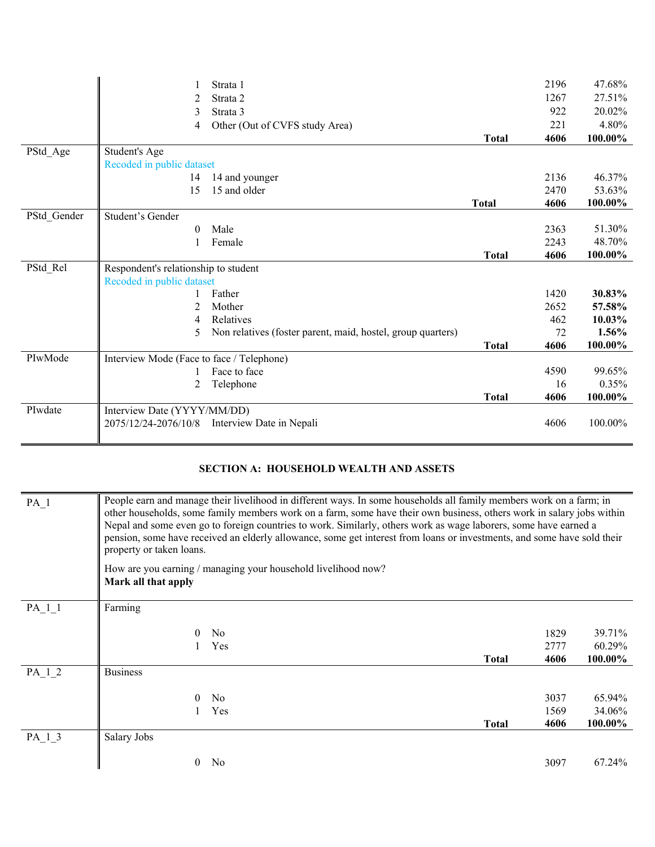|             |                                           | Strata 1                                                    |              | 2196 | 47.68%  |
|-------------|-------------------------------------------|-------------------------------------------------------------|--------------|------|---------|
|             | 2                                         | Strata 2                                                    |              | 1267 | 27.51%  |
|             | 3                                         | Strata 3                                                    |              | 922  | 20.02%  |
|             | 4                                         | Other (Out of CVFS study Area)                              |              | 221  | 4.80%   |
|             |                                           |                                                             | <b>Total</b> | 4606 | 100.00% |
| PStd_Age    | Student's Age                             |                                                             |              |      |         |
|             | Recoded in public dataset                 |                                                             |              |      |         |
|             | 14                                        | 14 and younger                                              |              | 2136 | 46.37%  |
|             | 15                                        | 15 and older                                                |              | 2470 | 53.63%  |
|             |                                           |                                                             | <b>Total</b> | 4606 | 100.00% |
| PStd_Gender | Student's Gender                          |                                                             |              |      |         |
|             | $\theta$                                  | Male                                                        |              | 2363 | 51.30%  |
|             |                                           | Female                                                      |              | 2243 | 48.70%  |
|             |                                           |                                                             | <b>Total</b> | 4606 | 100.00% |
| PStd Rel    | Respondent's relationship to student      |                                                             |              |      |         |
|             | Recoded in public dataset                 |                                                             |              |      |         |
|             |                                           | Father                                                      |              | 1420 | 30.83%  |
|             | 2                                         | Mother                                                      |              | 2652 | 57.58%  |
|             | 4                                         | Relatives                                                   |              | 462  | 10.03%  |
|             | 5                                         | Non relatives (foster parent, maid, hostel, group quarters) |              | 72   | 1.56%   |
|             |                                           |                                                             | <b>Total</b> | 4606 | 100.00% |
| PIwMode     | Interview Mode (Face to face / Telephone) |                                                             |              |      |         |
|             |                                           | Face to face                                                |              | 4590 | 99.65%  |
|             | 2                                         | Telephone                                                   |              | 16   | 0.35%   |
|             |                                           |                                                             | <b>Total</b> | 4606 | 100.00% |
| PIwdate     | Interview Date (YYYY/MM/DD)               |                                                             |              |      |         |
|             | 2075/12/24-2076/10/8                      | Interview Date in Nepali                                    |              | 4606 | 100.00% |
|             |                                           |                                                             |              |      |         |

# **SECTION A: HOUSEHOLD WEALTH AND ASSETS**

| PA <sub>1</sub> | People earn and manage their livelihood in different ways. In some households all family members work on a farm; in<br>other households, some family members work on a farm, some have their own business, others work in salary jobs within<br>Nepal and some even go to foreign countries to work. Similarly, others work as wage laborers, some have earned a<br>pension, some have received an elderly allowance, some get interest from loans or investments, and some have sold their<br>property or taken loans. |                                                               |              |              |                  |
|-----------------|-------------------------------------------------------------------------------------------------------------------------------------------------------------------------------------------------------------------------------------------------------------------------------------------------------------------------------------------------------------------------------------------------------------------------------------------------------------------------------------------------------------------------|---------------------------------------------------------------|--------------|--------------|------------------|
|                 | Mark all that apply                                                                                                                                                                                                                                                                                                                                                                                                                                                                                                     | How are you earning / managing your household livelihood now? |              |              |                  |
| PA 1 1          | Farming                                                                                                                                                                                                                                                                                                                                                                                                                                                                                                                 |                                                               |              |              |                  |
|                 | 0                                                                                                                                                                                                                                                                                                                                                                                                                                                                                                                       | N <sub>0</sub><br>Yes                                         |              | 1829<br>2777 | 39.71%<br>60.29% |
|                 |                                                                                                                                                                                                                                                                                                                                                                                                                                                                                                                         |                                                               | <b>Total</b> | 4606         | 100.00%          |
| PA 1 2          | <b>Business</b>                                                                                                                                                                                                                                                                                                                                                                                                                                                                                                         |                                                               |              |              |                  |
|                 |                                                                                                                                                                                                                                                                                                                                                                                                                                                                                                                         | N <sub>o</sub>                                                |              | 3037         | 65.94%           |
|                 |                                                                                                                                                                                                                                                                                                                                                                                                                                                                                                                         | Yes                                                           |              | 1569         | 34.06%           |
|                 |                                                                                                                                                                                                                                                                                                                                                                                                                                                                                                                         |                                                               | Total        | 4606         | 100.00%          |
| PA 1 3          | Salary Jobs                                                                                                                                                                                                                                                                                                                                                                                                                                                                                                             |                                                               |              |              |                  |
|                 | $\theta$                                                                                                                                                                                                                                                                                                                                                                                                                                                                                                                | N <sub>o</sub>                                                |              | 3097         | 67.24%           |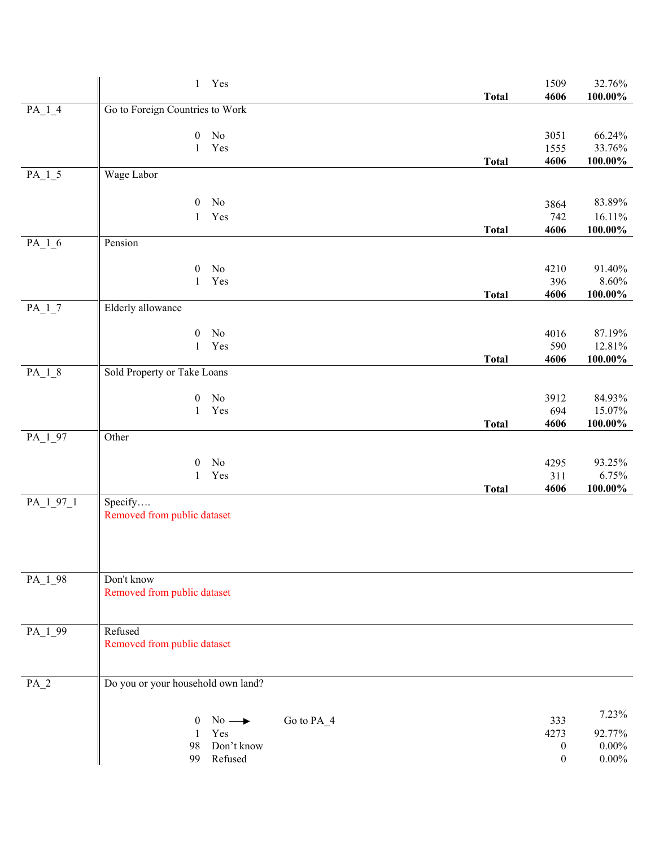|                       | 1 Yes                                         | <b>Total</b> | 1509<br>4606             | 32.76%<br>100.00%      |
|-----------------------|-----------------------------------------------|--------------|--------------------------|------------------------|
| $PA_{-}1_{-}4$        | Go to Foreign Countries to Work               |              |                          |                        |
|                       | No<br>$\boldsymbol{0}$                        |              | 3051                     | 66.24%                 |
|                       | Yes<br>$\mathbf{1}$                           |              | 1555                     | 33.76%                 |
| $PA$ <sup>1</sup> _5  | Wage Labor                                    | <b>Total</b> | 4606                     | 100.00%                |
|                       |                                               |              |                          |                        |
|                       | No<br>$\boldsymbol{0}$<br>Yes<br>$\mathbf{1}$ |              | 3864<br>742              | 83.89%<br>16.11%       |
|                       |                                               | <b>Total</b> | 4606                     | $100.00\%$             |
| $PA_{-}1_{-}6$        | Pension                                       |              |                          |                        |
|                       | No<br>$\boldsymbol{0}$                        |              | 4210                     | 91.40%                 |
|                       | Yes<br>$\mathbf 1$                            | <b>Total</b> | 396<br>4606              | $8.60\%$<br>$100.00\%$ |
| $PA_1_7$              | Elderly allowance                             |              |                          |                        |
|                       | No<br>$\boldsymbol{0}$                        |              | 4016                     | 87.19%                 |
|                       | Yes<br>$\mathbf{1}$                           |              | 590                      | 12.81%                 |
| $PA_{-}1_{-}8$        | Sold Property or Take Loans                   | <b>Total</b> | 4606                     | $100.00\%$             |
|                       |                                               |              |                          |                        |
|                       | $\boldsymbol{0}$<br>No<br>Yes<br>$\mathbf{1}$ |              | 3912<br>694              | 84.93%<br>15.07%       |
|                       |                                               | <b>Total</b> | 4606                     | 100.00%                |
| $PA$ <sup>1</sup> _97 | Other                                         |              |                          |                        |
|                       | No<br>$\boldsymbol{0}$                        |              | 4295                     | 93.25%                 |
|                       | Yes<br>$\mathbf{1}$                           | <b>Total</b> | 311<br>4606              | 6.75%<br>100.00%       |
| $PA_1_97_1$           | Specify                                       |              |                          |                        |
|                       | Removed from public dataset                   |              |                          |                        |
|                       |                                               |              |                          |                        |
|                       |                                               |              |                          |                        |
| PA_1_98               | Don't know                                    |              |                          |                        |
|                       | Removed from public dataset                   |              |                          |                        |
|                       |                                               |              |                          |                        |
| PA_1_99               | Refused<br>Removed from public dataset        |              |                          |                        |
|                       |                                               |              |                          |                        |
| $PA_2$                | Do you or your household own land?            |              |                          |                        |
|                       |                                               |              |                          |                        |
|                       | Go to PA_4<br>$No \rightarrow$<br>$\bf{0}$    |              | 333                      | 7.23%                  |
|                       | Yes<br>1<br>Don't know<br>98                  |              | 4273<br>$\boldsymbol{0}$ | 92.77%<br>$0.00\%$     |
|                       | Refused<br>99                                 |              | $\boldsymbol{0}$         | $0.00\%$               |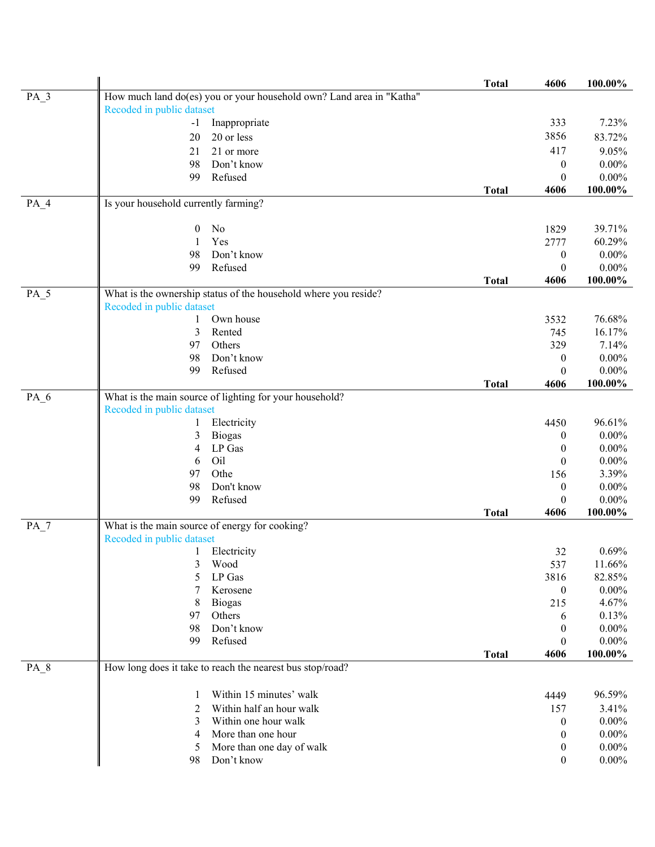|                 |                                                                      | <b>Total</b> | 4606             | 100.00%  |
|-----------------|----------------------------------------------------------------------|--------------|------------------|----------|
| $PA_3$          | How much land do(es) you or your household own? Land area in "Katha" |              |                  |          |
|                 | Recoded in public dataset                                            |              |                  |          |
|                 | Inappropriate<br>$-1$                                                |              | 333              | 7.23%    |
|                 | 20 or less<br>20                                                     |              | 3856             | 83.72%   |
|                 | 21 or more<br>21                                                     |              | 417              | 9.05%    |
|                 | Don't know<br>98                                                     |              | 0                | $0.00\%$ |
|                 | Refused<br>99                                                        |              | $\theta$         | $0.00\%$ |
|                 |                                                                      | <b>Total</b> | 4606             | 100.00%  |
| $PA_4$          | Is your household currently farming?                                 |              |                  |          |
|                 |                                                                      |              |                  |          |
|                 | No<br>$\boldsymbol{0}$                                               |              | 1829             | 39.71%   |
|                 | Yes<br>1                                                             |              | 2777             | 60.29%   |
|                 | Don't know<br>98                                                     |              | 0                | $0.00\%$ |
|                 | Refused<br>99                                                        |              | $\theta$         | $0.00\%$ |
|                 |                                                                      | <b>Total</b> | 4606             | 100.00%  |
| PA_5            | What is the ownership status of the household where you reside?      |              |                  |          |
|                 | Recoded in public dataset                                            |              |                  |          |
|                 | Own house<br>1                                                       |              | 3532             | 76.68%   |
|                 | 3<br>Rented                                                          |              | 745              | 16.17%   |
|                 | Others<br>97                                                         |              | 329              | 7.14%    |
|                 | Don't know<br>98                                                     |              | $\boldsymbol{0}$ | $0.00\%$ |
|                 | Refused<br>99                                                        |              | $\theta$         | $0.00\%$ |
|                 |                                                                      | <b>Total</b> | 4606             | 100.00%  |
| $PA_6$          | What is the main source of lighting for your household?              |              |                  |          |
|                 | Recoded in public dataset                                            |              |                  |          |
|                 | Electricity<br>1                                                     |              | 4450             | 96.61%   |
|                 | 3<br><b>Biogas</b>                                                   |              | 0                | $0.00\%$ |
|                 | LP Gas<br>4                                                          |              | $\boldsymbol{0}$ | $0.00\%$ |
|                 | Oil<br>6                                                             |              | $\theta$         | $0.00\%$ |
|                 | Othe<br>97                                                           |              | 156              | 3.39%    |
|                 | Don't know<br>98                                                     |              | $\boldsymbol{0}$ | $0.00\%$ |
|                 | Refused<br>99                                                        |              | $\theta$         | $0.00\%$ |
|                 |                                                                      | <b>Total</b> | 4606             | 100.00%  |
| $PA_7$          | What is the main source of energy for cooking?                       |              |                  |          |
|                 | Recoded in public dataset                                            |              |                  |          |
|                 | 1 Electricity                                                        |              | 32               | 0.69%    |
|                 | 3<br>Wood                                                            |              | 537              | 11.66%   |
|                 | LP Gas<br>5                                                          |              | 3816             | 82.85%   |
|                 | Kerosene<br>7                                                        |              | $\boldsymbol{0}$ | $0.00\%$ |
|                 | 8<br><b>Biogas</b>                                                   |              | 215              | 4.67%    |
|                 | Others<br>97                                                         |              | 6                | 0.13%    |
|                 | Don't know<br>98                                                     |              | 0                | $0.00\%$ |
|                 | Refused<br>99                                                        |              | 0                | $0.00\%$ |
|                 |                                                                      | <b>Total</b> | 4606             | 100.00%  |
| PA <sub>8</sub> | How long does it take to reach the nearest bus stop/road?            |              |                  |          |
|                 |                                                                      |              |                  |          |
|                 | Within 15 minutes' walk<br>1                                         |              | 4449             | 96.59%   |
|                 | Within half an hour walk<br>2                                        |              | 157              | 3.41%    |
|                 | Within one hour walk<br>3                                            |              | 0                | $0.00\%$ |
|                 | More than one hour<br>4                                              |              | $\boldsymbol{0}$ | $0.00\%$ |
|                 | More than one day of walk<br>5                                       |              | $\boldsymbol{0}$ | $0.00\%$ |
|                 | Don't know<br>98                                                     |              | $\boldsymbol{0}$ | $0.00\%$ |
|                 |                                                                      |              |                  |          |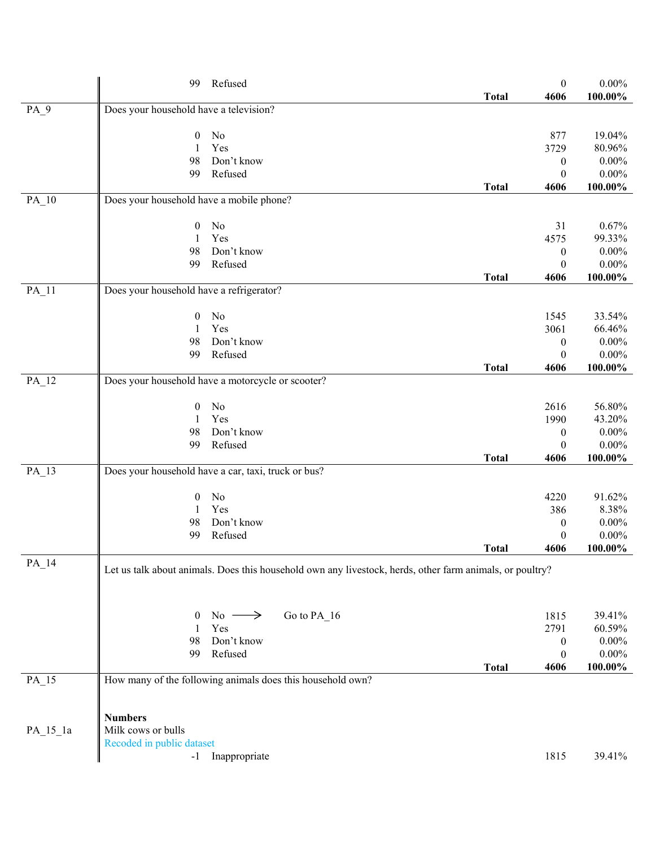|                    | 99                                              | Refused                                                                                                  |              | $\boldsymbol{0}$ | $0.00\%$               |
|--------------------|-------------------------------------------------|----------------------------------------------------------------------------------------------------------|--------------|------------------|------------------------|
| $PA_9$             | Does your household have a television?          |                                                                                                          | <b>Total</b> | 4606             | $100.00\%$             |
|                    |                                                 |                                                                                                          |              |                  |                        |
|                    | $\boldsymbol{0}$                                | No                                                                                                       |              | 877              | 19.04%                 |
|                    | 1                                               | Yes                                                                                                      |              | 3729             | 80.96%                 |
|                    | 98                                              | Don't know                                                                                               |              | $\boldsymbol{0}$ | $0.00\%$               |
|                    | 99                                              | Refused                                                                                                  |              | $\boldsymbol{0}$ | $0.00\%$               |
| $PA$ <sub>10</sub> | Does your household have a mobile phone?        |                                                                                                          | <b>Total</b> | 4606             | 100.00%                |
|                    |                                                 |                                                                                                          |              |                  |                        |
|                    | $\mathbf{0}$                                    | No                                                                                                       |              | 31               | 0.67%                  |
|                    | 1                                               | Yes                                                                                                      |              | 4575             | 99.33%                 |
|                    | 98                                              | Don't know                                                                                               |              | $\boldsymbol{0}$ | $0.00\%$               |
|                    | 99                                              | Refused                                                                                                  |              | $\boldsymbol{0}$ | $0.00\%$               |
| $PA$ <sup>11</sup> | Does your household have a refrigerator?        |                                                                                                          | <b>Total</b> | 4606             | 100.00%                |
|                    |                                                 |                                                                                                          |              |                  |                        |
|                    | $\mathbf{0}$                                    | No                                                                                                       |              | 1545             | 33.54%                 |
|                    | 1                                               | Yes                                                                                                      |              | 3061             | 66.46%                 |
|                    | 98                                              | Don't know                                                                                               |              | $\boldsymbol{0}$ | $0.00\%$               |
|                    | 99                                              | Refused                                                                                                  |              | $\theta$         | $0.00\%$               |
|                    |                                                 |                                                                                                          | <b>Total</b> | 4606             | $100.00\%$             |
| PA_12              |                                                 | Does your household have a motorcycle or scooter?                                                        |              |                  |                        |
|                    | $\boldsymbol{0}$                                | No                                                                                                       |              | 2616             | 56.80%                 |
|                    | 1                                               | Yes                                                                                                      |              | 1990             | 43.20%                 |
|                    | 98                                              | Don't know                                                                                               |              | $\boldsymbol{0}$ | $0.00\%$               |
|                    | 99                                              | Refused                                                                                                  |              | $\theta$         | $0.00\%$               |
|                    |                                                 |                                                                                                          | <b>Total</b> | 4606             | $100.00\%$             |
| PA_13              |                                                 | Does your household have a car, taxi, truck or bus?                                                      |              |                  |                        |
|                    | $\boldsymbol{0}$                                | No                                                                                                       |              | 4220             | 91.62%                 |
|                    | 1                                               | Yes                                                                                                      |              | 386              | 8.38%                  |
|                    | 98                                              | Don't know                                                                                               |              | $\boldsymbol{0}$ | $0.00\%$               |
|                    | 99                                              | Refused                                                                                                  |              | $\boldsymbol{0}$ | $0.00\%$               |
|                    |                                                 |                                                                                                          | <b>Total</b> | 4606             | $100.00\%$             |
| $PA$ <sup>14</sup> |                                                 | Let us talk about animals. Does this household own any livestock, herds, other farm animals, or poultry? |              |                  |                        |
|                    |                                                 |                                                                                                          |              |                  |                        |
|                    |                                                 |                                                                                                          |              |                  |                        |
|                    | $\boldsymbol{0}$                                | Go to PA_16<br>No $\longrightarrow$                                                                      |              | 1815             | 39.41%                 |
|                    | 1                                               | Yes                                                                                                      |              | 2791             | 60.59%                 |
|                    | 98                                              | Don't know                                                                                               |              | $\bf{0}$         | $0.00\%$               |
|                    | 99                                              | Refused                                                                                                  |              | $\boldsymbol{0}$ | $0.00\%$<br>$100.00\%$ |
| $PA$ <sub>15</sub> |                                                 | How many of the following animals does this household own?                                               | <b>Total</b> | 4606             |                        |
|                    |                                                 |                                                                                                          |              |                  |                        |
|                    |                                                 |                                                                                                          |              |                  |                        |
|                    | <b>Numbers</b>                                  |                                                                                                          |              |                  |                        |
| $PA_15_1a$         | Milk cows or bulls<br>Recoded in public dataset |                                                                                                          |              |                  |                        |
|                    |                                                 | -1 Inappropriate                                                                                         |              | 1815             | 39.41%                 |
|                    |                                                 |                                                                                                          |              |                  |                        |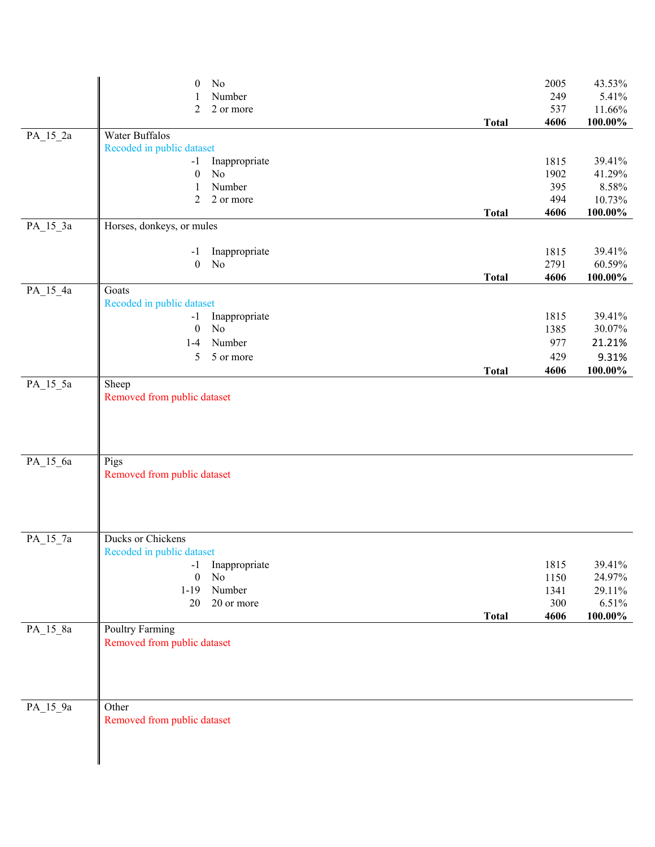|            | No<br>$\boldsymbol{0}$             |               |              | 2005 | 43.53%     |
|------------|------------------------------------|---------------|--------------|------|------------|
|            |                                    | Number        |              | 249  | 5.41%      |
|            | $\overline{2}$                     | 2 or more     |              | 537  | 11.66%     |
|            |                                    |               | <b>Total</b> | 4606 | $100.00\%$ |
| PA_15_2a   | Water Buffalos                     |               |              |      |            |
|            | Recoded in public dataset          |               |              |      |            |
|            | $-1$                               | Inappropriate |              | 1815 | 39.41%     |
|            | $\rm No$<br>$\boldsymbol{0}$       |               |              | 1902 | 41.29%     |
|            | 1                                  | Number        |              | 395  | 8.58%      |
|            | $\overline{2}$                     | 2 or more     |              | 494  | 10.73%     |
|            |                                    |               | <b>Total</b> | 4606 | $100.00\%$ |
| $PA_15_3a$ | Horses, donkeys, or mules          |               |              |      |            |
|            | $-1$                               | Inappropriate |              | 1815 | 39.41%     |
|            | No<br>$\boldsymbol{0}$             |               |              | 2791 | 60.59%     |
|            |                                    |               | <b>Total</b> | 4606 | 100.00%    |
| PA_15_4a   | Goats                              |               |              |      |            |
|            | Recoded in public dataset          |               |              |      |            |
|            | $-1$                               | Inappropriate |              | 1815 | 39.41%     |
|            | $\rm No$<br>$\boldsymbol{0}$       |               |              | 1385 | 30.07%     |
|            | $1-4$                              | Number        |              | 977  | 21.21%     |
|            | 5                                  | 5 or more     |              | 429  | 9.31%      |
|            |                                    |               | <b>Total</b> | 4606 | 100.00%    |
| PA_15_5a   | Sheep                              |               |              |      |            |
|            | Removed from public dataset        |               |              |      |            |
|            |                                    |               |              |      |            |
|            |                                    |               |              |      |            |
| PA_15_6a   | Pigs                               |               |              |      |            |
|            | Removed from public dataset        |               |              |      |            |
|            |                                    |               |              |      |            |
|            |                                    |               |              |      |            |
| PA_15_7a   | Ducks or Chickens                  |               |              |      |            |
|            | Recoded in public dataset          |               |              |      |            |
|            | $-1$                               | Inappropriate |              | 1815 | 39.41%     |
|            | $\boldsymbol{0}$<br>N <sub>o</sub> |               |              | 1150 | 24.97%     |
|            | $1 - 19$                           | Number        |              | 1341 | 29.11%     |
|            | 20                                 | 20 or more    |              | 300  | 6.51%      |
|            |                                    |               | <b>Total</b> | 4606 | 100.00%    |
| $PA_15_8a$ | <b>Poultry Farming</b>             |               |              |      |            |
|            | Removed from public dataset        |               |              |      |            |
|            |                                    |               |              |      |            |
|            |                                    |               |              |      |            |
|            |                                    |               |              |      |            |
| PA_15_9a   | Other                              |               |              |      |            |
|            | Removed from public dataset        |               |              |      |            |
|            |                                    |               |              |      |            |
|            |                                    |               |              |      |            |
|            |                                    |               |              |      |            |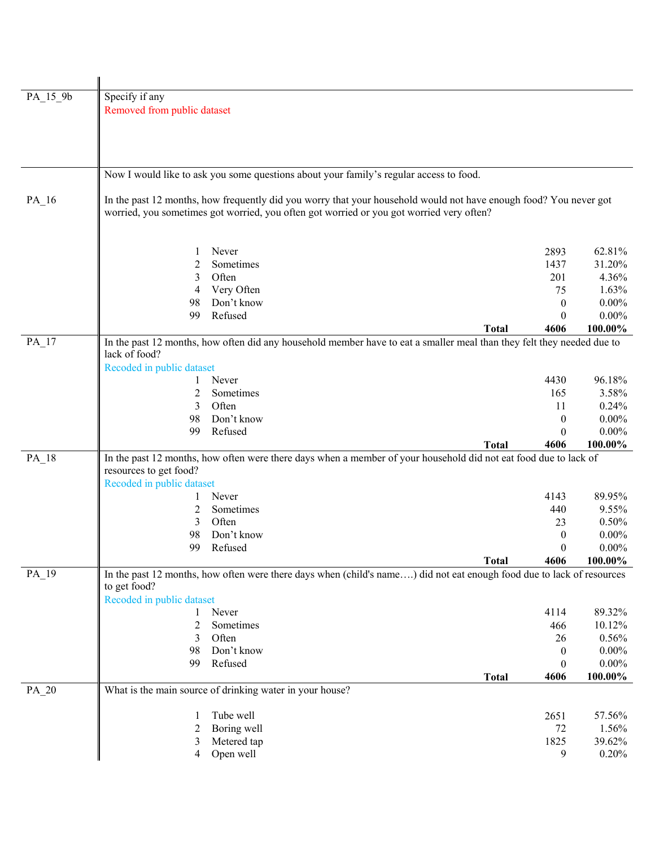| PA_15_9b           | Specify if any                                                                                                                        |             |                                                                                                                        |                  |                 |  |  |
|--------------------|---------------------------------------------------------------------------------------------------------------------------------------|-------------|------------------------------------------------------------------------------------------------------------------------|------------------|-----------------|--|--|
|                    | Removed from public dataset                                                                                                           |             |                                                                                                                        |                  |                 |  |  |
|                    |                                                                                                                                       |             |                                                                                                                        |                  |                 |  |  |
|                    |                                                                                                                                       |             |                                                                                                                        |                  |                 |  |  |
|                    |                                                                                                                                       |             |                                                                                                                        |                  |                 |  |  |
|                    |                                                                                                                                       |             |                                                                                                                        |                  |                 |  |  |
|                    |                                                                                                                                       |             | Now I would like to ask you some questions about your family's regular access to food.                                 |                  |                 |  |  |
|                    |                                                                                                                                       |             | In the past 12 months, how frequently did you worry that your household would not have enough food? You never got      |                  |                 |  |  |
| $PA$ <sub>16</sub> |                                                                                                                                       |             | worried, you sometimes got worried, you often got worried or you got worried very often?                               |                  |                 |  |  |
|                    |                                                                                                                                       |             |                                                                                                                        |                  |                 |  |  |
|                    |                                                                                                                                       |             |                                                                                                                        |                  |                 |  |  |
|                    | 1                                                                                                                                     | Never       |                                                                                                                        | 2893             | 62.81%          |  |  |
|                    | $\overline{c}$                                                                                                                        | Sometimes   |                                                                                                                        | 1437             | 31.20%          |  |  |
|                    | 3                                                                                                                                     | Often       |                                                                                                                        | 201              | 4.36%           |  |  |
|                    | 4                                                                                                                                     | Very Often  |                                                                                                                        | 75               | 1.63%           |  |  |
|                    | 98                                                                                                                                    | Don't know  |                                                                                                                        | $\boldsymbol{0}$ | $0.00\%$        |  |  |
|                    | 99                                                                                                                                    | Refused     |                                                                                                                        | 0                | $0.00\%$        |  |  |
|                    |                                                                                                                                       |             | <b>Total</b>                                                                                                           | 4606             | 100.00%         |  |  |
| $PA$ <sub>17</sub> |                                                                                                                                       |             | In the past 12 months, how often did any household member have to eat a smaller meal than they felt they needed due to |                  |                 |  |  |
|                    | lack of food?                                                                                                                         |             |                                                                                                                        |                  |                 |  |  |
|                    | Recoded in public dataset                                                                                                             | Never       |                                                                                                                        | 4430             | 96.18%          |  |  |
|                    | $\overline{c}$                                                                                                                        | Sometimes   |                                                                                                                        | 165              | 3.58%           |  |  |
|                    | 3                                                                                                                                     | Often       |                                                                                                                        | 11               | 0.24%           |  |  |
|                    | 98                                                                                                                                    | Don't know  |                                                                                                                        | $\boldsymbol{0}$ | $0.00\%$        |  |  |
|                    | 99                                                                                                                                    | Refused     |                                                                                                                        | 0                | $0.00\%$        |  |  |
|                    |                                                                                                                                       |             | <b>Total</b>                                                                                                           | 4606             | 100.00%         |  |  |
| PA_18              |                                                                                                                                       |             | In the past 12 months, how often were there days when a member of your household did not eat food due to lack of       |                  |                 |  |  |
|                    | resources to get food?                                                                                                                |             |                                                                                                                        |                  |                 |  |  |
|                    | Recoded in public dataset                                                                                                             |             |                                                                                                                        |                  |                 |  |  |
|                    | $\mathbf{I}$                                                                                                                          | Never       |                                                                                                                        | 4143             | 89.95%          |  |  |
|                    | 2                                                                                                                                     | Sometimes   |                                                                                                                        | 440              | 9.55%           |  |  |
|                    | 3                                                                                                                                     | Often       |                                                                                                                        | 23               | 0.50%           |  |  |
|                    | 98                                                                                                                                    | Don't know  |                                                                                                                        | $\theta$         | $0.00\%$        |  |  |
|                    | 99                                                                                                                                    | Refused     |                                                                                                                        | 0                | $0.00\%$        |  |  |
|                    |                                                                                                                                       |             | <b>Total</b>                                                                                                           | 4606             | 100.00%         |  |  |
| PA_19              | In the past 12 months, how often were there days when (child's name) did not eat enough food due to lack of resources<br>to get food? |             |                                                                                                                        |                  |                 |  |  |
|                    | Recoded in public dataset                                                                                                             |             |                                                                                                                        |                  |                 |  |  |
|                    | 1                                                                                                                                     | Never       |                                                                                                                        | 4114             | 89.32%          |  |  |
|                    | 2                                                                                                                                     | Sometimes   |                                                                                                                        | 466              | 10.12%          |  |  |
|                    | 3                                                                                                                                     | Often       |                                                                                                                        | 26               | 0.56%           |  |  |
|                    | 98                                                                                                                                    | Don't know  |                                                                                                                        | $\boldsymbol{0}$ | $0.00\%$        |  |  |
|                    | 99                                                                                                                                    | Refused     |                                                                                                                        | $\boldsymbol{0}$ | $0.00\%$        |  |  |
|                    |                                                                                                                                       |             | <b>Total</b>                                                                                                           | 4606             | 100.00%         |  |  |
| PA_20              | What is the main source of drinking water in your house?                                                                              |             |                                                                                                                        |                  |                 |  |  |
|                    |                                                                                                                                       |             |                                                                                                                        |                  |                 |  |  |
|                    | 1                                                                                                                                     | Tube well   |                                                                                                                        | 2651             | 57.56%          |  |  |
|                    | 2                                                                                                                                     | Boring well |                                                                                                                        | 72               | 1.56%           |  |  |
|                    | 3                                                                                                                                     | Metered tap |                                                                                                                        | 1825             | 39.62%<br>0.20% |  |  |
|                    | 4                                                                                                                                     | Open well   |                                                                                                                        | 9                |                 |  |  |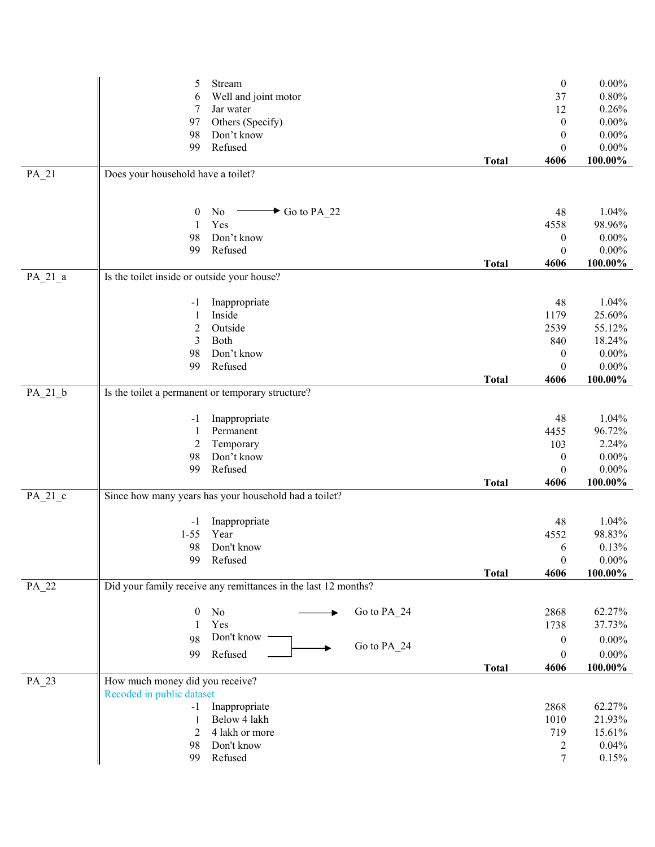|           | Stream<br>5                                                    |                           | $\boldsymbol{0}$         | $0.00\%$   |
|-----------|----------------------------------------------------------------|---------------------------|--------------------------|------------|
|           | Well and joint motor<br>6                                      |                           | 37                       | 0.80%      |
|           | Jar water<br>7                                                 |                           | 12                       | 0.26%      |
|           | Others (Specify)<br>97                                         |                           | $\boldsymbol{0}$         | $0.00\%$   |
|           |                                                                |                           |                          |            |
|           | Don't know<br>98                                               |                           | $\boldsymbol{0}$         | $0.00\%$   |
|           | 99<br>Refused                                                  |                           | $\boldsymbol{0}$         | $0.00\%$   |
|           |                                                                | <b>Total</b>              | 4606                     | $100.00\%$ |
| $PA_21$   | Does your household have a toilet?                             |                           |                          |            |
|           |                                                                |                           |                          |            |
|           |                                                                |                           |                          |            |
|           | No<br>0                                                        | $\rightarrow$ Go to PA_22 | 48                       | 1.04%      |
|           | Yes<br>1                                                       |                           | 4558                     | 98.96%     |
|           | 98<br>Don't know                                               |                           | 0                        | $0.00\%$   |
|           | Refused<br>99                                                  |                           | $\boldsymbol{0}$         | $0.00\%$   |
|           |                                                                | <b>Total</b>              | 4606                     | 100.00%    |
| $PA_21_a$ | Is the toilet inside or outside your house?                    |                           |                          |            |
|           |                                                                |                           |                          |            |
|           | Inappropriate                                                  |                           | 48                       | 1.04%      |
|           | -1                                                             |                           |                          |            |
|           | Inside<br>1                                                    |                           | 1179                     | 25.60%     |
|           | $\overline{c}$<br>Outside                                      |                           | 2539                     | 55.12%     |
|           | 3<br>Both                                                      |                           | 840                      | 18.24%     |
|           | 98<br>Don't know                                               |                           | $\boldsymbol{0}$         | $0.00\%$   |
|           | Refused<br>99                                                  |                           | $\boldsymbol{0}$         | $0.00\%$   |
|           |                                                                | <b>Total</b>              | 4606                     | $100.00\%$ |
| $PA_21_b$ | Is the toilet a permanent or temporary structure?              |                           |                          |            |
|           |                                                                |                           |                          |            |
|           | Inappropriate<br>$-1$                                          |                           | 48                       | 1.04%      |
|           | Permanent<br>1                                                 |                           | 4455                     | 96.72%     |
|           | Temporary<br>2                                                 |                           | 103                      | 2.24%      |
|           | Don't know<br>98                                               |                           | $\boldsymbol{0}$         | $0.00\%$   |
|           | Refused<br>99                                                  |                           |                          | $0.00\%$   |
|           |                                                                | <b>Total</b>              | $\boldsymbol{0}$<br>4606 | 100.00%    |
|           | Since how many years has your household had a toilet?          |                           |                          |            |
| $PA_21_c$ |                                                                |                           |                          |            |
|           |                                                                |                           |                          | 1.04%      |
|           | Inappropriate<br>$-1$                                          |                           | 48                       |            |
|           | Year<br>$1 - 55$                                               |                           | 4552                     | 98.83%     |
|           | 98<br>Don't know                                               |                           | 6                        | 0.13%      |
|           | Refused<br>99                                                  |                           | $\boldsymbol{0}$         | $0.00\%$   |
|           |                                                                | <b>Total</b>              | 4606                     | 100.00%    |
| PA_22     | Did your family receive any remittances in the last 12 months? |                           |                          |            |
|           |                                                                |                           |                          |            |
|           | $\boldsymbol{0}$<br>No                                         | Go to PA_24               | 2868                     | 62.27%     |
|           | Yes<br>1                                                       |                           | 1738                     | 37.73%     |
|           | Don't know<br>98                                               |                           | $\boldsymbol{0}$         | $0.00\%$   |
|           |                                                                | Go to PA_24               |                          |            |
|           | Refused<br>99                                                  |                           | $\boldsymbol{0}$         | $0.00\%$   |
|           |                                                                | <b>Total</b>              | 4606                     | $100.00\%$ |
| PA_23     | How much money did you receive?                                |                           |                          |            |
|           | Recoded in public dataset                                      |                           |                          |            |
|           | Inappropriate<br>$-1$                                          |                           | 2868                     | 62.27%     |
|           | Below 4 lakh<br>1                                              |                           | 1010                     | 21.93%     |
|           | 4 lakh or more<br>2                                            |                           | 719                      | 15.61%     |
|           | Don't know<br>98                                               |                           | 2                        | 0.04%      |
|           | Refused<br>99                                                  |                           | 7                        | 0.15%      |
|           |                                                                |                           |                          |            |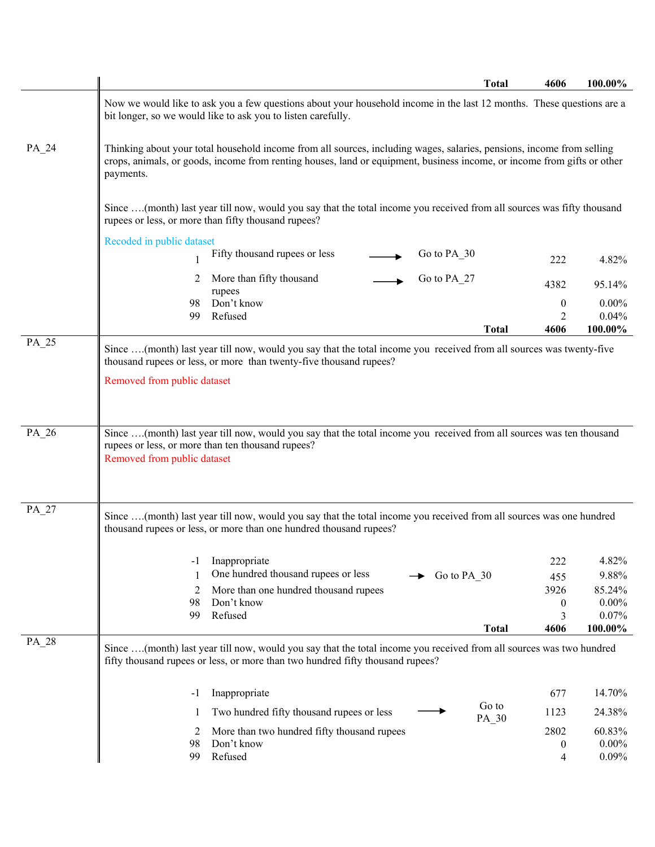|       | <b>Total</b>                                                                                                                                                                                                                                                  | 4606 | 100.00%  |
|-------|---------------------------------------------------------------------------------------------------------------------------------------------------------------------------------------------------------------------------------------------------------------|------|----------|
|       | Now we would like to ask you a few questions about your household income in the last 12 months. These questions are a<br>bit longer, so we would like to ask you to listen carefully.                                                                         |      |          |
| PA_24 | Thinking about your total household income from all sources, including wages, salaries, pensions, income from selling<br>crops, animals, or goods, income from renting houses, land or equipment, business income, or income from gifts or other<br>payments. |      |          |
|       | Since (month) last year till now, would you say that the total income you received from all sources was fifty thousand<br>rupees or less, or more than fifty thousand rupees?                                                                                 |      |          |
|       | Recoded in public dataset                                                                                                                                                                                                                                     |      |          |
|       | Fifty thousand rupees or less<br>Go to PA_30                                                                                                                                                                                                                  | 222  | 4.82%    |
|       | More than fifty thousand<br>Go to PA_27<br>2<br>rupees                                                                                                                                                                                                        | 4382 | 95.14%   |
|       | Don't know<br>98                                                                                                                                                                                                                                              | 0    | $0.00\%$ |
|       | Refused<br>99                                                                                                                                                                                                                                                 | 2    | 0.04%    |
| PA_25 | <b>Total</b>                                                                                                                                                                                                                                                  | 4606 | 100.00%  |
|       | Since (month) last year till now, would you say that the total income you received from all sources was twenty-five<br>thousand rupees or less, or more than twenty-five thousand rupees?<br>Removed from public dataset                                      |      |          |
| PA 26 | Since  (month) last year till now, would you say that the total income you received from all sources was ten thousand                                                                                                                                         |      |          |
|       | rupees or less, or more than ten thousand rupees?<br>Removed from public dataset                                                                                                                                                                              |      |          |
| PA_27 | Since (month) last year till now, would you say that the total income you received from all sources was one hundred<br>thousand rupees or less, or more than one hundred thousand rupees?                                                                     |      |          |
|       | Inappropriate<br>-1                                                                                                                                                                                                                                           | 222  | 4.82%    |
|       | One hundred thousand rupees or less<br>$\blacktriangleright$ Go to PA_30                                                                                                                                                                                      | 455  | 9.88%    |
|       | More than one hundred thousand rupees<br>2                                                                                                                                                                                                                    | 3926 | 85.24%   |
|       | 98<br>Don't know                                                                                                                                                                                                                                              | 0    | $0.00\%$ |
|       | Refused<br>99                                                                                                                                                                                                                                                 | 3    | 0.07%    |
|       | <b>Total</b>                                                                                                                                                                                                                                                  | 4606 | 100.00%  |
| PA_28 | Since (month) last year till now, would you say that the total income you received from all sources was two hundred<br>fifty thousand rupees or less, or more than two hundred fifty thousand rupees?                                                         |      |          |
|       | Inappropriate<br>-1                                                                                                                                                                                                                                           | 677  | 14.70%   |
|       | Go to<br>Two hundred fifty thousand rupees or less<br>-1<br>PA_30                                                                                                                                                                                             | 1123 | 24.38%   |
|       | More than two hundred fifty thousand rupees<br>2                                                                                                                                                                                                              | 2802 | 60.83%   |
|       | Don't know<br>98                                                                                                                                                                                                                                              | 0    | $0.00\%$ |
|       | Refused<br>99                                                                                                                                                                                                                                                 | 4    | 0.09%    |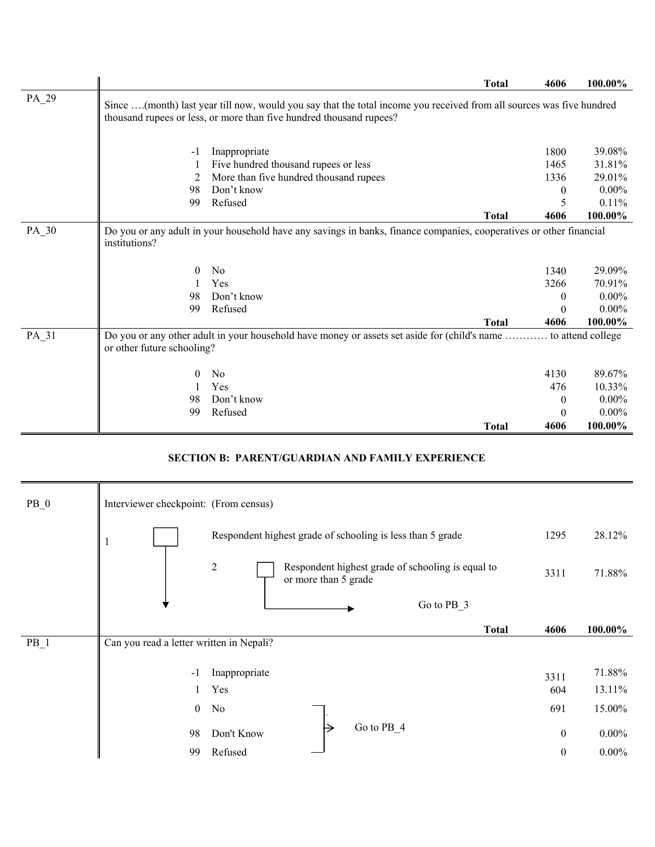|       |                                                                                                                                                                                             |                                                                                                                     | <b>Total</b> | 4606     | 100.00%  |
|-------|---------------------------------------------------------------------------------------------------------------------------------------------------------------------------------------------|---------------------------------------------------------------------------------------------------------------------|--------------|----------|----------|
| PA_29 | Since (month) last year till now, would you say that the total income you received from all sources was five hundred<br>thousand rupees or less, or more than five hundred thousand rupees? |                                                                                                                     |              |          |          |
|       | -1                                                                                                                                                                                          | Inappropriate                                                                                                       |              | 1800     | 39.08%   |
|       |                                                                                                                                                                                             | Five hundred thousand rupees or less                                                                                |              | 1465     | 31.81%   |
|       | 2                                                                                                                                                                                           | More than five hundred thousand rupees                                                                              |              | 1336     | 29.01%   |
|       | 98                                                                                                                                                                                          | Don't know                                                                                                          |              | $\bf{0}$ | $0.00\%$ |
|       | 99                                                                                                                                                                                          | Refused                                                                                                             |              | 5        | 0.11%    |
|       |                                                                                                                                                                                             |                                                                                                                     | <b>Total</b> | 4606     | 100.00%  |
| PA_30 | institutions?                                                                                                                                                                               | Do you or any adult in your household have any savings in banks, finance companies, cooperatives or other financial |              |          |          |
|       | $\theta$                                                                                                                                                                                    | N <sub>0</sub>                                                                                                      |              | 1340     | 29.09%   |
|       |                                                                                                                                                                                             | Yes                                                                                                                 |              | 3266     | 70.91%   |
|       | 98                                                                                                                                                                                          | Don't know                                                                                                          |              | 0        | $0.00\%$ |
|       | 99                                                                                                                                                                                          | Refused                                                                                                             |              | $\Omega$ | $0.00\%$ |
|       |                                                                                                                                                                                             |                                                                                                                     | <b>Total</b> | 4606     | 100.00%  |
| PA_31 | Do you or any other adult in your household have money or assets set aside for (child's name  to attend college<br>or other future schooling?                                               |                                                                                                                     |              |          |          |
|       | $\theta$                                                                                                                                                                                    | No                                                                                                                  |              | 4130     | 89.67%   |
|       |                                                                                                                                                                                             | Yes                                                                                                                 |              | 476      | 10.33%   |
|       | 98                                                                                                                                                                                          | Don't know                                                                                                          |              | $\theta$ | $0.00\%$ |
|       | 99                                                                                                                                                                                          | Refused                                                                                                             |              | $\theta$ | $0.00\%$ |
|       |                                                                                                                                                                                             |                                                                                                                     | <b>Total</b> | 4606     | 100.00%  |

### **SECTION B: PARENT/GUARDIAN AND FAMILY EXPERIENCE**

| $PB_0$ | Interviewer checkpoint: (From census)    |                |                                                            |            |                                                   |                  |          |
|--------|------------------------------------------|----------------|------------------------------------------------------------|------------|---------------------------------------------------|------------------|----------|
|        | $\mathbf{I}$                             |                | Respondent highest grade of schooling is less than 5 grade |            |                                                   | 1295             | 28.12%   |
|        |                                          | $\overline{2}$ | or more than 5 grade                                       |            | Respondent highest grade of schooling is equal to | 3311             | 71.88%   |
|        |                                          |                |                                                            |            | Go to PB 3                                        |                  |          |
|        |                                          |                |                                                            |            | <b>Total</b>                                      | 4606             | 100.00%  |
| $PB_1$ | Can you read a letter written in Nepali? |                |                                                            |            |                                                   |                  |          |
|        | $-1$                                     | Inappropriate  |                                                            |            |                                                   | 3311             | 71.88%   |
|        |                                          | Yes            |                                                            |            |                                                   | 604              | 13.11%   |
|        | $\mathbf{0}$                             | No             |                                                            |            |                                                   | 691              | 15.00%   |
|        | 98                                       | Don't Know     |                                                            | Go to PB 4 |                                                   | $\boldsymbol{0}$ | $0.00\%$ |
|        | 99                                       | Refused        |                                                            |            |                                                   | $\boldsymbol{0}$ | $0.00\%$ |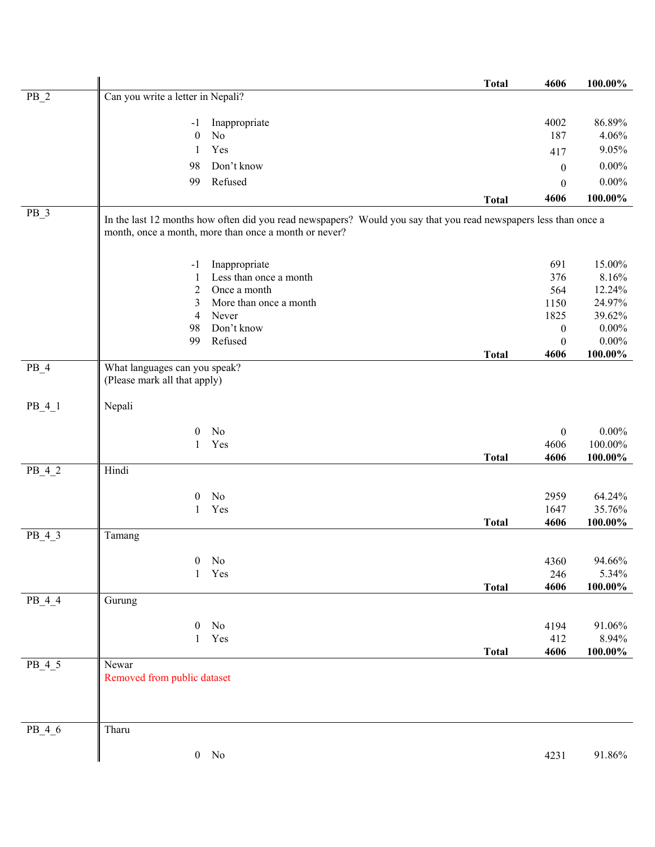|          |                                                               |                                                                                                                                                                           | <b>Total</b> | 4606             | 100.00%         |
|----------|---------------------------------------------------------------|---------------------------------------------------------------------------------------------------------------------------------------------------------------------------|--------------|------------------|-----------------|
| $PB_2$   | Can you write a letter in Nepali?                             |                                                                                                                                                                           |              |                  |                 |
|          | $-1$                                                          | Inappropriate                                                                                                                                                             |              | 4002             | 86.89%          |
|          | $\mathbf{0}$                                                  | No                                                                                                                                                                        |              | 187              | 4.06%           |
|          | 1                                                             | Yes                                                                                                                                                                       |              | 417              | 9.05%           |
|          | 98                                                            | Don't know                                                                                                                                                                |              | $\boldsymbol{0}$ | $0.00\%$        |
|          | 99                                                            | Refused                                                                                                                                                                   |              | $\boldsymbol{0}$ | $0.00\%$        |
|          |                                                               |                                                                                                                                                                           | <b>Total</b> | 4606             | 100.00%         |
| $PB_3$   |                                                               | In the last 12 months how often did you read newspapers? Would you say that you read newspapers less than once a<br>month, once a month, more than once a month or never? |              |                  |                 |
|          |                                                               |                                                                                                                                                                           |              |                  |                 |
|          | $-1$                                                          | Inappropriate<br>Less than once a month                                                                                                                                   |              | 691              | 15.00%          |
|          | 1<br>$\overline{c}$                                           | Once a month                                                                                                                                                              |              | 376<br>564       | 8.16%<br>12.24% |
|          | 3                                                             | More than once a month                                                                                                                                                    |              | 1150             | 24.97%          |
|          | 4                                                             | Never                                                                                                                                                                     |              | 1825             | 39.62%          |
|          | 98                                                            | Don't know                                                                                                                                                                |              | $\boldsymbol{0}$ | $0.00\%$        |
|          | 99                                                            | Refused                                                                                                                                                                   |              | $\boldsymbol{0}$ | $0.00\%$        |
|          |                                                               |                                                                                                                                                                           | <b>Total</b> | 4606             | 100.00%         |
| $PB_4$   | What languages can you speak?<br>(Please mark all that apply) |                                                                                                                                                                           |              |                  |                 |
| $PB_4_1$ | Nepali                                                        |                                                                                                                                                                           |              |                  |                 |
|          | $\theta$                                                      | No                                                                                                                                                                        |              | $\boldsymbol{0}$ | $0.00\%$        |
|          | 1                                                             | Yes                                                                                                                                                                       |              | 4606             | $100.00\%$      |
|          |                                                               |                                                                                                                                                                           | <b>Total</b> | 4606             | 100.00%         |
| $PB_4_2$ | Hindi                                                         |                                                                                                                                                                           |              |                  |                 |
|          | 0                                                             | No                                                                                                                                                                        |              | 2959             | 64.24%          |
|          | 1                                                             | Yes                                                                                                                                                                       |              | 1647             | 35.76%          |
|          |                                                               |                                                                                                                                                                           | <b>Total</b> | 4606             | 100.00%         |
| $PB_4_3$ | Tamang                                                        |                                                                                                                                                                           |              |                  |                 |
|          | $\boldsymbol{0}$                                              | No                                                                                                                                                                        |              | 4360             | 94.66%          |
|          | $\mathbf{1}$                                                  | Yes                                                                                                                                                                       |              | 246              | 5.34%           |
|          |                                                               |                                                                                                                                                                           | <b>Total</b> | 4606             | 100.00%         |
| $PB_4_4$ | Gurung                                                        |                                                                                                                                                                           |              |                  |                 |
|          | $\boldsymbol{0}$                                              | No                                                                                                                                                                        |              | 4194             | 91.06%          |
|          | $\mathbf{1}$                                                  | Yes                                                                                                                                                                       |              | 412              | 8.94%           |
|          |                                                               |                                                                                                                                                                           | <b>Total</b> | 4606             | $100.00\%$      |
| $PB_4_5$ | Newar<br>Removed from public dataset                          |                                                                                                                                                                           |              |                  |                 |
| $PB_4_6$ | Tharu                                                         |                                                                                                                                                                           |              |                  |                 |
|          |                                                               | $0$ No                                                                                                                                                                    |              | 4231             | 91.86%          |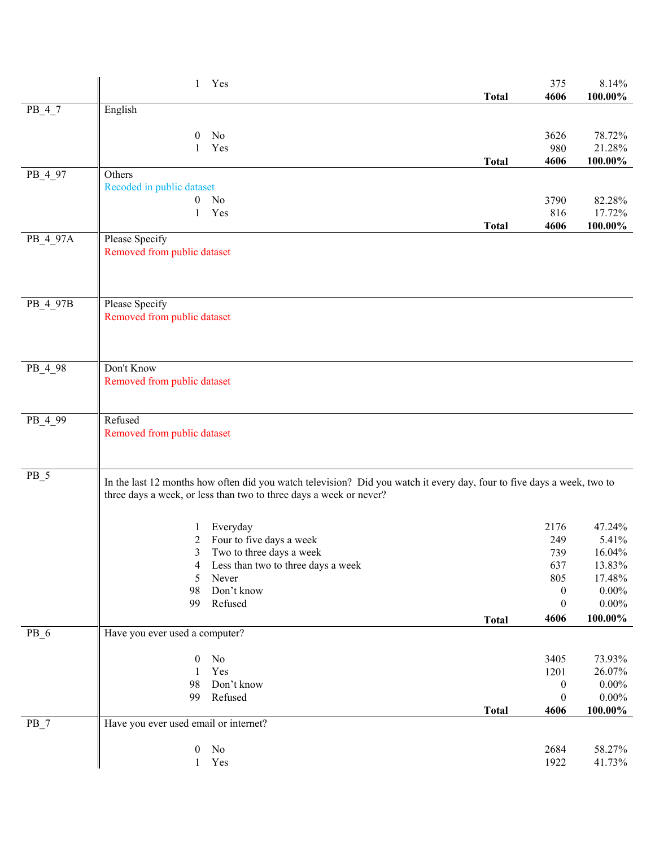|          | $\mathbf{1}$                          | Yes                                                                                                                                                                                          |              | 375              | 8.14%           |
|----------|---------------------------------------|----------------------------------------------------------------------------------------------------------------------------------------------------------------------------------------------|--------------|------------------|-----------------|
|          | English                               |                                                                                                                                                                                              | <b>Total</b> | 4606             | 100.00%         |
| $PB_4_7$ |                                       |                                                                                                                                                                                              |              |                  |                 |
|          | $\theta$                              | No                                                                                                                                                                                           |              | 3626             | 78.72%          |
|          | 1                                     | Yes                                                                                                                                                                                          |              | 980              | 21.28%          |
|          |                                       |                                                                                                                                                                                              | <b>Total</b> | 4606             | 100.00%         |
| PB_4_97  | Others                                |                                                                                                                                                                                              |              |                  |                 |
|          | Recoded in public dataset             | $0$ No                                                                                                                                                                                       |              | 3790             | 82.28%          |
|          | 1                                     | Yes                                                                                                                                                                                          |              | 816              | 17.72%          |
|          |                                       |                                                                                                                                                                                              | <b>Total</b> | 4606             | $100.00\%$      |
| PB_4_97A | Please Specify                        |                                                                                                                                                                                              |              |                  |                 |
|          | Removed from public dataset           |                                                                                                                                                                                              |              |                  |                 |
|          |                                       |                                                                                                                                                                                              |              |                  |                 |
|          |                                       |                                                                                                                                                                                              |              |                  |                 |
| PB_4_97B | Please Specify                        |                                                                                                                                                                                              |              |                  |                 |
|          | Removed from public dataset           |                                                                                                                                                                                              |              |                  |                 |
|          |                                       |                                                                                                                                                                                              |              |                  |                 |
|          |                                       |                                                                                                                                                                                              |              |                  |                 |
| PB_4_98  | Don't Know                            |                                                                                                                                                                                              |              |                  |                 |
|          | Removed from public dataset           |                                                                                                                                                                                              |              |                  |                 |
|          |                                       |                                                                                                                                                                                              |              |                  |                 |
|          |                                       |                                                                                                                                                                                              |              |                  |                 |
| PB_4_99  | Refused                               |                                                                                                                                                                                              |              |                  |                 |
|          | Removed from public dataset           |                                                                                                                                                                                              |              |                  |                 |
|          |                                       |                                                                                                                                                                                              |              |                  |                 |
| $PB_5$   |                                       |                                                                                                                                                                                              |              |                  |                 |
|          |                                       | In the last 12 months how often did you watch television? Did you watch it every day, four to five days a week, two to<br>three days a week, or less than two to three days a week or never? |              |                  |                 |
|          |                                       |                                                                                                                                                                                              |              |                  |                 |
|          |                                       |                                                                                                                                                                                              |              |                  |                 |
|          | 2                                     | Everyday<br>Four to five days a week                                                                                                                                                         |              | 2176<br>249      | 47.24%<br>5.41% |
|          | 3                                     | Two to three days a week                                                                                                                                                                     |              | 739              | 16.04%          |
|          | 4                                     | Less than two to three days a week                                                                                                                                                           |              | 637              | 13.83%          |
|          | 5                                     | Never                                                                                                                                                                                        |              | 805              | 17.48%          |
|          | 98                                    | Don't know                                                                                                                                                                                   |              | $\boldsymbol{0}$ | $0.00\%$        |
|          | 99                                    | Refused                                                                                                                                                                                      |              | $\boldsymbol{0}$ | $0.00\%$        |
|          |                                       |                                                                                                                                                                                              | <b>Total</b> | 4606             | $100.00\%$      |
| $PB_6$   | Have you ever used a computer?        |                                                                                                                                                                                              |              |                  |                 |
|          | $\boldsymbol{0}$                      | No                                                                                                                                                                                           |              | 3405             | 73.93%          |
|          | $\mathbf{1}$                          | Yes                                                                                                                                                                                          |              | 1201             | 26.07%          |
|          | 98                                    | Don't know                                                                                                                                                                                   |              | $\boldsymbol{0}$ | $0.00\%$        |
|          | 99                                    | Refused                                                                                                                                                                                      |              | $\boldsymbol{0}$ | $0.00\%$        |
|          |                                       |                                                                                                                                                                                              | <b>Total</b> | 4606             | $100.00\%$      |
| $PB_7$   | Have you ever used email or internet? |                                                                                                                                                                                              |              |                  |                 |
|          | $\boldsymbol{0}$                      | No                                                                                                                                                                                           |              | 2684             | 58.27%          |
|          | $\mathbf{1}$                          | Yes                                                                                                                                                                                          |              | 1922             | 41.73%          |
|          |                                       |                                                                                                                                                                                              |              |                  |                 |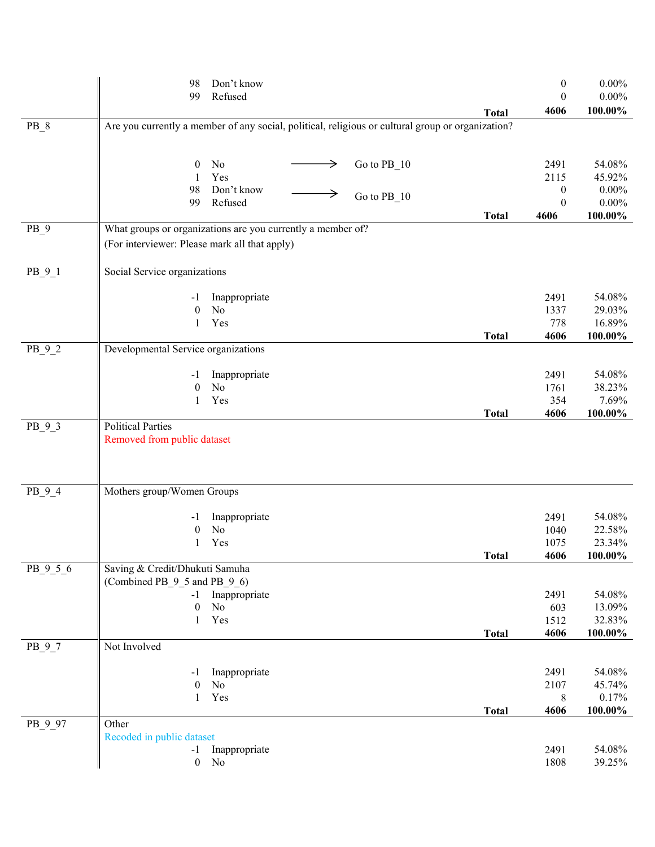|                 | 98                                                                                                           | Don't know                |   |               |              | $\boldsymbol{0}$ | $0.00\%$         |
|-----------------|--------------------------------------------------------------------------------------------------------------|---------------------------|---|---------------|--------------|------------------|------------------|
|                 | 99                                                                                                           | Refused                   |   |               |              | $\theta$         | $0.00\%$         |
| $PB_8$          | Are you currently a member of any social, political, religious or cultural group or organization?            |                           |   |               | <b>Total</b> | 4606             | 100.00%          |
|                 |                                                                                                              |                           |   |               |              |                  |                  |
|                 |                                                                                                              |                           |   |               |              |                  |                  |
|                 | $\boldsymbol{0}$<br>1                                                                                        | No<br>Yes                 | → | Go to $PB_10$ |              | 2491<br>2115     | 54.08%<br>45.92% |
|                 | 98                                                                                                           | Don't know                |   |               |              | $\boldsymbol{0}$ | $0.00\%$         |
|                 | 99                                                                                                           | Refused                   |   | Go to PB 10   |              | $\boldsymbol{0}$ | $0.00\%$         |
|                 |                                                                                                              |                           |   |               | <b>Total</b> | 4606             | 100.00%          |
| PB <sub>9</sub> | What groups or organizations are you currently a member of?<br>(For interviewer: Please mark all that apply) |                           |   |               |              |                  |                  |
| $PB_9_1$        | Social Service organizations                                                                                 |                           |   |               |              |                  |                  |
|                 |                                                                                                              |                           |   |               |              | 2491             | 54.08%           |
|                 | -1<br>$\boldsymbol{0}$                                                                                       | Inappropriate<br>$\rm No$ |   |               |              | 1337             | 29.03%           |
|                 | $\mathbf{1}$                                                                                                 | Yes                       |   |               |              | 778              | 16.89%           |
|                 |                                                                                                              |                           |   |               | <b>Total</b> | 4606             | 100.00%          |
| $PB_9_2$        | Developmental Service organizations                                                                          |                           |   |               |              |                  |                  |
|                 | -1                                                                                                           | Inappropriate             |   |               |              | 2491             | 54.08%           |
|                 | $\boldsymbol{0}$                                                                                             | N <sub>o</sub>            |   |               |              | 1761             | 38.23%           |
|                 | $\mathbf{1}$                                                                                                 | Yes                       |   |               |              | 354              | 7.69%            |
| PB_9_3          | <b>Political Parties</b>                                                                                     |                           |   |               | <b>Total</b> | 4606             | 100.00%          |
|                 | Removed from public dataset                                                                                  |                           |   |               |              |                  |                  |
|                 |                                                                                                              |                           |   |               |              |                  |                  |
|                 |                                                                                                              |                           |   |               |              |                  |                  |
| $PB_9_4$        | Mothers group/Women Groups                                                                                   |                           |   |               |              |                  |                  |
|                 | -1                                                                                                           | Inappropriate             |   |               |              | 2491             | 54.08%           |
|                 | 0                                                                                                            | No                        |   |               |              | 1040             | 22.58%           |
|                 | 1                                                                                                            | Yes                       |   |               |              | 1075             | 23.34%           |
|                 |                                                                                                              |                           |   |               | <b>Total</b> | 4606             | $100.00\%$       |
| PB 9 5 6        | Saving & Credit/Dhukuti Samuha<br>(Combined PB_9_5 and PB_9_6)                                               |                           |   |               |              |                  |                  |
|                 | $-1$                                                                                                         | Inappropriate             |   |               |              | 2491             | 54.08%           |
|                 | $\boldsymbol{0}$                                                                                             | $\rm No$                  |   |               |              | 603              | 13.09%           |
|                 | 1                                                                                                            | Yes                       |   |               |              | 1512             | 32.83%           |
|                 |                                                                                                              |                           |   |               | <b>Total</b> | 4606             | 100.00%          |
| $PB_9_7$        | Not Involved                                                                                                 |                           |   |               |              |                  |                  |
|                 | -1                                                                                                           | Inappropriate             |   |               |              | 2491             | 54.08%           |
|                 | $\boldsymbol{0}$                                                                                             | $\rm No$                  |   |               |              | 2107             | 45.74%           |
|                 | $\mathbf{1}$                                                                                                 | Yes                       |   |               |              | 8                | 0.17%            |
|                 | Other                                                                                                        |                           |   |               | <b>Total</b> | 4606             | 100.00%          |
| PB_9_97         | Recoded in public dataset                                                                                    |                           |   |               |              |                  |                  |
|                 | $-1$                                                                                                         | Inappropriate             |   |               |              | 2491             | 54.08%           |
|                 | $\mathbf{0}$                                                                                                 | N <sub>o</sub>            |   |               |              | 1808             | 39.25%           |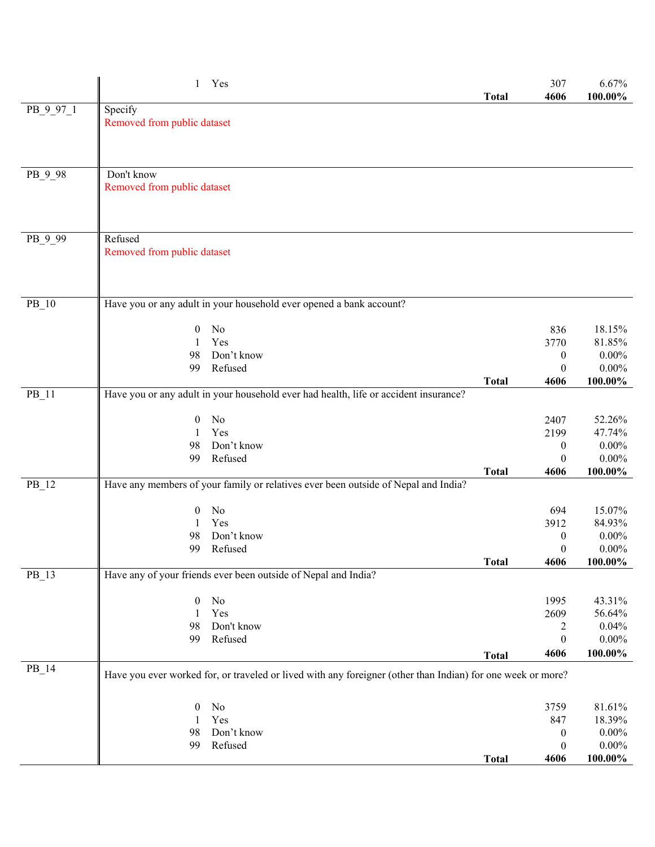|           | 1 Yes                                                                                                       | <b>Total</b> | 307<br>4606      | 6.67%<br>100.00% |
|-----------|-------------------------------------------------------------------------------------------------------------|--------------|------------------|------------------|
| PB_9_97_1 | Specify                                                                                                     |              |                  |                  |
|           | Removed from public dataset                                                                                 |              |                  |                  |
|           |                                                                                                             |              |                  |                  |
|           |                                                                                                             |              |                  |                  |
|           |                                                                                                             |              |                  |                  |
| PB_9_98   | Don't know<br>Removed from public dataset                                                                   |              |                  |                  |
|           |                                                                                                             |              |                  |                  |
|           |                                                                                                             |              |                  |                  |
|           |                                                                                                             |              |                  |                  |
| PB_9_99   | Refused                                                                                                     |              |                  |                  |
|           | Removed from public dataset                                                                                 |              |                  |                  |
|           |                                                                                                             |              |                  |                  |
|           |                                                                                                             |              |                  |                  |
| $PB_10$   | Have you or any adult in your household ever opened a bank account?                                         |              |                  |                  |
|           |                                                                                                             |              |                  |                  |
|           | No<br>$\boldsymbol{0}$                                                                                      |              | 836              | 18.15%           |
|           | Yes<br>1                                                                                                    |              | 3770             | 81.85%           |
|           | Don't know<br>98                                                                                            |              | $\boldsymbol{0}$ | $0.00\%$         |
|           | Refused<br>99                                                                                               |              | $\mathbf{0}$     | $0.00\%$         |
| $PB_11$   | Have you or any adult in your household ever had health, life or accident insurance?                        | <b>Total</b> | 4606             | 100.00%          |
|           |                                                                                                             |              |                  |                  |
|           | No<br>$\boldsymbol{0}$                                                                                      |              | 2407             | 52.26%           |
|           | Yes<br>1                                                                                                    |              | 2199             | 47.74%           |
|           | Don't know<br>98                                                                                            |              | $\boldsymbol{0}$ | $0.00\%$         |
|           | 99<br>Refused                                                                                               |              | $\boldsymbol{0}$ | $0.00\%$         |
| $PB_12$   | Have any members of your family or relatives ever been outside of Nepal and India?                          | <b>Total</b> | 4606             | 100.00%          |
|           |                                                                                                             |              |                  |                  |
|           | No<br>$\boldsymbol{0}$                                                                                      |              | 694              | 15.07%           |
|           | Yes<br>1                                                                                                    |              | 3912             | 84.93%           |
|           | Don't know<br>98                                                                                            |              | $\boldsymbol{0}$ | $0.00\%$         |
|           | 99<br>Refused                                                                                               |              | $\boldsymbol{0}$ | $0.00\%$         |
|           | Have any of your friends ever been outside of Nepal and India?                                              | <b>Total</b> | 4606             | $100.00\%$       |
| $PB_13$   |                                                                                                             |              |                  |                  |
|           | $\theta$<br>No                                                                                              |              | 1995             | 43.31%           |
|           | Yes                                                                                                         |              | 2609             | 56.64%           |
|           | 98<br>Don't know                                                                                            |              | 2                | 0.04%            |
|           | Refused<br>99                                                                                               |              | $\boldsymbol{0}$ | $0.00\%$         |
|           |                                                                                                             | <b>Total</b> | 4606             | $100.00\%$       |
| $PB_14$   | Have you ever worked for, or traveled or lived with any foreigner (other than Indian) for one week or more? |              |                  |                  |
|           |                                                                                                             |              |                  |                  |
|           | No<br>$\theta$<br>Yes<br>1                                                                                  |              | 3759<br>847      | 81.61%<br>18.39% |
|           | Don't know<br>98                                                                                            |              | $\boldsymbol{0}$ | $0.00\%$         |
|           | 99<br>Refused                                                                                               |              | $\boldsymbol{0}$ | $0.00\%$         |
|           |                                                                                                             | <b>Total</b> | 4606             | $100.00\%$       |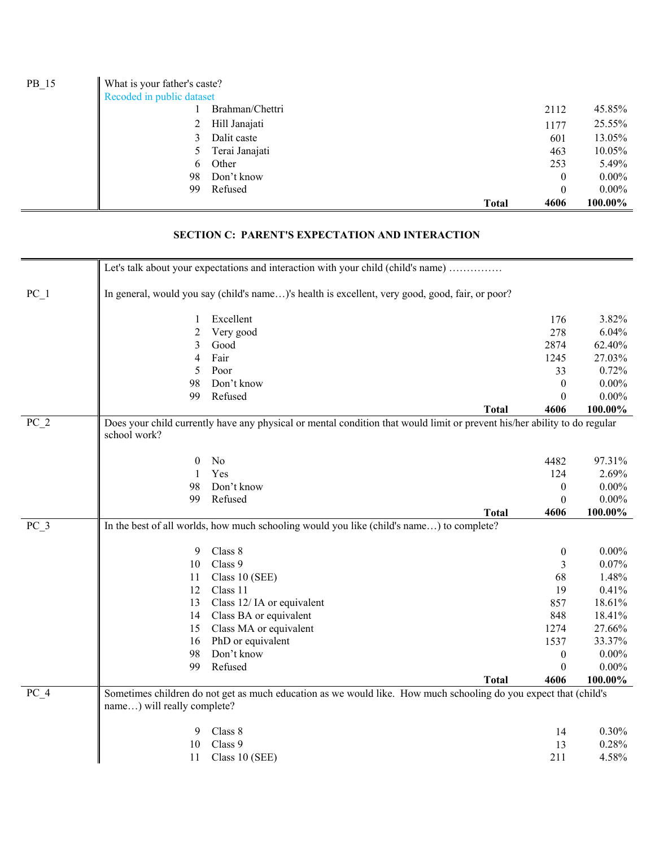| $PB_15$ | What is your father's caste? |                 |                      |          |
|---------|------------------------------|-----------------|----------------------|----------|
|         | Recoded in public dataset    |                 |                      |          |
|         |                              | Brahman/Chettri | 2112                 | 45.85%   |
|         | 2                            | Hill Janajati   | 1177                 | 25.55%   |
|         | 3.                           | Dalit caste     | 601                  | 13.05%   |
|         |                              | Terai Janajati  | 463                  | 10.05%   |
|         | 6                            | Other           | 253                  | 5.49%    |
|         | 98                           | Don't know      | 0                    | $0.00\%$ |
|         | 99                           | Refused         | $\boldsymbol{0}$     | $0.00\%$ |
|         |                              |                 | 4606<br><b>Total</b> | 100.00%  |

#### **SECTION C: PARENT'S EXPECTATION AND INTERACTION**

|        |                             | Let's talk about your expectations and interaction with your child (child's name)                                         |              |                              |          |
|--------|-----------------------------|---------------------------------------------------------------------------------------------------------------------------|--------------|------------------------------|----------|
| $PC_1$ |                             | In general, would you say (child's name)'s health is excellent, very good, good, fair, or poor?                           |              |                              |          |
|        | 1                           | Excellent                                                                                                                 |              | 176                          | 3.82%    |
|        | 2                           | Very good                                                                                                                 |              | 278                          | 6.04%    |
|        | 3                           | Good                                                                                                                      |              | 2874                         | 62.40%   |
|        | 4                           | Fair                                                                                                                      |              | 1245                         | 27.03%   |
|        | 5                           | Poor                                                                                                                      |              | 33                           | 0.72%    |
|        | 98                          | Don't know                                                                                                                |              | $\theta$                     | $0.00\%$ |
|        | 99                          | Refused                                                                                                                   |              | $\theta$                     | $0.00\%$ |
|        |                             |                                                                                                                           | <b>Total</b> | 4606                         | 100.00%  |
| $PC_2$ |                             | Does your child currently have any physical or mental condition that would limit or prevent his/her ability to do regular |              |                              |          |
|        | school work?                |                                                                                                                           |              |                              |          |
|        |                             | No                                                                                                                        |              |                              | 97.31%   |
|        | $\boldsymbol{0}$<br>1       | Yes                                                                                                                       |              | 4482<br>124                  | 2.69%    |
|        | 98                          | Don't know                                                                                                                |              |                              | $0.00\%$ |
|        | 99                          | Refused                                                                                                                   |              | $\boldsymbol{0}$<br>$\theta$ | $0.00\%$ |
|        |                             |                                                                                                                           | <b>Total</b> | 4606                         | 100.00%  |
| PC 3   |                             | In the best of all worlds, how much schooling would you like (child's name) to complete?                                  |              |                              |          |
|        |                             |                                                                                                                           |              |                              |          |
|        | 9                           | Class 8                                                                                                                   |              | $\boldsymbol{0}$             | $0.00\%$ |
|        | 10                          | Class 9                                                                                                                   |              | 3                            | 0.07%    |
|        | 11                          | Class 10 (SEE)                                                                                                            |              | 68                           | 1.48%    |
|        | 12                          | Class 11                                                                                                                  |              | 19                           | 0.41%    |
|        | 13                          | Class 12/IA or equivalent                                                                                                 |              | 857                          | 18.61%   |
|        | 14                          | Class BA or equivalent                                                                                                    |              | 848                          | 18.41%   |
|        | 15                          | Class MA or equivalent                                                                                                    |              | 1274                         | 27.66%   |
|        | 16                          | PhD or equivalent                                                                                                         |              | 1537                         | 33.37%   |
|        | 98                          | Don't know                                                                                                                |              | $\mathbf{0}$                 | $0.00\%$ |
|        | 99                          | Refused                                                                                                                   |              | $\Omega$                     | $0.00\%$ |
|        |                             |                                                                                                                           | <b>Total</b> | 4606                         | 100.00%  |
| $PC_4$ |                             | Sometimes children do not get as much education as we would like. How much schooling do you expect that (child's          |              |                              |          |
|        | name) will really complete? |                                                                                                                           |              |                              |          |
|        | 9                           | Class 8                                                                                                                   |              | 14                           | 0.30%    |
|        | 10                          | Class 9                                                                                                                   |              | 13                           | 0.28%    |
|        | 11                          | Class 10 (SEE)                                                                                                            |              | 211                          | 4.58%    |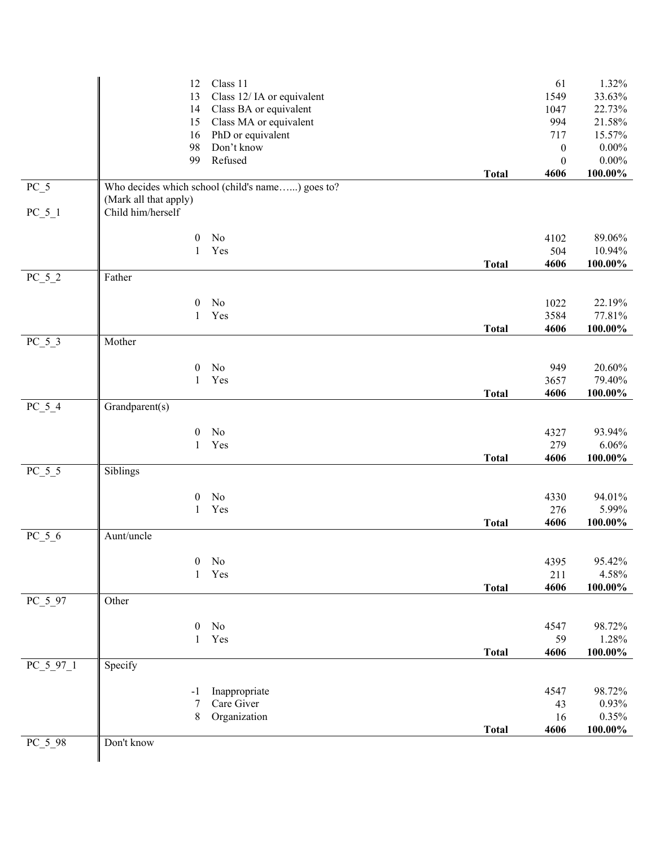|             | 12                                         | Class 11                                         |              | 61               | 1.32%      |
|-------------|--------------------------------------------|--------------------------------------------------|--------------|------------------|------------|
|             | 13                                         | Class 12/ IA or equivalent                       |              | 1549             | 33.63%     |
|             | 14                                         | Class BA or equivalent                           |              | 1047             | 22.73%     |
|             | 15                                         | Class MA or equivalent                           |              | 994              | 21.58%     |
|             | 16                                         | PhD or equivalent                                |              | 717              | 15.57%     |
|             | 98                                         | Don't know                                       |              | $\boldsymbol{0}$ | $0.00\%$   |
|             | 99                                         | Refused                                          |              | $\boldsymbol{0}$ | $0.00\%$   |
|             |                                            |                                                  | <b>Total</b> | 4606             | 100.00%    |
| $PC_5$      |                                            | Who decides which school (child's name) goes to? |              |                  |            |
|             | (Mark all that apply)<br>Child him/herself |                                                  |              |                  |            |
| $PC_5_1$    |                                            |                                                  |              |                  |            |
|             | $\boldsymbol{0}$                           | No                                               |              | 4102             | 89.06%     |
|             | 1                                          | Yes                                              |              | 504              | 10.94%     |
|             |                                            |                                                  | <b>Total</b> | 4606             | $100.00\%$ |
| $PC_5_2$    | Father                                     |                                                  |              |                  |            |
|             |                                            |                                                  |              |                  |            |
|             | $\boldsymbol{0}$                           | No                                               |              | 1022             | 22.19%     |
|             | $\mathbf{1}$                               | Yes                                              |              | 3584             | 77.81%     |
|             |                                            |                                                  | <b>Total</b> | 4606             | $100.00\%$ |
| $PC_5_3$    | Mother                                     |                                                  |              |                  |            |
|             |                                            |                                                  |              |                  |            |
|             | $\boldsymbol{0}$                           | No                                               |              | 949              | 20.60%     |
|             | $\mathbf{1}$                               | Yes                                              |              | 3657             | 79.40%     |
|             |                                            |                                                  | <b>Total</b> | 4606             | $100.00\%$ |
| $PC_5_4$    | Grandparent(s)                             |                                                  |              |                  |            |
|             | $\boldsymbol{0}$                           | No                                               |              | 4327             | 93.94%     |
|             | $\mathbf{1}$                               | Yes                                              |              | 279              | 6.06%      |
|             |                                            |                                                  | <b>Total</b> | 4606             | $100.00\%$ |
| $PC_5_5$    | Siblings                                   |                                                  |              |                  |            |
|             |                                            |                                                  |              |                  |            |
|             | $\boldsymbol{0}$                           | No                                               |              | 4330             | 94.01%     |
|             | 1                                          | Yes                                              |              | 276              | 5.99%      |
|             |                                            |                                                  | <b>Total</b> | 4606             | $100.00\%$ |
| $PC_5_6$    | Aunt/uncle                                 |                                                  |              |                  |            |
|             |                                            |                                                  |              |                  |            |
|             | $\boldsymbol{0}$                           | $\rm No$                                         |              | 4395             | 95.42%     |
|             | 1                                          | Yes                                              |              | 211              | 4.58%      |
|             | Other                                      |                                                  | <b>Total</b> | 4606             | $100.00\%$ |
| $PC_5_97$   |                                            |                                                  |              |                  |            |
|             | $\boldsymbol{0}$                           | $\rm No$                                         |              | 4547             | 98.72%     |
|             | 1                                          | Yes                                              |              | 59               | 1.28%      |
|             |                                            |                                                  | <b>Total</b> | 4606             | $100.00\%$ |
| $PC_5_97_1$ | Specify                                    |                                                  |              |                  |            |
|             |                                            |                                                  |              |                  |            |
|             | -1                                         | Inappropriate                                    |              | 4547             | 98.72%     |
|             | 7                                          | Care Giver                                       |              | 43               | 0.93%      |
|             | $8\,$                                      | Organization                                     |              | 16               | 0.35%      |
|             |                                            |                                                  | <b>Total</b> | 4606             | $100.00\%$ |
| $PC_5_98$   | Don't know                                 |                                                  |              |                  |            |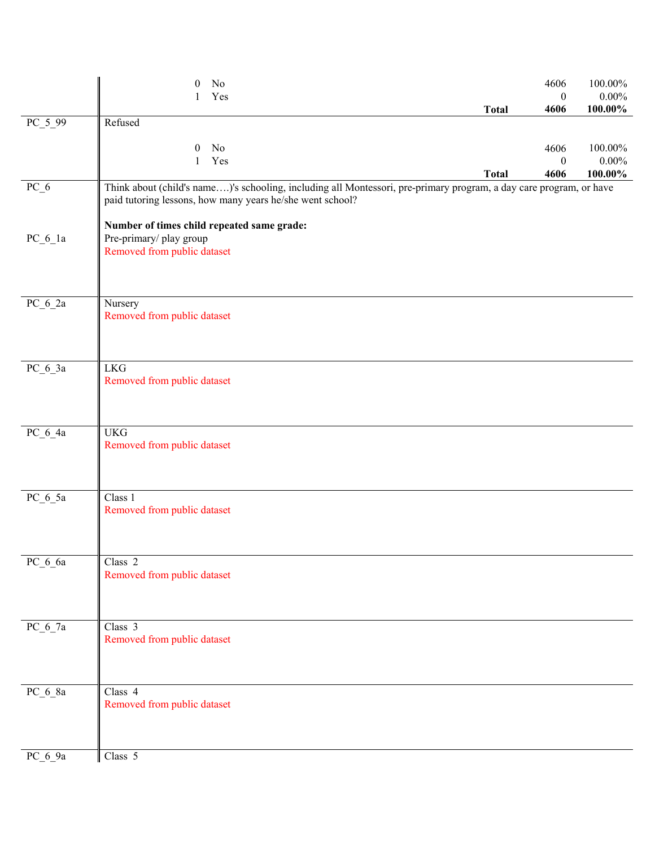|             | No<br>$\boldsymbol{0}$<br>Yes                                                                                                                                                   |              | 4606<br>$\boldsymbol{0}$ | 100.00%<br>$0.00\%$ |
|-------------|---------------------------------------------------------------------------------------------------------------------------------------------------------------------------------|--------------|--------------------------|---------------------|
| $PC_599$    | Refused                                                                                                                                                                         | <b>Total</b> | 4606                     | 100.00%             |
|             | No<br>$\mathbf{0}$<br>Yes<br>$\mathbf{1}$                                                                                                                                       |              | 4606<br>$\boldsymbol{0}$ | 100.00%<br>$0.00\%$ |
| $PC_6$      | Think about (child's name)'s schooling, including all Montessori, pre-primary program, a day care program, or have<br>paid tutoring lessons, how many years he/she went school? | <b>Total</b> | 4606                     | 100.00%             |
| $PC_6_1a$   | Number of times child repeated same grade:<br>Pre-primary/ play group<br>Removed from public dataset                                                                            |              |                          |                     |
| $PC_6_2a$   | Nursery<br>Removed from public dataset                                                                                                                                          |              |                          |                     |
| $PC_6_3a$   | <b>LKG</b><br>Removed from public dataset                                                                                                                                       |              |                          |                     |
| $PC_6_4a$   | <b>UKG</b><br>Removed from public dataset                                                                                                                                       |              |                          |                     |
| $PC_6_5a$   | Class 1<br>Removed from public dataset                                                                                                                                          |              |                          |                     |
| $PC\_6\_6a$ | Class <sub>2</sub><br>Removed from public dataset                                                                                                                               |              |                          |                     |
| $PC_6$ 7a   | Class $\overline{3}$<br>Removed from public dataset                                                                                                                             |              |                          |                     |
| $PC_6_8a$   | Class 4<br>Removed from public dataset                                                                                                                                          |              |                          |                     |
| PC_6_9a     | Class 5                                                                                                                                                                         |              |                          |                     |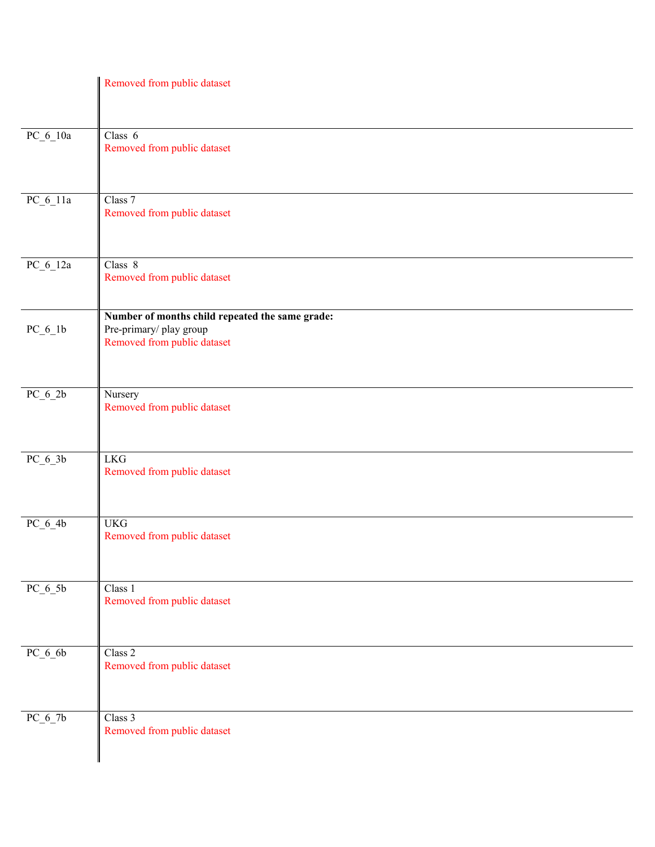|            | Removed from public dataset                                                                              |
|------------|----------------------------------------------------------------------------------------------------------|
| $PC_6_10a$ | Class 6<br>Removed from public dataset                                                                   |
| $PC_6_11a$ | Class 7<br>Removed from public dataset                                                                   |
| $PC_6_12a$ | Class 8<br>Removed from public dataset                                                                   |
| $PC_6_1b$  | Number of months child repeated the same grade:<br>Pre-primary/play group<br>Removed from public dataset |
| $PC_6_2b$  | Nursery<br>Removed from public dataset                                                                   |
| $PC_6_3b$  | <b>LKG</b><br>Removed from public dataset                                                                |
| $PC_6_4b$  | <b>UKG</b><br>Removed from public dataset                                                                |
| $PC_6_5b$  | Class 1<br>Removed from public dataset                                                                   |
| $PC_6_6$   | Class 2<br>Removed from public dataset                                                                   |
| $PC_6_7b$  | Class 3<br>Removed from public dataset                                                                   |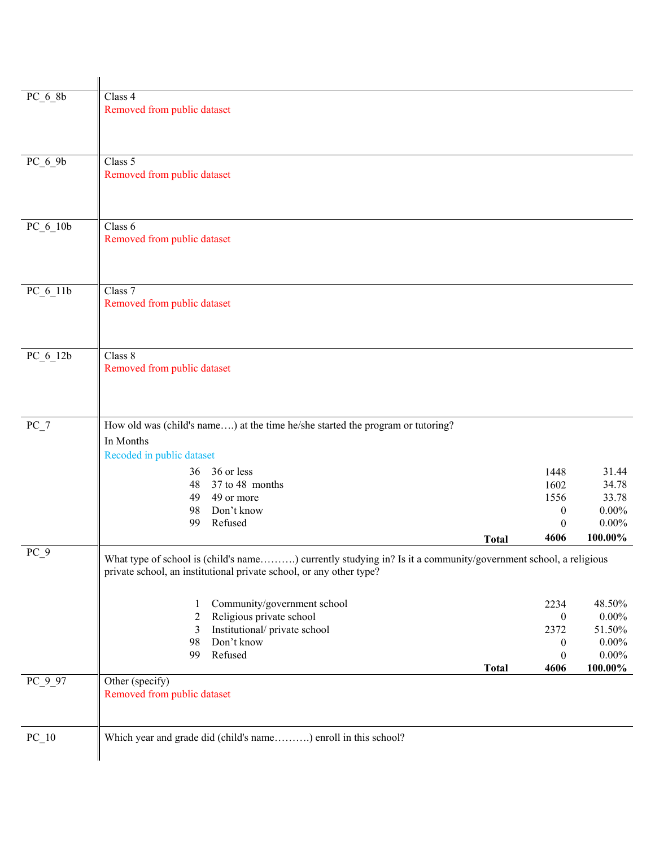| $PC_6_8b$  | Class 4                                                                                                       |                          |                      |
|------------|---------------------------------------------------------------------------------------------------------------|--------------------------|----------------------|
|            | Removed from public dataset                                                                                   |                          |                      |
|            |                                                                                                               |                          |                      |
|            |                                                                                                               |                          |                      |
| $PC_6_9b$  | Class 5                                                                                                       |                          |                      |
|            | Removed from public dataset                                                                                   |                          |                      |
|            |                                                                                                               |                          |                      |
|            |                                                                                                               |                          |                      |
|            |                                                                                                               |                          |                      |
| PC_6_10b   | Class 6                                                                                                       |                          |                      |
|            | Removed from public dataset                                                                                   |                          |                      |
|            |                                                                                                               |                          |                      |
|            |                                                                                                               |                          |                      |
| $PC_6_11b$ | Class $\overline{7}$                                                                                          |                          |                      |
|            | Removed from public dataset                                                                                   |                          |                      |
|            |                                                                                                               |                          |                      |
|            |                                                                                                               |                          |                      |
| $PC_6_12b$ | Class 8                                                                                                       |                          |                      |
|            | Removed from public dataset                                                                                   |                          |                      |
|            |                                                                                                               |                          |                      |
|            |                                                                                                               |                          |                      |
|            |                                                                                                               |                          |                      |
| $PC_7$     | How old was (child's name) at the time he/she started the program or tutoring?                                |                          |                      |
|            | In Months                                                                                                     |                          |                      |
|            | Recoded in public dataset                                                                                     |                          |                      |
|            | 36 or less<br>36                                                                                              | 1448                     | 31.44                |
|            | 37 to 48 months<br>48                                                                                         | 1602                     | 34.78                |
|            | 49 or more<br>49                                                                                              | 1556                     | 33.78                |
|            | Don't know<br>98<br>Refused<br>99                                                                             | 0<br>$\boldsymbol{0}$    | $0.00\%$<br>$0.00\%$ |
|            |                                                                                                               | 4606                     | 100.00%              |
|            | <b>Total</b>                                                                                                  |                          |                      |
| $PC_9$     | What type of school is (child's name) currently studying in? Is it a community/government school, a religious |                          |                      |
|            | private school, an institutional private school, or any other type?                                           |                          |                      |
|            |                                                                                                               |                          |                      |
|            | Community/government school<br>1                                                                              | 2234                     | 48.50%               |
|            | Religious private school<br>2<br>Institutional/private school<br>3                                            | $\boldsymbol{0}$<br>2372 | $0.00\%$<br>51.50%   |
|            | Don't know<br>98                                                                                              | $\boldsymbol{0}$         | $0.00\%$             |
|            | Refused<br>99                                                                                                 | $\boldsymbol{0}$         | $0.00\%$             |
|            | <b>Total</b>                                                                                                  | 4606                     | 100.00%              |
| $PC_9_97$  | Other (specify)                                                                                               |                          |                      |
|            | Removed from public dataset                                                                                   |                          |                      |
|            |                                                                                                               |                          |                      |
|            |                                                                                                               |                          |                      |
| $PC_1$ 0   | Which year and grade did (child's name) enroll in this school?                                                |                          |                      |
|            |                                                                                                               |                          |                      |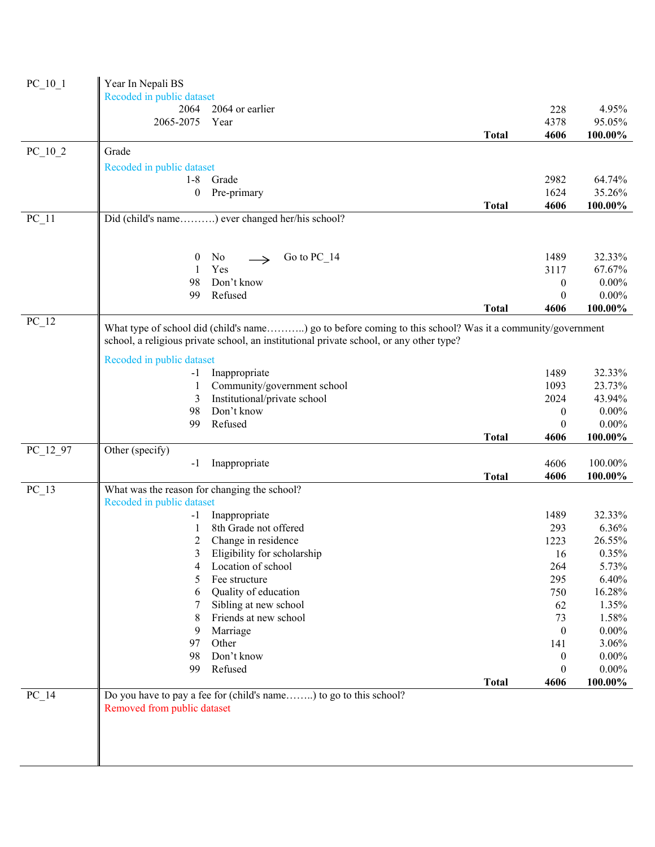| $PC_10_1$ | Year In Nepali BS<br>Recoded in public dataset |                                                                                                                                                                                                     |              |                              |                     |
|-----------|------------------------------------------------|-----------------------------------------------------------------------------------------------------------------------------------------------------------------------------------------------------|--------------|------------------------------|---------------------|
|           | 2064                                           | 2064 or earlier                                                                                                                                                                                     |              | 228                          | 4.95%               |
|           | 2065-2075                                      | Year                                                                                                                                                                                                |              | 4378                         | 95.05%              |
|           |                                                |                                                                                                                                                                                                     | <b>Total</b> | 4606                         | 100.00%             |
| $PC_10_2$ | Grade                                          |                                                                                                                                                                                                     |              |                              |                     |
|           | Recoded in public dataset                      |                                                                                                                                                                                                     |              |                              |                     |
|           | 1-8 Grade                                      |                                                                                                                                                                                                     |              | 2982                         | 64.74%              |
|           | $\overline{0}$                                 | Pre-primary                                                                                                                                                                                         |              | 1624                         | 35.26%              |
|           |                                                |                                                                                                                                                                                                     | <b>Total</b> | 4606                         | 100.00%             |
| $PC_11$   |                                                | Did (child's name) ever changed her/his school?                                                                                                                                                     |              |                              |                     |
|           |                                                |                                                                                                                                                                                                     |              |                              |                     |
|           | $\boldsymbol{0}$<br>$\mathbf{1}$               | Go to $PC_14$<br>No<br>$\rightarrow$<br>Yes                                                                                                                                                         |              | 1489                         | 32.33%<br>67.67%    |
|           | 98                                             | Don't know                                                                                                                                                                                          |              | 3117                         | $0.00\%$            |
|           | 99                                             | Refused                                                                                                                                                                                             |              | $\boldsymbol{0}$<br>$\theta$ | $0.00\%$            |
|           |                                                |                                                                                                                                                                                                     | <b>Total</b> | 4606                         | 100.00%             |
| $PC_12$   |                                                |                                                                                                                                                                                                     |              |                              |                     |
|           |                                                | What type of school did (child's name) go to before coming to this school? Was it a community/government<br>school, a religious private school, an institutional private school, or any other type? |              |                              |                     |
|           | Recoded in public dataset                      |                                                                                                                                                                                                     |              |                              |                     |
|           | -1                                             | Inappropriate                                                                                                                                                                                       |              | 1489                         | 32.33%              |
|           |                                                | Community/government school                                                                                                                                                                         |              | 1093                         | 23.73%              |
|           | 3                                              | Institutional/private school                                                                                                                                                                        |              | 2024                         | 43.94%              |
|           | 98                                             | Don't know                                                                                                                                                                                          |              | $\boldsymbol{0}$             | $0.00\%$            |
|           | 99                                             | Refused                                                                                                                                                                                             | <b>Total</b> | $\theta$<br>4606             | $0.00\%$<br>100.00% |
| PC_12_97  | Other (specify)                                |                                                                                                                                                                                                     |              |                              |                     |
|           | $-1$                                           | Inappropriate                                                                                                                                                                                       |              | 4606                         | 100.00%             |
|           |                                                |                                                                                                                                                                                                     | <b>Total</b> | 4606                         | 100.00%             |
| $PC_13$   | What was the reason for changing the school?   |                                                                                                                                                                                                     |              |                              |                     |
|           | Recoded in public dataset                      |                                                                                                                                                                                                     |              |                              |                     |
|           | -1                                             | Inappropriate                                                                                                                                                                                       |              | 1489                         | 32.33%              |
|           |                                                | 8th Grade not offered                                                                                                                                                                               |              | 293                          | 6.36%               |
|           | 2                                              | Change in residence                                                                                                                                                                                 |              | 1223                         | 26.55%              |
|           | 3 <sup>7</sup>                                 | Eligibility for scholarship                                                                                                                                                                         |              | 16                           | $0.35\%$            |
|           | 4                                              | Location of school                                                                                                                                                                                  |              | 264                          | 5.73%               |
|           | 5                                              | Fee structure                                                                                                                                                                                       |              | 295                          | 6.40%               |
|           | 6                                              | Quality of education                                                                                                                                                                                |              | 750                          | 16.28%              |
|           | 7                                              | Sibling at new school                                                                                                                                                                               |              | 62                           | 1.35%               |
|           | 8                                              | Friends at new school                                                                                                                                                                               |              | 73                           | 1.58%               |
|           | 9                                              | Marriage                                                                                                                                                                                            |              | $\boldsymbol{0}$             | $0.00\%$            |
|           | 97                                             | Other                                                                                                                                                                                               |              | 141                          | 3.06%               |
|           | 98                                             | Don't know                                                                                                                                                                                          |              | $\boldsymbol{0}$             | $0.00\%$            |
|           | 99                                             | Refused                                                                                                                                                                                             |              | $\boldsymbol{0}$             | $0.00\%$            |
|           |                                                |                                                                                                                                                                                                     | <b>Total</b> | 4606                         | 100.00%             |
| $PC_14$   |                                                | Do you have to pay a fee for (child's name) to go to this school?                                                                                                                                   |              |                              |                     |
|           | Removed from public dataset                    |                                                                                                                                                                                                     |              |                              |                     |
|           |                                                |                                                                                                                                                                                                     |              |                              |                     |
|           |                                                |                                                                                                                                                                                                     |              |                              |                     |
|           |                                                |                                                                                                                                                                                                     |              |                              |                     |
|           |                                                |                                                                                                                                                                                                     |              |                              |                     |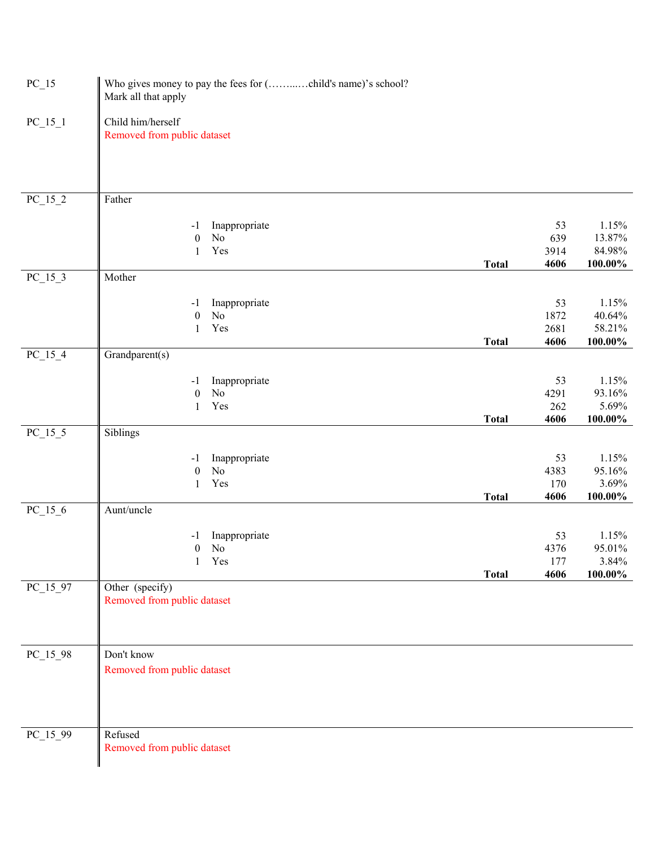| $PC_{15}$              | Who gives money to pay the fees for (child's name)'s school?<br>Mark all that apply |              |           |                 |
|------------------------|-------------------------------------------------------------------------------------|--------------|-----------|-----------------|
| $PC_{15}1$             | Child him/herself<br>Removed from public dataset                                    |              |           |                 |
| $PC_{15}2$             | Father                                                                              |              |           |                 |
|                        |                                                                                     |              |           |                 |
|                        | Inappropriate<br>$-1$<br>No<br>$\boldsymbol{0}$                                     |              | 53<br>639 | 1.15%<br>13.87% |
|                        | Yes<br>1                                                                            |              | 3914      | 84.98%          |
|                        |                                                                                     | <b>Total</b> | 4606      | 100.00%         |
| $PC_{15}$ <sup>3</sup> | Mother                                                                              |              |           |                 |
|                        | Inappropriate<br>$-1$                                                               |              | 53        | 1.15%           |
|                        | No<br>$\boldsymbol{0}$                                                              |              | 1872      | 40.64%          |
|                        | Yes<br>$\mathbf{1}$                                                                 |              | 2681      | 58.21%          |
|                        |                                                                                     | <b>Total</b> | 4606      | $100.00\%$      |
| $PC_{15\_4}$           | Grandparent(s)                                                                      |              |           |                 |
|                        | Inappropriate<br>$-1$                                                               |              | 53        | 1.15%           |
|                        | $\boldsymbol{0}$<br>No                                                              |              | 4291      | 93.16%          |
|                        | Yes<br>1                                                                            |              | 262       | 5.69%           |
|                        |                                                                                     | <b>Total</b> | 4606      | 100.00%         |
| $PC_15_5$              | Siblings                                                                            |              |           |                 |
|                        | Inappropriate<br>$-1$                                                               |              | 53        | 1.15%           |
|                        | No<br>$\boldsymbol{0}$                                                              |              | 4383      | 95.16%          |
|                        | Yes<br>$\mathbf{1}$                                                                 |              | 170       | 3.69%           |
| $PC_{15_{6}}$          | Aunt/uncle                                                                          | <b>Total</b> | 4606      | 100.00%         |
|                        |                                                                                     |              |           |                 |
|                        | Inappropriate<br>$-1$                                                               |              | 53        | 1.15%           |
|                        | No<br>$\boldsymbol{0}$                                                              |              | 4376      | 95.01%          |
|                        | Yes                                                                                 |              | 177       | 3.84%           |
|                        | Other (specify)                                                                     | <b>Total</b> | 4606      | $100.00\%$      |
| $PC_15_97$             | Removed from public dataset                                                         |              |           |                 |
|                        |                                                                                     |              |           |                 |
|                        |                                                                                     |              |           |                 |
|                        |                                                                                     |              |           |                 |
| $PC_15_98$             | Don't know                                                                          |              |           |                 |
|                        | Removed from public dataset                                                         |              |           |                 |
|                        |                                                                                     |              |           |                 |
|                        |                                                                                     |              |           |                 |
|                        |                                                                                     |              |           |                 |
| $PC_15_99$             | Refused                                                                             |              |           |                 |
|                        | Removed from public dataset                                                         |              |           |                 |
|                        |                                                                                     |              |           |                 |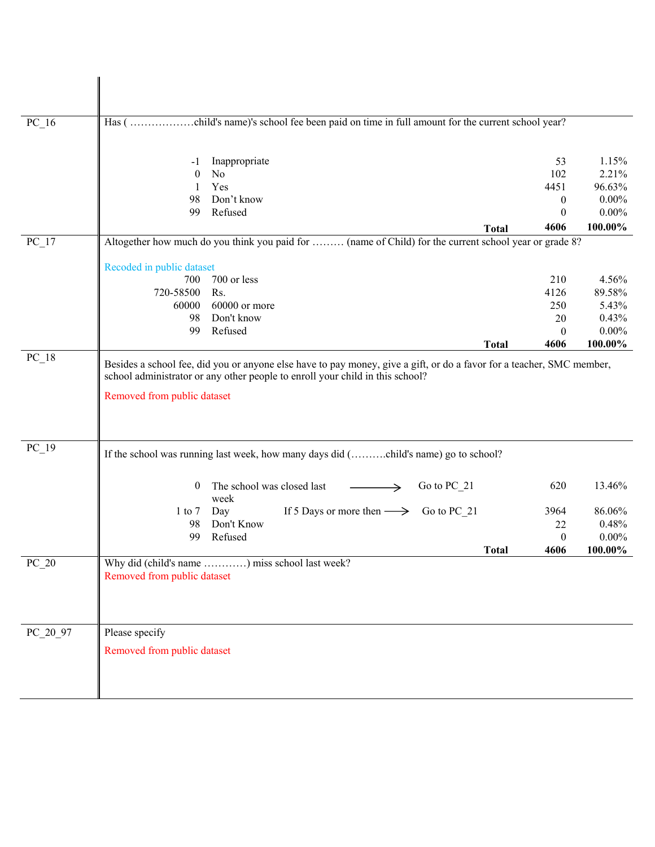| $PC_16$  |                                                                                                        |                  |                     |
|----------|--------------------------------------------------------------------------------------------------------|------------------|---------------------|
|          | Inappropriate<br>-1<br>No<br>$\mathbf{0}$                                                              | 53<br>102        | 1.15%<br>2.21%      |
|          | Yes<br>1                                                                                               | 4451             | 96.63%              |
|          | Don't know<br>98                                                                                       | $\theta$         | $0.00\%$            |
|          | Refused<br>99                                                                                          | $\theta$         | $0.00\%$            |
|          | <b>Total</b>                                                                                           | 4606             | 100.00%             |
| $PC_17$  | Altogether how much do you think you paid for  (name of Child) for the current school year or grade 8? |                  |                     |
|          | Recoded in public dataset                                                                              |                  |                     |
|          | 700<br>700 or less                                                                                     | 210              | 4.56%               |
|          | 720-58500<br>Rs.                                                                                       | 4126             | 89.58%              |
|          | 60000<br>60000 or more                                                                                 | 250              | 5.43%               |
|          | Don't know<br>98                                                                                       | 20               | 0.43%               |
|          | Refused<br>99<br><b>Total</b>                                                                          | $\theta$<br>4606 | $0.00\%$<br>100.00% |
|          |                                                                                                        |                  |                     |
| $PC_19$  | If the school was running last week, how many days did (child's name) go to school?                    |                  |                     |
|          | The school was closed last<br>Go to PC 21<br>$\overline{0}$<br>week                                    | 620              | 13.46%              |
|          | If 5 Days or more then $\longrightarrow$ Go to PC 21<br>Day<br>$1$ to $7$                              | 3964             | 86.06%              |
|          | Don't Know<br>98                                                                                       | 22               | 0.48%               |
|          | Refused<br>99                                                                                          | $\boldsymbol{0}$ | $0.00\%$            |
|          | <b>Total</b>                                                                                           | 4606             | 100.00%             |
| $PC_2$   | Why did (child's name ) miss school last week?<br>Removed from public dataset                          |                  |                     |
| PC_20_97 | Please specify                                                                                         |                  |                     |
|          | Removed from public dataset                                                                            |                  |                     |
|          |                                                                                                        |                  |                     |
|          |                                                                                                        |                  |                     |
|          |                                                                                                        |                  |                     |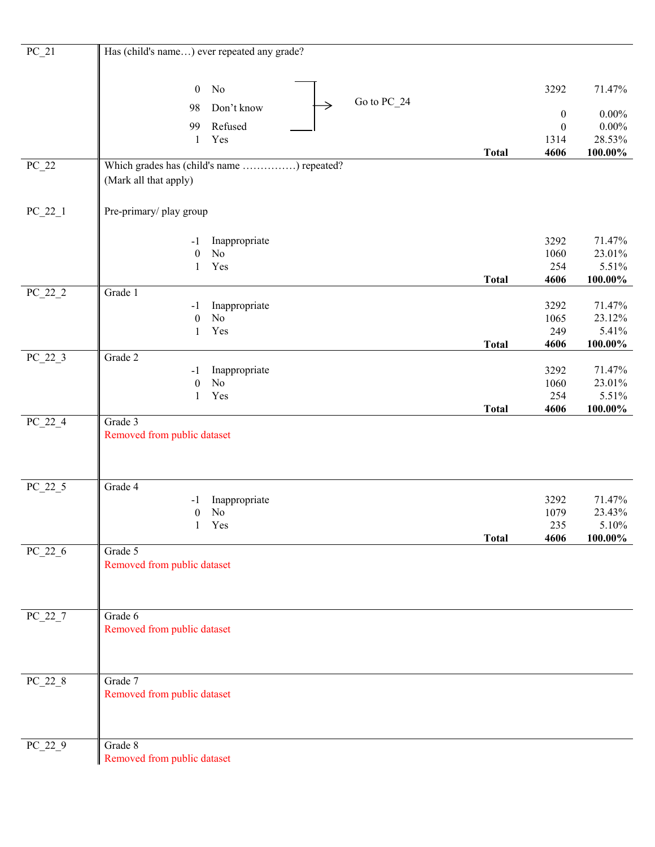| $PC_21$                         | Has (child's name) ever repeated any grade?      |              |                  |            |
|---------------------------------|--------------------------------------------------|--------------|------------------|------------|
|                                 |                                                  |              |                  |            |
|                                 |                                                  |              |                  |            |
|                                 | $\boldsymbol{0}$<br>No                           |              | 3292             | 71.47%     |
|                                 | Go to PC_24<br>$\rightarrow$<br>Don't know<br>98 |              | $\boldsymbol{0}$ | $0.00\%$   |
|                                 | Refused<br>99                                    |              | $\boldsymbol{0}$ | $0.00\%$   |
|                                 | Yes<br>$\mathbf{1}$                              |              | 1314             | 28.53%     |
|                                 |                                                  | <b>Total</b> | 4606             | 100.00%    |
| $PC_22$                         | Which grades has (child's name ) repeated?       |              |                  |            |
|                                 | (Mark all that apply)                            |              |                  |            |
|                                 |                                                  |              |                  |            |
| $PC_22_1$                       | Pre-primary/ play group                          |              |                  |            |
|                                 |                                                  |              |                  |            |
|                                 | Inappropriate<br>$-1$                            |              | 3292             | 71.47%     |
|                                 | $\rm No$<br>$\boldsymbol{0}$                     |              | 1060             | 23.01%     |
|                                 | Yes<br>$\mathbf{1}$                              |              | 254              | 5.51%      |
|                                 |                                                  | <b>Total</b> | 4606             | $100.00\%$ |
| $PC_22_2$                       | Grade 1                                          |              |                  |            |
|                                 | Inappropriate<br>$-1$                            |              | 3292             | 71.47%     |
|                                 | $\rm No$<br>$\boldsymbol{0}$                     |              | 1065             | 23.12%     |
|                                 | Yes<br>$\mathbf{1}$                              |              | 249              | 5.41%      |
|                                 |                                                  | <b>Total</b> | 4606             | 100.00%    |
| $\overline{PC}$ <sub>22</sub> 3 | Grade 2<br>Inappropriate<br>$-1$                 |              | 3292             | 71.47%     |
|                                 | $\rm No$<br>$\boldsymbol{0}$                     |              | 1060             | 23.01%     |
|                                 | Yes<br>$\mathbf{1}$                              |              | 254              | 5.51%      |
|                                 |                                                  | <b>Total</b> | 4606             | 100.00%    |
| $PC_22_4$                       | Grade 3                                          |              |                  |            |
|                                 | Removed from public dataset                      |              |                  |            |
|                                 |                                                  |              |                  |            |
|                                 |                                                  |              |                  |            |
| $PC_22_5$                       | Grade 4                                          |              |                  |            |
|                                 | Inappropriate<br>$-1$                            |              | 3292             | 71.47%     |
|                                 | No<br>$\boldsymbol{0}$                           |              | 1079             | 23.43%     |
|                                 | 1 Yes                                            |              | 235              | $5.10\%$   |
|                                 |                                                  | <b>Total</b> | 4606             | 100.00%    |
| $PC_22_6$                       | Grade 5                                          |              |                  |            |
|                                 | Removed from public dataset                      |              |                  |            |
|                                 |                                                  |              |                  |            |
|                                 |                                                  |              |                  |            |
| $PC_22_7$                       | Grade 6                                          |              |                  |            |
|                                 | Removed from public dataset                      |              |                  |            |
|                                 |                                                  |              |                  |            |
|                                 |                                                  |              |                  |            |
|                                 |                                                  |              |                  |            |
| $PC_22_8$                       | Grade 7                                          |              |                  |            |
|                                 | Removed from public dataset                      |              |                  |            |
|                                 |                                                  |              |                  |            |
|                                 |                                                  |              |                  |            |
| $PC_22_9$                       | Grade 8                                          |              |                  |            |
|                                 | Removed from public dataset                      |              |                  |            |
|                                 |                                                  |              |                  |            |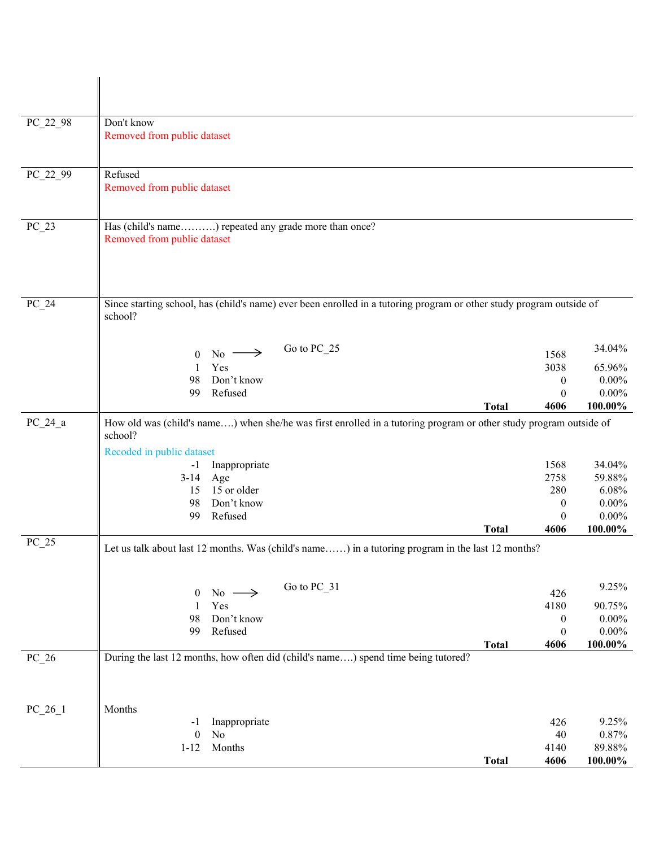| PC_22_98  | Don't know<br>Removed from public dataset                                                                                                                 |              |                                      |                              |
|-----------|-----------------------------------------------------------------------------------------------------------------------------------------------------------|--------------|--------------------------------------|------------------------------|
| PC_22_99  | Refused<br>Removed from public dataset                                                                                                                    |              |                                      |                              |
| $PC_2$ 3  | Has (child's name) repeated any grade more than once?<br>Removed from public dataset                                                                      |              |                                      |                              |
| $PC_24$   | Since starting school, has (child's name) ever been enrolled in a tutoring program or other study program outside of<br>school?                           |              |                                      |                              |
|           | Go to PC 25<br>$\mathrm{No} \longrightarrow$<br>$\theta$<br>Yes<br>1<br>Don't know<br>98<br>Refused                                                       |              | 1568<br>3038<br>$\boldsymbol{0}$     | 34.04%<br>65.96%<br>$0.00\%$ |
|           | 99                                                                                                                                                        | <b>Total</b> | $\theta$<br>4606                     | $0.00\%$<br>100.00%          |
| $PC_24_a$ | How old was (child's name) when she/he was first enrolled in a tutoring program or other study program outside of<br>school?<br>Recoded in public dataset |              |                                      |                              |
|           | Inappropriate<br>$-1$<br>Age<br>$3-14$                                                                                                                    |              | 1568<br>2758                         | 34.04%<br>59.88%             |
|           | 15 or older<br>15                                                                                                                                         |              | 280                                  | 6.08%                        |
|           | Don't know<br>98<br>Refused<br>99                                                                                                                         |              | $\boldsymbol{0}$<br>$\boldsymbol{0}$ | $0.00\%$<br>$0.00\%$         |
|           |                                                                                                                                                           | <b>Total</b> | 4606                                 | 100.00%                      |
| $PC_25$   | Let us talk about last 12 months. Was (child's name) in a tutoring program in the last 12 months?                                                         |              |                                      |                              |
|           | Go to PC_31<br>$No -$<br>$\boldsymbol{0}$<br>$\rightarrow$                                                                                                |              | 426                                  | 9.25%                        |
|           | Yes<br>$\mathbf{1}$<br>Don't know<br>98                                                                                                                   |              | 4180                                 | 90.75%                       |
|           | 99<br>Refused                                                                                                                                             |              | $\boldsymbol{0}$<br>$\boldsymbol{0}$ | $0.00\%$<br>$0.00\%$         |
|           |                                                                                                                                                           | <b>Total</b> | 4606                                 | $100.00\%$                   |
| $PC_2$ 6  | During the last 12 months, how often did (child's name) spend time being tutored?                                                                         |              |                                      |                              |
| $PC_26_1$ | Months<br>Inappropriate<br>-1                                                                                                                             |              | 426                                  | 9.25%                        |
|           | $\rm No$<br>$\boldsymbol{0}$                                                                                                                              |              | 40                                   | 0.87%                        |
|           | Months<br>$1 - 12$                                                                                                                                        | <b>Total</b> | 4140<br>4606                         | 89.88%<br>100.00%            |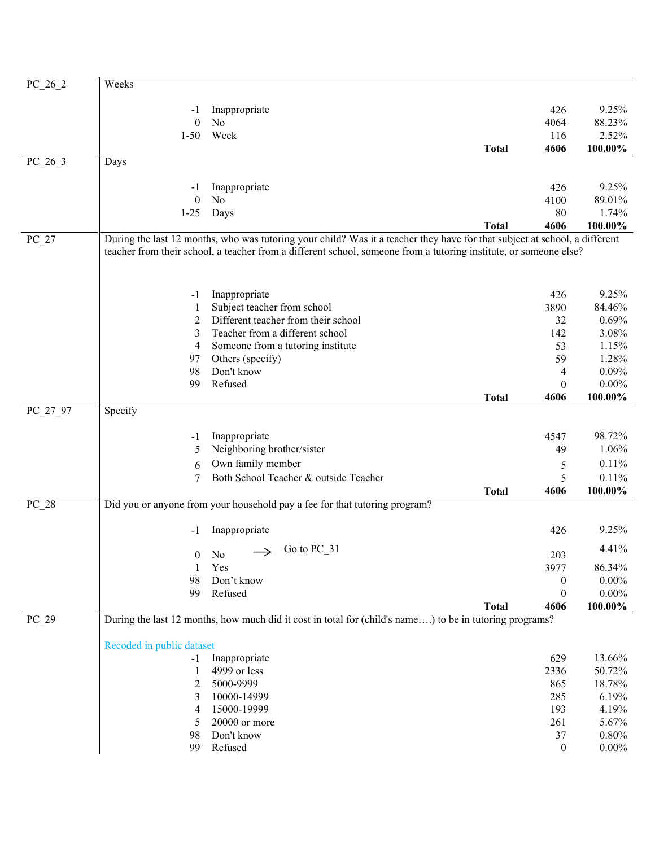| $PC_26_2$ | Weeks                                                                                                                      |              |                  |                 |
|-----------|----------------------------------------------------------------------------------------------------------------------------|--------------|------------------|-----------------|
|           | Inappropriate<br>$-1$                                                                                                      |              | 426              | 9.25%           |
|           | $\boldsymbol{0}$<br>No                                                                                                     |              | 4064             | 88.23%          |
|           | Week<br>$1 - 50$                                                                                                           |              | 116              | 2.52%           |
|           |                                                                                                                            | <b>Total</b> | 4606             | 100.00%         |
| $PC_26_3$ | Days                                                                                                                       |              |                  |                 |
|           |                                                                                                                            |              |                  |                 |
|           | Inappropriate<br>$-1$<br>$\boldsymbol{0}$<br>No                                                                            |              | 426              | 9.25%<br>89.01% |
|           | Days<br>$1 - 25$                                                                                                           |              | 4100<br>80       | 1.74%           |
|           |                                                                                                                            | <b>Total</b> | 4606             | 100.00%         |
| $PC_27$   | During the last 12 months, who was tutoring your child? Was it a teacher they have for that subject at school, a different |              |                  |                 |
|           | teacher from their school, a teacher from a different school, someone from a tutoring institute, or someone else?          |              |                  |                 |
|           |                                                                                                                            |              |                  |                 |
|           | Inappropriate<br>$-1$                                                                                                      |              | 426              | 9.25%           |
|           | Subject teacher from school                                                                                                |              | 3890             | 84.46%          |
|           | Different teacher from their school<br>2                                                                                   |              | 32               | 0.69%           |
|           | 3<br>Teacher from a different school                                                                                       |              | 142              | 3.08%           |
|           | Someone from a tutoring institute<br>4                                                                                     |              | 53               | 1.15%           |
|           | Others (specify)<br>97                                                                                                     |              | 59               | 1.28%           |
|           | Don't know<br>98                                                                                                           |              | 4                | 0.09%           |
|           | Refused<br>99                                                                                                              |              | $\boldsymbol{0}$ | $0.00\%$        |
| PC_27_97  | Specify                                                                                                                    | <b>Total</b> | 4606             | 100.00%         |
|           |                                                                                                                            |              |                  |                 |
|           | Inappropriate<br>$-1$                                                                                                      |              | 4547             | 98.72%          |
|           | Neighboring brother/sister<br>5                                                                                            |              | 49               | 1.06%           |
|           | Own family member<br>6                                                                                                     |              | 5                | 0.11%           |
|           | Both School Teacher & outside Teacher<br>7                                                                                 |              | 5                | 0.11%           |
|           |                                                                                                                            | <b>Total</b> | 4606             | 100.00%         |
| $PC_28$   | Did you or anyone from your household pay a fee for that tutoring program?                                                 |              |                  |                 |
|           | Inappropriate<br>-1                                                                                                        |              | 426              | 9.25%           |
|           | Go to PC 31<br>$0$ No                                                                                                      |              | 203              | 4.41%           |
|           | 1<br>Yes                                                                                                                   |              | 3977             | 86.34%          |
|           | 98<br>Don't know                                                                                                           |              | $\boldsymbol{0}$ | $0.00\%$        |
|           | Refused<br>99                                                                                                              |              | $\boldsymbol{0}$ | $0.00\%$        |
|           |                                                                                                                            | <b>Total</b> | 4606             | 100.00%         |
| $PC_29$   | During the last 12 months, how much did it cost in total for (child's name) to be in tutoring programs?                    |              |                  |                 |
|           | Recoded in public dataset                                                                                                  |              |                  |                 |
|           | Inappropriate<br>$-1$                                                                                                      |              | 629              | 13.66%          |
|           | 4999 or less<br>1                                                                                                          |              | 2336             | 50.72%          |
|           | 5000-9999<br>2                                                                                                             |              | 865              | 18.78%          |
|           | 10000-14999<br>3                                                                                                           |              | 285              | 6.19%           |
|           | 15000-19999<br>4                                                                                                           |              | 193              | 4.19%           |
|           | 20000 or more<br>5                                                                                                         |              | 261              | 5.67%           |
|           | Don't know<br>98                                                                                                           |              | 37               | 0.80%           |
|           | Refused<br>99                                                                                                              |              | $\boldsymbol{0}$ | $0.00\%$        |
|           |                                                                                                                            |              |                  |                 |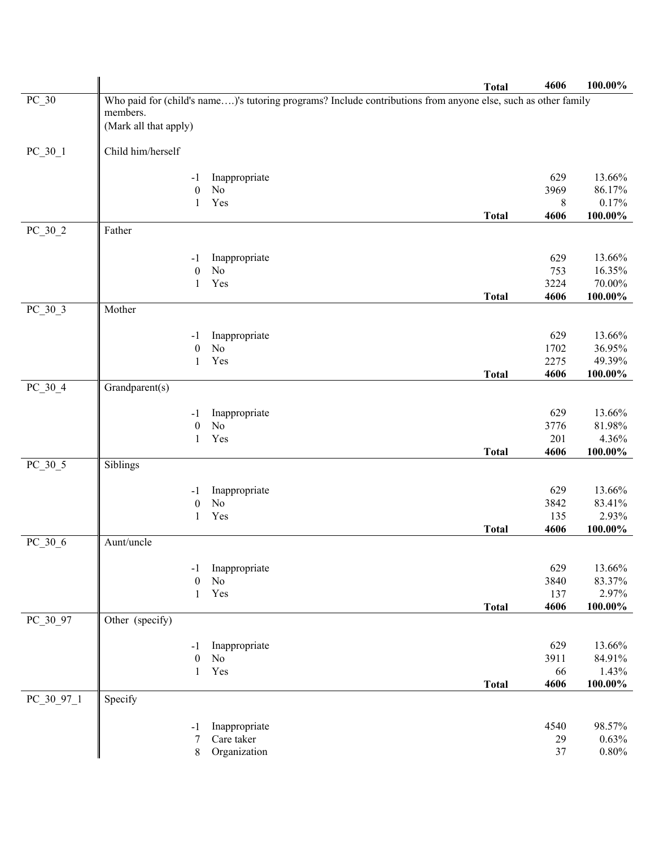|              |                                    |                                                                                                               | <b>Total</b> | 4606         | 100.00%                 |
|--------------|------------------------------------|---------------------------------------------------------------------------------------------------------------|--------------|--------------|-------------------------|
| $PC_30$      |                                    | Who paid for (child's name)'s tutoring programs? Include contributions from anyone else, such as other family |              |              |                         |
|              | members.                           |                                                                                                               |              |              |                         |
|              | (Mark all that apply)              |                                                                                                               |              |              |                         |
| $PC_30_1$    | Child him/herself                  |                                                                                                               |              |              |                         |
|              |                                    |                                                                                                               |              |              |                         |
|              | -1                                 | Inappropriate                                                                                                 |              | 629          | 13.66%                  |
|              | N <sub>o</sub><br>$\boldsymbol{0}$ |                                                                                                               |              | 3969         | 86.17%                  |
|              | $\mathbf{1}$                       | Yes                                                                                                           |              | 8            | 0.17%                   |
|              |                                    |                                                                                                               | <b>Total</b> | 4606         | 100.00%                 |
| $PC_30_2$    | Father                             |                                                                                                               |              |              |                         |
|              |                                    |                                                                                                               |              |              |                         |
|              | $-1$                               | Inappropriate                                                                                                 |              | 629          | 13.66%                  |
|              | $\rm No$<br>$\boldsymbol{0}$       |                                                                                                               |              | 753          | 16.35%                  |
|              | 1                                  | Yes                                                                                                           |              | 3224<br>4606 | $70.00\%$<br>$100.00\%$ |
| $PC_30_3$    | Mother                             |                                                                                                               | <b>Total</b> |              |                         |
|              |                                    |                                                                                                               |              |              |                         |
|              | -1                                 | Inappropriate                                                                                                 |              | 629          | 13.66%                  |
|              | $\rm No$<br>$\boldsymbol{0}$       |                                                                                                               |              | 1702         | 36.95%                  |
|              | 1                                  | Yes                                                                                                           |              | 2275         | 49.39%                  |
|              |                                    |                                                                                                               | <b>Total</b> | 4606         | $100.00\%$              |
| $PC_30_4$    | $\overline{G}$ randparent(s)       |                                                                                                               |              |              |                         |
|              | -1                                 | Inappropriate                                                                                                 |              | 629          | 13.66%                  |
|              | No<br>$\boldsymbol{0}$             |                                                                                                               |              | 3776         | 81.98%                  |
|              | 1                                  | Yes                                                                                                           |              | 201          | 4.36%                   |
|              |                                    |                                                                                                               | <b>Total</b> | 4606         | 100.00%                 |
| $PC_30_5$    | Siblings                           |                                                                                                               |              |              |                         |
|              |                                    |                                                                                                               |              |              |                         |
|              | -1                                 | Inappropriate                                                                                                 |              | 629          | 13.66%                  |
|              | $\rm No$<br>$\boldsymbol{0}$       |                                                                                                               |              | 3842         | 83.41%                  |
|              | 1                                  | Yes                                                                                                           | <b>Total</b> | 135<br>4606  | 2.93%<br>100.00%        |
| $PC_30_6$    | Aunt/uncle                         |                                                                                                               |              |              |                         |
|              |                                    |                                                                                                               |              |              |                         |
|              | -1                                 | Inappropriate                                                                                                 |              | 629          | 13.66%                  |
|              | No<br>$\theta$                     |                                                                                                               |              | 3840         | 83.37%                  |
|              | 1                                  | Yes                                                                                                           |              | 137          | 2.97%                   |
|              |                                    |                                                                                                               | <b>Total</b> | 4606         | $100.00\%$              |
| PC_30_97     | Other (specify)                    |                                                                                                               |              |              |                         |
|              | -1                                 | Inappropriate                                                                                                 |              | 629          | 13.66%                  |
|              | No<br>$\mathbf{0}$                 |                                                                                                               |              | 3911         | 84.91%                  |
|              | 1                                  | Yes                                                                                                           |              | 66           | 1.43%                   |
|              |                                    |                                                                                                               | <b>Total</b> | 4606         | 100.00%                 |
| $PC_30_97_1$ | Specify                            |                                                                                                               |              |              |                         |
|              |                                    |                                                                                                               |              |              |                         |
|              | -1                                 | Inappropriate                                                                                                 |              | 4540         | 98.57%                  |
|              | 7                                  | Care taker                                                                                                    |              | 29           | 0.63%                   |
|              | 8                                  | Organization                                                                                                  |              | 37           | $0.80\%$                |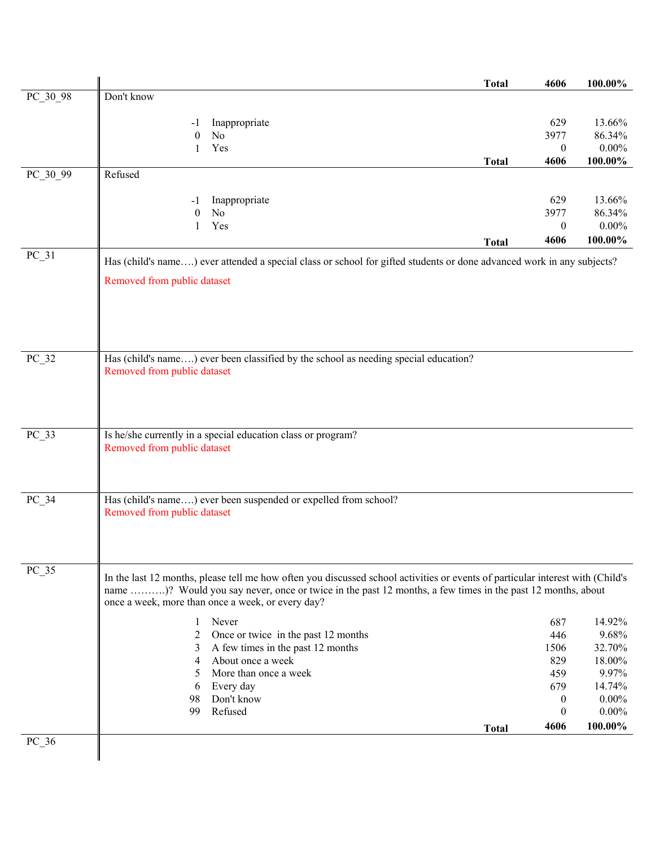|          |                                                              |                                                                                                                                | <b>Total</b> | 4606             | 100.00%         |
|----------|--------------------------------------------------------------|--------------------------------------------------------------------------------------------------------------------------------|--------------|------------------|-----------------|
| PC_30_98 | Don't know                                                   |                                                                                                                                |              |                  |                 |
|          | -1                                                           | Inappropriate                                                                                                                  |              | 629              | 13.66%          |
|          | No<br>$\theta$                                               |                                                                                                                                |              | 3977             | 86.34%          |
|          | Yes<br>1                                                     |                                                                                                                                |              | $\boldsymbol{0}$ | $0.00\%$        |
|          |                                                              |                                                                                                                                | <b>Total</b> | 4606             | $100.00\%$      |
| PC_30_99 | Refused                                                      |                                                                                                                                |              |                  |                 |
|          | - 1                                                          | Inappropriate                                                                                                                  |              | 629              | 13.66%          |
|          | No<br>$\theta$                                               |                                                                                                                                |              | 3977             | 86.34%          |
|          | Yes<br>1                                                     |                                                                                                                                |              | $\boldsymbol{0}$ | $0.00\%$        |
|          |                                                              |                                                                                                                                | <b>Total</b> | 4606             | 100.00%         |
| $PC_31$  |                                                              | Has (child's name) ever attended a special class or school for gifted students or done advanced work in any subjects?          |              |                  |                 |
|          |                                                              |                                                                                                                                |              |                  |                 |
|          | Removed from public dataset                                  |                                                                                                                                |              |                  |                 |
|          |                                                              |                                                                                                                                |              |                  |                 |
|          |                                                              |                                                                                                                                |              |                  |                 |
|          |                                                              |                                                                                                                                |              |                  |                 |
|          |                                                              |                                                                                                                                |              |                  |                 |
| $PC_32$  |                                                              | Has (child's name) ever been classified by the school as needing special education?                                            |              |                  |                 |
|          | Removed from public dataset                                  |                                                                                                                                |              |                  |                 |
|          |                                                              |                                                                                                                                |              |                  |                 |
|          |                                                              |                                                                                                                                |              |                  |                 |
|          |                                                              |                                                                                                                                |              |                  |                 |
| $PC_33$  | Is he/she currently in a special education class or program? |                                                                                                                                |              |                  |                 |
|          | Removed from public dataset                                  |                                                                                                                                |              |                  |                 |
|          |                                                              |                                                                                                                                |              |                  |                 |
|          |                                                              |                                                                                                                                |              |                  |                 |
| $PC_34$  |                                                              | Has (child's name) ever been suspended or expelled from school?                                                                |              |                  |                 |
|          | Removed from public dataset                                  |                                                                                                                                |              |                  |                 |
|          |                                                              |                                                                                                                                |              |                  |                 |
|          |                                                              |                                                                                                                                |              |                  |                 |
| $PC_35$  |                                                              |                                                                                                                                |              |                  |                 |
|          |                                                              | In the last 12 months, please tell me how often you discussed school activities or events of particular interest with (Child's |              |                  |                 |
|          |                                                              | name )? Would you say never, once or twice in the past 12 months, a few times in the past 12 months, about                     |              |                  |                 |
|          | once a week, more than once a week, or every day?            |                                                                                                                                |              |                  |                 |
|          | Never<br>1                                                   |                                                                                                                                |              | 687              | 14.92%          |
|          | 2                                                            | Once or twice in the past 12 months                                                                                            |              | 446              | 9.68%           |
|          | 3                                                            | A few times in the past 12 months<br>About once a week                                                                         |              | 1506             | 32.70%          |
|          | 4<br>5                                                       | More than once a week                                                                                                          |              | 829<br>459       | 18.00%<br>9.97% |
|          | 6                                                            | Every day                                                                                                                      |              | 679              | 14.74%          |
|          | 98                                                           | Don't know                                                                                                                     |              | $\boldsymbol{0}$ | $0.00\%$        |
|          | 99<br>Refused                                                |                                                                                                                                |              | $\boldsymbol{0}$ | $0.00\%$        |
|          |                                                              |                                                                                                                                | <b>Total</b> | 4606             | 100.00%         |
| $PC_36$  |                                                              |                                                                                                                                |              |                  |                 |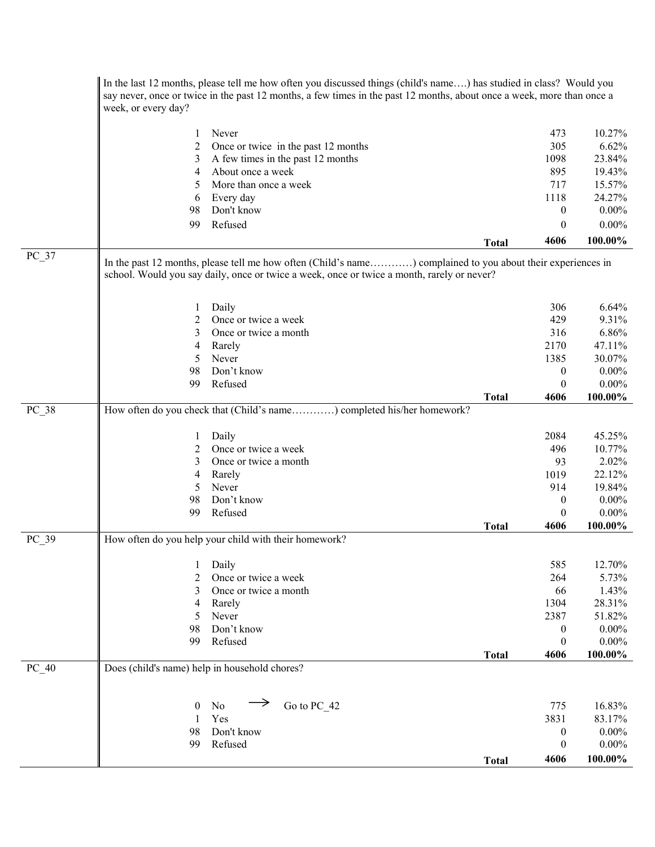|         | In the last 12 months, please tell me how often you discussed things (child's name) has studied in class? Would you<br>say never, once or twice in the past 12 months, a few times in the past 12 months, about once a week, more than once a<br>week, or every day? |                                                                                                                                                                                                           |              |                  |            |
|---------|----------------------------------------------------------------------------------------------------------------------------------------------------------------------------------------------------------------------------------------------------------------------|-----------------------------------------------------------------------------------------------------------------------------------------------------------------------------------------------------------|--------------|------------------|------------|
|         |                                                                                                                                                                                                                                                                      | Never                                                                                                                                                                                                     |              |                  |            |
|         | 1                                                                                                                                                                                                                                                                    |                                                                                                                                                                                                           |              | 473              | 10.27%     |
|         | 2                                                                                                                                                                                                                                                                    | Once or twice in the past 12 months                                                                                                                                                                       |              | 305              | 6.62%      |
|         | 3                                                                                                                                                                                                                                                                    | A few times in the past 12 months                                                                                                                                                                         |              | 1098             | 23.84%     |
|         | 4                                                                                                                                                                                                                                                                    | About once a week                                                                                                                                                                                         |              | 895              | 19.43%     |
|         | 5                                                                                                                                                                                                                                                                    | More than once a week                                                                                                                                                                                     |              | 717              | 15.57%     |
|         | 6                                                                                                                                                                                                                                                                    | Every day                                                                                                                                                                                                 |              | 1118             | 24.27%     |
|         | 98                                                                                                                                                                                                                                                                   | Don't know                                                                                                                                                                                                |              | $\boldsymbol{0}$ | $0.00\%$   |
|         | 99                                                                                                                                                                                                                                                                   | Refused                                                                                                                                                                                                   |              | $\theta$         | $0.00\%$   |
|         |                                                                                                                                                                                                                                                                      |                                                                                                                                                                                                           | <b>Total</b> | 4606             | 100.00%    |
| $PC_37$ |                                                                                                                                                                                                                                                                      | In the past 12 months, please tell me how often (Child's name) complained to you about their experiences in<br>school. Would you say daily, once or twice a week, once or twice a month, rarely or never? |              |                  |            |
|         | 1                                                                                                                                                                                                                                                                    | Daily                                                                                                                                                                                                     |              | 306              | 6.64%      |
|         | 2                                                                                                                                                                                                                                                                    | Once or twice a week                                                                                                                                                                                      |              | 429              | 9.31%      |
|         | 3                                                                                                                                                                                                                                                                    | Once or twice a month                                                                                                                                                                                     |              | 316              | 6.86%      |
|         | 4                                                                                                                                                                                                                                                                    | Rarely                                                                                                                                                                                                    |              | 2170             | 47.11%     |
|         | 5                                                                                                                                                                                                                                                                    | Never                                                                                                                                                                                                     |              | 1385             | 30.07%     |
|         | 98                                                                                                                                                                                                                                                                   | Don't know                                                                                                                                                                                                |              | $\boldsymbol{0}$ | $0.00\%$   |
|         | 99                                                                                                                                                                                                                                                                   | Refused                                                                                                                                                                                                   |              | $\theta$         | $0.00\%$   |
|         |                                                                                                                                                                                                                                                                      |                                                                                                                                                                                                           | <b>Total</b> | 4606             | 100.00%    |
| $PC_38$ |                                                                                                                                                                                                                                                                      | How often do you check that (Child's name) completed his/her homework?                                                                                                                                    |              |                  |            |
|         | 1                                                                                                                                                                                                                                                                    | Daily                                                                                                                                                                                                     |              | 2084             | 45.25%     |
|         | 2                                                                                                                                                                                                                                                                    | Once or twice a week                                                                                                                                                                                      |              | 496              | 10.77%     |
|         | 3                                                                                                                                                                                                                                                                    | Once or twice a month                                                                                                                                                                                     |              | 93               | 2.02%      |
|         | 4                                                                                                                                                                                                                                                                    | Rarely                                                                                                                                                                                                    |              | 1019             | 22.12%     |
|         | 5                                                                                                                                                                                                                                                                    | Never                                                                                                                                                                                                     |              | 914              | 19.84%     |
|         | 98                                                                                                                                                                                                                                                                   | Don't know                                                                                                                                                                                                |              | $\boldsymbol{0}$ | $0.00\%$   |
|         | 99                                                                                                                                                                                                                                                                   | Refused                                                                                                                                                                                                   |              | $\mathbf{0}$     | $0.00\%$   |
|         |                                                                                                                                                                                                                                                                      |                                                                                                                                                                                                           | <b>Total</b> | 4606             | 100.00%    |
| PC 39   |                                                                                                                                                                                                                                                                      | How often do you help your child with their homework?                                                                                                                                                     |              |                  |            |
|         | 1                                                                                                                                                                                                                                                                    | Daily                                                                                                                                                                                                     |              | 585              | 12.70%     |
|         | 2                                                                                                                                                                                                                                                                    | Once or twice a week                                                                                                                                                                                      |              | 264              | 5.73%      |
|         | 3                                                                                                                                                                                                                                                                    | Once or twice a month                                                                                                                                                                                     |              | 66               | 1.43%      |
|         | 4                                                                                                                                                                                                                                                                    | Rarely                                                                                                                                                                                                    |              | 1304             | 28.31%     |
|         | 5                                                                                                                                                                                                                                                                    | Never                                                                                                                                                                                                     |              | 2387             | 51.82%     |
|         | 98                                                                                                                                                                                                                                                                   | Don't know                                                                                                                                                                                                |              | $\boldsymbol{0}$ | $0.00\%$   |
|         | 99                                                                                                                                                                                                                                                                   | Refused                                                                                                                                                                                                   |              | $\boldsymbol{0}$ | $0.00\%$   |
|         |                                                                                                                                                                                                                                                                      |                                                                                                                                                                                                           | <b>Total</b> | 4606             | 100.00%    |
| $PC_40$ | Does (child's name) help in household chores?                                                                                                                                                                                                                        |                                                                                                                                                                                                           |              |                  |            |
|         | $\boldsymbol{0}$                                                                                                                                                                                                                                                     | Go to PC 42<br>No                                                                                                                                                                                         |              | 775              | 16.83%     |
|         | $\mathbf{1}$                                                                                                                                                                                                                                                         | Yes                                                                                                                                                                                                       |              | 3831             | 83.17%     |
|         | 98                                                                                                                                                                                                                                                                   | Don't know                                                                                                                                                                                                |              |                  | $0.00\%$   |
|         | 99                                                                                                                                                                                                                                                                   | Refused                                                                                                                                                                                                   |              | $\boldsymbol{0}$ | $0.00\%$   |
|         |                                                                                                                                                                                                                                                                      |                                                                                                                                                                                                           |              | $\boldsymbol{0}$ |            |
|         |                                                                                                                                                                                                                                                                      |                                                                                                                                                                                                           | <b>Total</b> | 4606             | $100.00\%$ |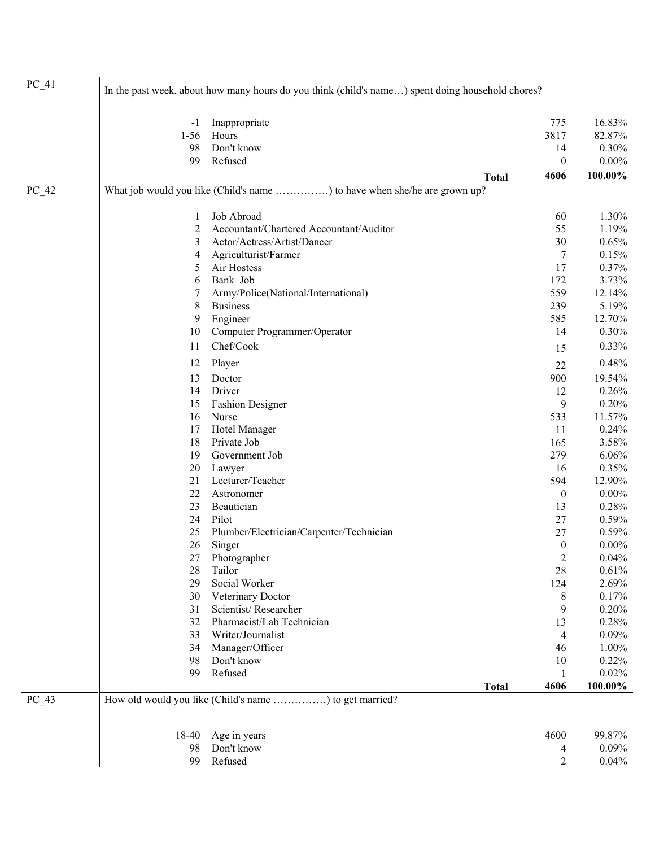| $PC_41$ | In the past week, about how many hours do you think (child's name) spent doing household chores? |                                                                           |                      |          |  |
|---------|--------------------------------------------------------------------------------------------------|---------------------------------------------------------------------------|----------------------|----------|--|
|         | -1                                                                                               | Inappropriate                                                             | 775                  | 16.83%   |  |
|         | $1-56$                                                                                           | Hours                                                                     | 3817                 | 82.87%   |  |
|         | 98                                                                                               | Don't know                                                                | 14                   | 0.30%    |  |
|         | 99                                                                                               | Refused                                                                   | $\boldsymbol{0}$     | $0.00\%$ |  |
|         |                                                                                                  | <b>Total</b>                                                              | 4606                 | 100.00%  |  |
| $PC_42$ |                                                                                                  | What job would you like (Child's name ) to have when she/he are grown up? |                      |          |  |
|         | $\mathbf{1}$                                                                                     | Job Abroad                                                                | 60                   | 1.30%    |  |
|         | 2                                                                                                | Accountant/Chartered Accountant/Auditor                                   | 55                   | 1.19%    |  |
|         | 3                                                                                                | Actor/Actress/Artist/Dancer                                               | 30                   | 0.65%    |  |
|         | 4                                                                                                | Agriculturist/Farmer                                                      | 7                    | 0.15%    |  |
|         | 5                                                                                                | Air Hostess                                                               | 17                   | 0.37%    |  |
|         | 6                                                                                                | Bank Job                                                                  | 172                  | 3.73%    |  |
|         | 7                                                                                                | Army/Police(National/International)                                       | 559                  | 12.14%   |  |
|         | 8                                                                                                | <b>Business</b>                                                           | 239                  | 5.19%    |  |
|         | 9                                                                                                | Engineer                                                                  | 585                  | 12.70%   |  |
|         | 10                                                                                               | Computer Programmer/Operator                                              | 14                   | 0.30%    |  |
|         | 11                                                                                               | Chef/Cook                                                                 | 15                   | 0.33%    |  |
|         | 12                                                                                               | Player                                                                    | 22                   | 0.48%    |  |
|         | 13                                                                                               | Doctor                                                                    | 900                  | 19.54%   |  |
|         | 14                                                                                               | Driver                                                                    | 12                   | 0.26%    |  |
|         | 15                                                                                               | <b>Fashion Designer</b>                                                   | 9                    | 0.20%    |  |
|         | 16                                                                                               | Nurse                                                                     | 533                  | 11.57%   |  |
|         | 17                                                                                               | Hotel Manager                                                             | 11                   | 0.24%    |  |
|         | 18                                                                                               | Private Job                                                               | 165                  | 3.58%    |  |
|         | 19                                                                                               | Government Job                                                            | 279                  | 6.06%    |  |
|         | 20                                                                                               | Lawyer                                                                    | 16                   | 0.35%    |  |
|         | 21                                                                                               | Lecturer/Teacher                                                          | 594                  | 12.90%   |  |
|         | 22                                                                                               | Astronomer                                                                | $\boldsymbol{0}$     | $0.00\%$ |  |
|         | 23                                                                                               | Beautician                                                                | 13                   | 0.28%    |  |
|         | 24                                                                                               | Pilot                                                                     | 27                   | 0.59%    |  |
|         | 25                                                                                               | Plumber/Electrician/Carpenter/Technician                                  | 27                   | 0.59%    |  |
|         | 26                                                                                               | Singer                                                                    | $\boldsymbol{0}$     | $0.00\%$ |  |
|         |                                                                                                  | 27 Photographer                                                           |                      | 0.04%    |  |
|         | 28                                                                                               | Tailor                                                                    | $\overline{c}$<br>28 |          |  |
|         | 29                                                                                               | Social Worker                                                             |                      | 0.61%    |  |
|         |                                                                                                  |                                                                           | 124                  | 2.69%    |  |
|         | 30                                                                                               | Veterinary Doctor                                                         | 8                    | 0.17%    |  |
|         | 31                                                                                               | Scientist/Researcher                                                      | 9                    | 0.20%    |  |
|         | 32                                                                                               | Pharmacist/Lab Technician                                                 | 13                   | 0.28%    |  |
|         | 33                                                                                               | Writer/Journalist                                                         | $\overline{4}$       | 0.09%    |  |
|         | 34                                                                                               | Manager/Officer                                                           | 46                   | 1.00%    |  |
|         | 98                                                                                               | Don't know                                                                | 10                   | 0.22%    |  |
|         | 99                                                                                               | Refused                                                                   | 1                    | 0.02%    |  |
| $PC_43$ |                                                                                                  | <b>Total</b><br>How old would you like (Child's name ) to get married?    | 4606                 | 100.00%  |  |
|         | 18-40                                                                                            | Age in years                                                              | 4600                 | 99.87%   |  |
|         | 98                                                                                               | Don't know                                                                | 4                    | 0.09%    |  |
|         | 99                                                                                               | Refused                                                                   | $\overline{2}$       | 0.04%    |  |
|         |                                                                                                  |                                                                           |                      |          |  |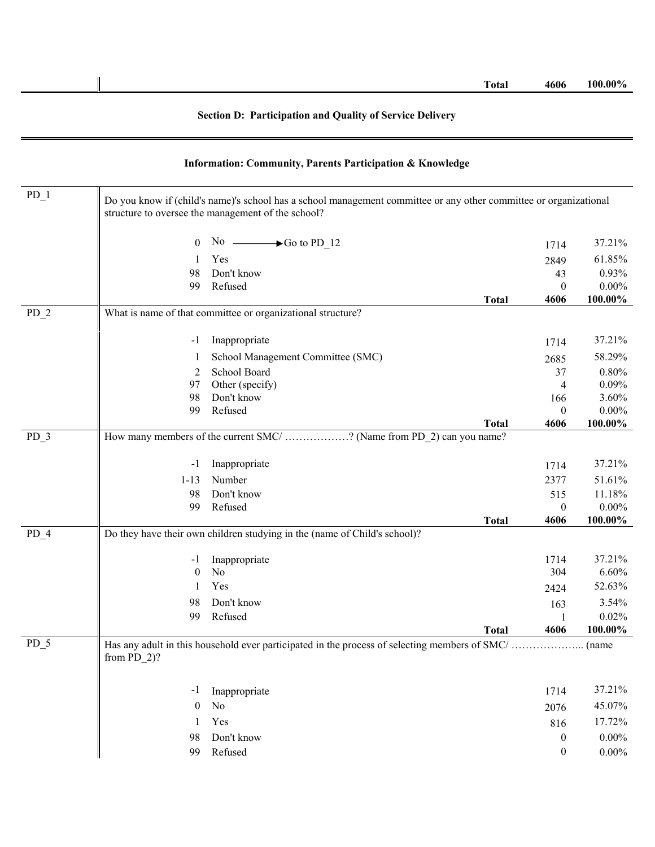## **Section D: Participation and Quality of Service Delivery**

| $PD_1$            |                  | Do you know if (child's name)'s school has a school management committee or any other committee or organizational<br>structure to oversee the management of the school? |              |                  |            |
|-------------------|------------------|-------------------------------------------------------------------------------------------------------------------------------------------------------------------------|--------------|------------------|------------|
|                   | $\theta$         | No $\longrightarrow$ Go to PD 12                                                                                                                                        |              | 1714             | 37.21%     |
|                   |                  | Yes                                                                                                                                                                     |              | 2849             | 61.85%     |
|                   | 98               | Don't know                                                                                                                                                              |              | 43               | 0.93%      |
|                   | 99               | Refused                                                                                                                                                                 |              | $\mathbf{0}$     | $0.00\%$   |
|                   |                  |                                                                                                                                                                         | <b>Total</b> | 4606             | 100.00%    |
| PD <sub>2</sub>   |                  | What is name of that committee or organizational structure?                                                                                                             |              |                  |            |
|                   | -1               | Inappropriate                                                                                                                                                           |              | 1714             | 37.21%     |
|                   |                  | School Management Committee (SMC)                                                                                                                                       |              | 2685             | 58.29%     |
|                   | 2                | School Board                                                                                                                                                            |              | 37               | 0.80%      |
|                   | 97               | Other (specify)                                                                                                                                                         |              | 4                | 0.09%      |
|                   | 98               | Don't know                                                                                                                                                              |              | 166              | 3.60%      |
|                   | 99               | Refused                                                                                                                                                                 |              | 0                | $0.00\%$   |
|                   |                  |                                                                                                                                                                         | <b>Total</b> | 4606             | 100.00%    |
| PD <sub>3</sub>   |                  | How many members of the current SMC/ ? (Name from PD_2) can you name?                                                                                                   |              |                  |            |
|                   | -1               | Inappropriate                                                                                                                                                           |              | 1714             | 37.21%     |
|                   | $1 - 13$         | Number                                                                                                                                                                  |              | 2377             | 51.61%     |
|                   | 98               | Don't know                                                                                                                                                              |              | 515              | 11.18%     |
|                   | 99               | Refused                                                                                                                                                                 |              | $\boldsymbol{0}$ | $0.00\%$   |
|                   |                  |                                                                                                                                                                         | <b>Total</b> | 4606             | 100.00%    |
| $PD_4$            |                  | Do they have their own children studying in the (name of Child's school)?                                                                                               |              |                  |            |
|                   | -1               | Inappropriate                                                                                                                                                           |              | 1714             | 37.21%     |
|                   | $\boldsymbol{0}$ | N <sub>o</sub>                                                                                                                                                          |              | 304              | 6.60%      |
|                   |                  | Yes                                                                                                                                                                     |              | 2424             | 52.63%     |
|                   | 98               | Don't know                                                                                                                                                              |              | 163              | 3.54%      |
|                   | 99               | Refused                                                                                                                                                                 |              |                  | 0.02%      |
|                   |                  |                                                                                                                                                                         | <b>Total</b> | 4606             | $100.00\%$ |
| $\overline{PD}$ 5 | from $PD_2$ ?    | Has any adult in this household ever participated in the process of selecting members of SMC/                                                                           |              |                  | . (name    |
|                   | -1               | Inappropriate                                                                                                                                                           |              | 1714             | 37.21%     |
|                   | $\mathbf{0}$     | No                                                                                                                                                                      |              | 2076             | 45.07%     |
|                   | 1                | Yes                                                                                                                                                                     |              | 816              | 17.72%     |
|                   | 98               | Don't know                                                                                                                                                              |              | 0                | $0.00\%$   |
|                   | 99               | Refused                                                                                                                                                                 |              | $\boldsymbol{0}$ | $0.00\%$   |
|                   |                  |                                                                                                                                                                         |              |                  |            |

## **Information: Community, Parents Participation & Knowledge**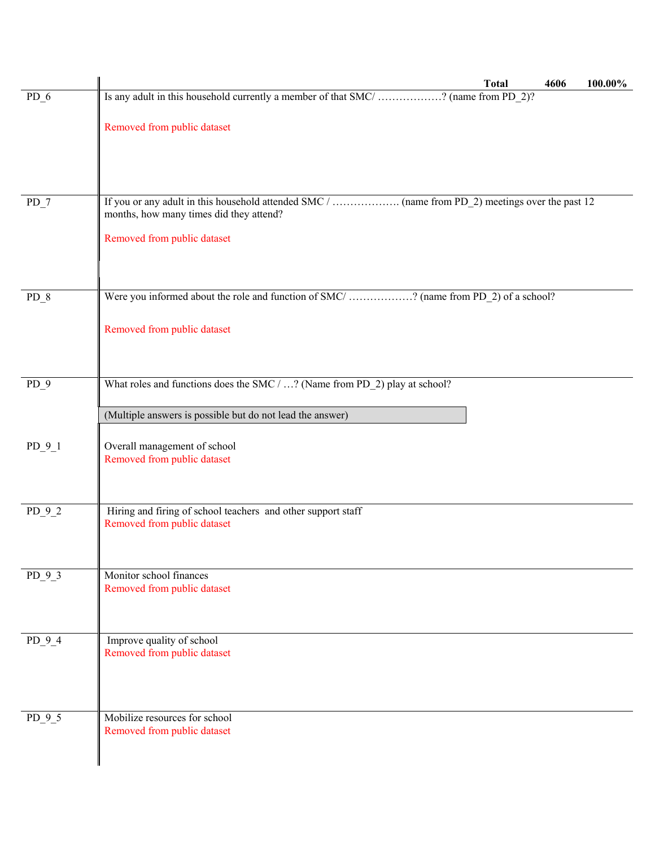|          | <b>Total</b><br>4606<br>100.00%                                                             |
|----------|---------------------------------------------------------------------------------------------|
| $PD_6$   | Is any adult in this household currently a member of that SMC/? (name from PD_2)?           |
|          | Removed from public dataset                                                                 |
|          |                                                                                             |
|          |                                                                                             |
| $PD_7$   |                                                                                             |
|          | months, how many times did they attend?                                                     |
|          | Removed from public dataset                                                                 |
|          |                                                                                             |
| $PD_8$   | Were you informed about the role and function of SMC/? (name from PD_2) of a school?        |
|          |                                                                                             |
|          | Removed from public dataset                                                                 |
|          |                                                                                             |
| PD 9     | What roles and functions does the SMC / ? (Name from PD_2) play at school?                  |
|          |                                                                                             |
|          | (Multiple answers is possible but do not lead the answer)                                   |
| $PD_9_1$ | Overall management of school<br>Removed from public dataset                                 |
|          |                                                                                             |
|          |                                                                                             |
| $PD_9_2$ | Hiring and firing of school teachers and other support staff<br>Removed from public dataset |
|          |                                                                                             |
| PD 9 3   | Monitor school finances                                                                     |
|          | Removed from public dataset                                                                 |
|          |                                                                                             |
| $PD_9_4$ | Improve quality of school                                                                   |
|          | Removed from public dataset                                                                 |
|          |                                                                                             |
|          | Mobilize resources for school                                                               |
| $PD_9_5$ | Removed from public dataset                                                                 |
|          |                                                                                             |
|          |                                                                                             |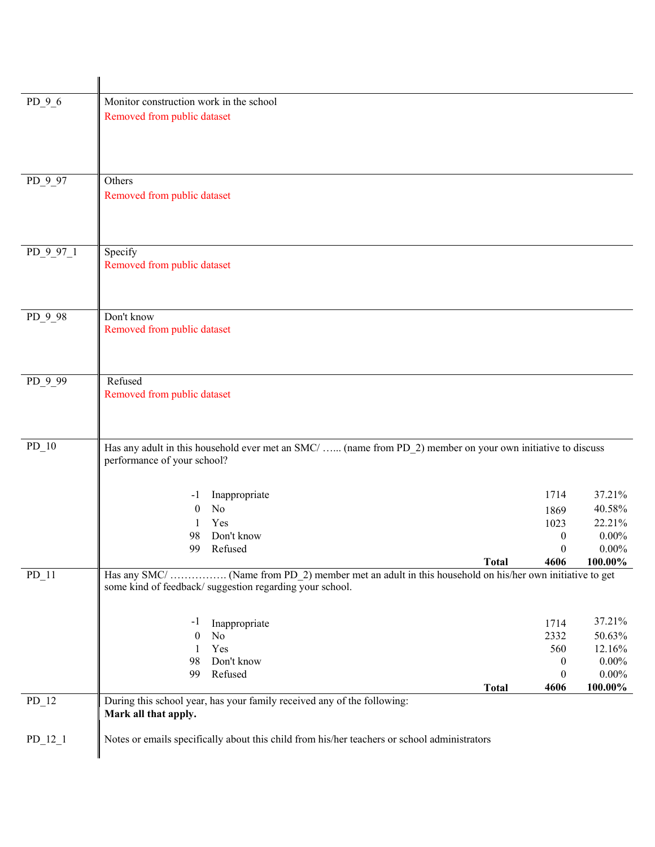| $PD_9_6$  | Monitor construction work in the school<br>Removed from public dataset                                                                                            |                  |          |
|-----------|-------------------------------------------------------------------------------------------------------------------------------------------------------------------|------------------|----------|
| $PD_997$  | Others<br>Removed from public dataset                                                                                                                             |                  |          |
| PD_9_97_1 | Specify<br>Removed from public dataset                                                                                                                            |                  |          |
| PD_9_98   | Don't know<br>Removed from public dataset                                                                                                                         |                  |          |
| PD 9 99   | Refused<br>Removed from public dataset                                                                                                                            |                  |          |
| $PD_10$   | Has any adult in this household ever met an SMC/  (name from PD_2) member on your own initiative to discuss<br>performance of your school?                        |                  |          |
|           | Inappropriate<br>-1                                                                                                                                               | 1714             | 37.21%   |
|           | No<br>$\overline{0}$                                                                                                                                              | 1869             | 40.58%   |
|           | Yes<br>1                                                                                                                                                          | 1023             | 22.21%   |
|           | Don't know<br>98                                                                                                                                                  | $\boldsymbol{0}$ | $0.00\%$ |
|           | 99<br>Refused                                                                                                                                                     | $\Omega$         | $0.00\%$ |
|           | <b>Total</b>                                                                                                                                                      | 4606             | 100.00%  |
| $PD_11$   | Has any SMC/  (Name from PD 2) member met an adult in this household on his/her own initiative to get<br>some kind of feedback/ suggestion regarding your school. |                  |          |
|           | Inappropriate<br>-1                                                                                                                                               | 1714             | 37.21%   |
|           | No<br>$\theta$                                                                                                                                                    | 2332             | 50.63%   |
|           | Yes<br>1                                                                                                                                                          | 560              | 12.16%   |
|           | Don't know<br>98                                                                                                                                                  | $\boldsymbol{0}$ | $0.00\%$ |
|           | Refused<br>99                                                                                                                                                     | $\boldsymbol{0}$ | $0.00\%$ |
|           | <b>Total</b><br>During this school year, has your family received any of the following:                                                                           | 4606             | 100.00%  |
| $PD_12$   | Mark all that apply.                                                                                                                                              |                  |          |
| $PD_12_1$ | Notes or emails specifically about this child from his/her teachers or school administrators                                                                      |                  |          |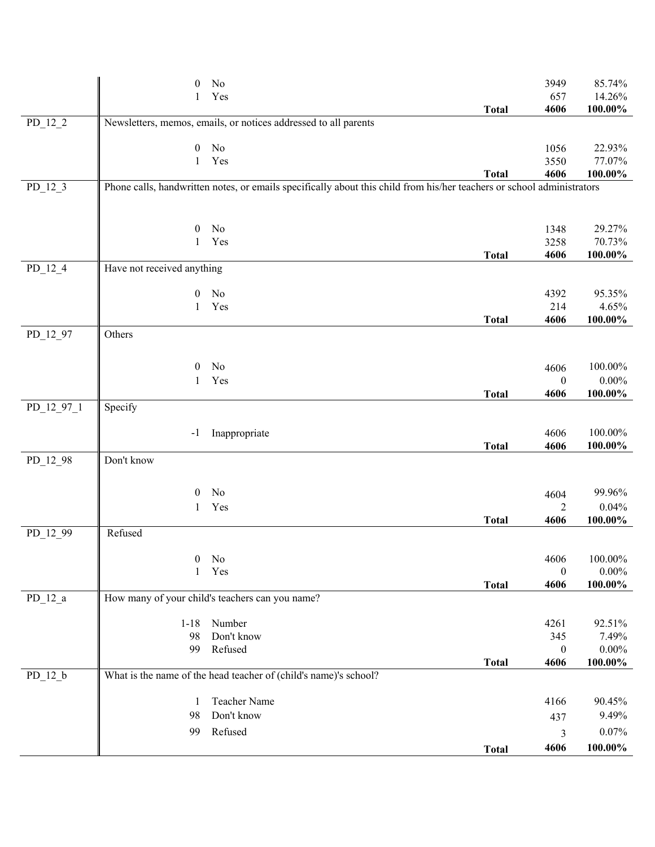|            | 0                          | No                                                                                                                     |              | 3949                     | 85.74%                 |
|------------|----------------------------|------------------------------------------------------------------------------------------------------------------------|--------------|--------------------------|------------------------|
|            | 1                          | Yes                                                                                                                    |              | 657                      | 14.26%                 |
| $PD_12_2$  |                            | Newsletters, memos, emails, or notices addressed to all parents                                                        | <b>Total</b> | 4606                     | $100.00\%$             |
|            |                            |                                                                                                                        |              |                          |                        |
|            | $\boldsymbol{0}$           | No                                                                                                                     |              | 1056                     | 22.93%                 |
|            | $\mathbf{1}$               | Yes                                                                                                                    |              | 3550                     | 77.07%                 |
| $PD_12_3$  |                            | Phone calls, handwritten notes, or emails specifically about this child from his/her teachers or school administrators | <b>Total</b> | 4606                     | $100.00\%$             |
|            |                            |                                                                                                                        |              |                          |                        |
|            |                            |                                                                                                                        |              |                          |                        |
|            | $\boldsymbol{0}$           | No                                                                                                                     |              | 1348                     | 29.27%                 |
|            | 1                          | Yes                                                                                                                    |              | 3258                     | 70.73%                 |
| $PD_12_4$  | Have not received anything |                                                                                                                        | <b>Total</b> | 4606                     | $100.00\%$             |
|            |                            |                                                                                                                        |              |                          |                        |
|            | $\boldsymbol{0}$           | No                                                                                                                     |              | 4392                     | 95.35%                 |
|            | $\mathbf{1}$               | Yes                                                                                                                    |              | 214                      | 4.65%                  |
|            |                            |                                                                                                                        | <b>Total</b> | 4606                     | $100.00\%$             |
| PD_12_97   | Others                     |                                                                                                                        |              |                          |                        |
|            |                            |                                                                                                                        |              |                          |                        |
|            | $\theta$                   | No                                                                                                                     |              | 4606                     | 100.00%                |
|            | 1                          | Yes                                                                                                                    | <b>Total</b> | $\boldsymbol{0}$<br>4606 | $0.00\%$<br>$100.00\%$ |
| PD_12_97_1 | Specify                    |                                                                                                                        |              |                          |                        |
|            |                            |                                                                                                                        |              |                          |                        |
|            | $-1$                       | Inappropriate                                                                                                          |              | 4606                     | 100.00%                |
|            | Don't know                 |                                                                                                                        | <b>Total</b> | 4606                     | 100.00%                |
| PD_12_98   |                            |                                                                                                                        |              |                          |                        |
|            | 0                          | No                                                                                                                     |              |                          | 99.96%                 |
|            | $\mathbf{1}$               | Yes                                                                                                                    |              | 4604<br>2                | 0.04%                  |
|            |                            |                                                                                                                        | <b>Total</b> | 4606                     | $100.00\%$             |
| PD_12_99   | Refused                    |                                                                                                                        |              |                          |                        |
|            |                            |                                                                                                                        |              |                          |                        |
|            | 0<br>1                     | $\rm No$<br>Yes                                                                                                        |              | 4606<br>$\boldsymbol{0}$ | $100.00\%$<br>$0.00\%$ |
|            |                            |                                                                                                                        | <b>Total</b> | 4606                     | 100.00%                |
| $PD_12_a$  |                            | How many of your child's teachers can you name?                                                                        |              |                          |                        |
|            |                            |                                                                                                                        |              |                          |                        |
|            | $1 - 18$<br>98             | Number<br>Don't know                                                                                                   |              | 4261<br>345              | 92.51%<br>7.49%        |
|            | 99                         | Refused                                                                                                                |              | $\overline{0}$           | $0.00\%$               |
|            |                            |                                                                                                                        | <b>Total</b> | 4606                     | 100.00%                |
| $PD_12_b$  |                            | What is the name of the head teacher of (child's name)'s school?                                                       |              |                          |                        |
|            |                            |                                                                                                                        |              |                          |                        |
|            | 1<br>98                    | Teacher Name<br>Don't know                                                                                             |              | 4166                     | 90.45%<br>9.49%        |
|            |                            | Refused                                                                                                                |              | 437                      | 0.07%                  |
|            | 99                         |                                                                                                                        |              | 3                        |                        |
|            |                            |                                                                                                                        | <b>Total</b> | 4606                     | 100.00%                |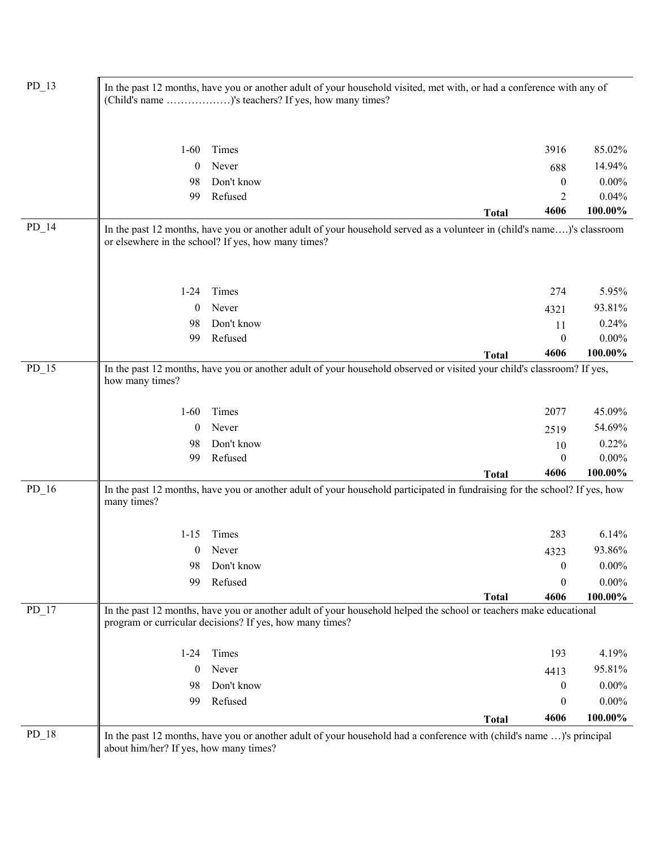|         | In the past 12 months, have you or another adult of your household visited, met with, or had a conference with any of<br>(Child's name )'s teachers? If yes, how many times? |                                                                                                                                                                               |                  |                                         |  |  |
|---------|------------------------------------------------------------------------------------------------------------------------------------------------------------------------------|-------------------------------------------------------------------------------------------------------------------------------------------------------------------------------|------------------|-----------------------------------------|--|--|
|         | $1-60$                                                                                                                                                                       | Times                                                                                                                                                                         | 3916             | 85.02%                                  |  |  |
|         | $\boldsymbol{0}$                                                                                                                                                             | Never                                                                                                                                                                         | 688              | 14.94%                                  |  |  |
|         | 98                                                                                                                                                                           | Don't know                                                                                                                                                                    | $\boldsymbol{0}$ | $0.00\%$                                |  |  |
|         | 99                                                                                                                                                                           | Refused                                                                                                                                                                       | $\overline{2}$   | 0.04%                                   |  |  |
|         |                                                                                                                                                                              | <b>Total</b>                                                                                                                                                                  | 4606             | 100.00%                                 |  |  |
| $PD_14$ |                                                                                                                                                                              | In the past 12 months, have you or another adult of your household served as a volunteer in (child's name)'s classroom<br>or elsewhere in the school? If yes, how many times? |                  |                                         |  |  |
|         | $1 - 24$                                                                                                                                                                     | Times                                                                                                                                                                         | 274              | 5.95%                                   |  |  |
|         | 0                                                                                                                                                                            | Never                                                                                                                                                                         | 4321             | 93.81%                                  |  |  |
|         | 98                                                                                                                                                                           | Don't know                                                                                                                                                                    | 11               | 0.24%                                   |  |  |
|         | 99                                                                                                                                                                           | Refused                                                                                                                                                                       | $\boldsymbol{0}$ | $0.00\%$                                |  |  |
|         |                                                                                                                                                                              | <b>Total</b>                                                                                                                                                                  | 4606             | 100.00%                                 |  |  |
|         | how many times?                                                                                                                                                              |                                                                                                                                                                               |                  |                                         |  |  |
|         | $1-60$                                                                                                                                                                       | Times                                                                                                                                                                         | 2077             | 45.09%                                  |  |  |
|         | $\bf{0}$                                                                                                                                                                     | Never                                                                                                                                                                         | 2519             | 54.69%                                  |  |  |
|         | 98                                                                                                                                                                           | Don't know                                                                                                                                                                    | 10               | 0.22%                                   |  |  |
|         | 99                                                                                                                                                                           | Refused                                                                                                                                                                       | $\theta$         | $0.00\%$                                |  |  |
|         | many times?                                                                                                                                                                  | <b>Total</b><br>In the past 12 months, have you or another adult of your household participated in fundraising for the school? If yes, how                                    | 4606             | 100.00%                                 |  |  |
|         | $1 - 15$                                                                                                                                                                     | Times                                                                                                                                                                         | 283              |                                         |  |  |
|         | 0                                                                                                                                                                            | Never                                                                                                                                                                         | 4323             | 6.14%<br>93.86%                         |  |  |
|         | 98                                                                                                                                                                           | Don't know                                                                                                                                                                    | $\boldsymbol{0}$ | $0.00\%$                                |  |  |
|         | 99                                                                                                                                                                           | Refused                                                                                                                                                                       | $\boldsymbol{0}$ |                                         |  |  |
| $PD_16$ |                                                                                                                                                                              | <b>Total</b>                                                                                                                                                                  | 4606             | $0.00\%$<br>100.00%                     |  |  |
| $PD_17$ |                                                                                                                                                                              | In the past 12 months, have you or another adult of your household helped the school or teachers make educational<br>program or curricular decisions? If yes, how many times? |                  |                                         |  |  |
|         | $1 - 24$                                                                                                                                                                     | Times                                                                                                                                                                         | 193              |                                         |  |  |
|         | $\overline{0}$                                                                                                                                                               | Never                                                                                                                                                                         | 4413             |                                         |  |  |
|         | 98                                                                                                                                                                           | Don't know                                                                                                                                                                    | $\boldsymbol{0}$ |                                         |  |  |
|         | 99                                                                                                                                                                           | Refused                                                                                                                                                                       | $\boldsymbol{0}$ | 4.19%<br>95.81%<br>$0.00\%$<br>$0.00\%$ |  |  |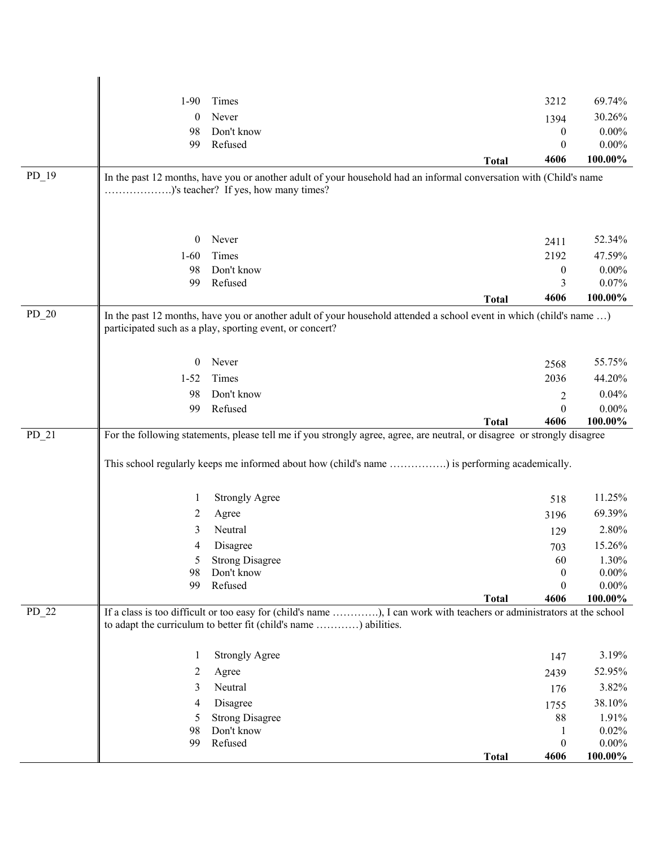|         | $1-90$         | Times                                                                                                                    | 3212                                 | 69.74%                 |
|---------|----------------|--------------------------------------------------------------------------------------------------------------------------|--------------------------------------|------------------------|
|         | $\theta$       | Never                                                                                                                    | 1394                                 | 30.26%                 |
|         | 98             | Don't know                                                                                                               | $\boldsymbol{0}$                     | $0.00\%$               |
|         | 99             | Refused                                                                                                                  | $\theta$                             | $0.00\%$               |
|         |                |                                                                                                                          | 4606<br><b>Total</b>                 | 100.00%                |
| $PD_19$ |                | In the past 12 months, have you or another adult of your household had an informal conversation with (Child's name       |                                      |                        |
|         |                | )'s teacher? If yes, how many times?                                                                                     |                                      |                        |
|         |                |                                                                                                                          |                                      |                        |
|         |                |                                                                                                                          |                                      |                        |
|         | $\mathbf{0}$   | Never                                                                                                                    | 2411                                 | 52.34%                 |
|         | $1 - 60$       | Times                                                                                                                    | 2192                                 | 47.59%                 |
|         | 98<br>99       | Don't know<br>Refused                                                                                                    | $\boldsymbol{0}$<br>3                | $0.00\%$<br>0.07%      |
|         |                |                                                                                                                          | 4606<br><b>Total</b>                 | 100.00%                |
| $PD_20$ |                | In the past 12 months, have you or another adult of your household attended a school event in which (child's name )      |                                      |                        |
|         |                | participated such as a play, sporting event, or concert?                                                                 |                                      |                        |
|         |                |                                                                                                                          |                                      |                        |
|         | $\overline{0}$ | Never                                                                                                                    | 2568                                 | 55.75%                 |
|         | $1 - 52$       | Times                                                                                                                    | 2036                                 | 44.20%                 |
|         | 98             | Don't know                                                                                                               | $\overline{2}$                       | 0.04%                  |
|         | 99             | Refused                                                                                                                  | $\boldsymbol{0}$                     | $0.00\%$               |
|         |                |                                                                                                                          |                                      |                        |
|         |                |                                                                                                                          | 4606<br><b>Total</b>                 | 100.00%                |
| $PD_21$ |                | For the following statements, please tell me if you strongly agree, agree, are neutral, or disagree or strongly disagree |                                      |                        |
|         |                |                                                                                                                          |                                      |                        |
|         |                | This school regularly keeps me informed about how (child's name ) is performing academically.                            |                                      |                        |
|         |                |                                                                                                                          |                                      |                        |
|         | 1              | <b>Strongly Agree</b>                                                                                                    | 518                                  | 11.25%                 |
|         | 2              | Agree                                                                                                                    | 3196                                 | 69.39%                 |
|         | 3              | Neutral                                                                                                                  | 129                                  | 2.80%                  |
|         | 4              | Disagree                                                                                                                 | 703                                  | 15.26%                 |
|         | 5              | <b>Strong Disagree</b>                                                                                                   | 60                                   | 1.30%                  |
|         | 98<br>99       | Don't know<br>Refused                                                                                                    | $\boldsymbol{0}$<br>$\boldsymbol{0}$ | $0.00\%$               |
|         |                |                                                                                                                          | <b>Total</b><br>4606                 | $0.00\%$<br>$100.00\%$ |
| $PD_22$ |                | If a class is too difficult or too easy for (child's name ), I can work with teachers or administrators at the school    |                                      |                        |
|         |                | to adapt the curriculum to better fit (child's name ) abilities.                                                         |                                      |                        |
|         |                |                                                                                                                          |                                      |                        |
|         | -1             | <b>Strongly Agree</b>                                                                                                    | 147                                  | 3.19%                  |
|         | 2              | Agree                                                                                                                    | 2439                                 | 52.95%                 |
|         | 3              | Neutral                                                                                                                  | 176                                  | 3.82%                  |
|         | 4              | Disagree                                                                                                                 | 1755                                 | 38.10%                 |
|         | 5              | <b>Strong Disagree</b>                                                                                                   | 88                                   | 1.91%                  |
|         | 98<br>99       | Don't know<br>Refused                                                                                                    | $\mathbf{1}$<br>$\boldsymbol{0}$     | 0.02%<br>$0.00\%$      |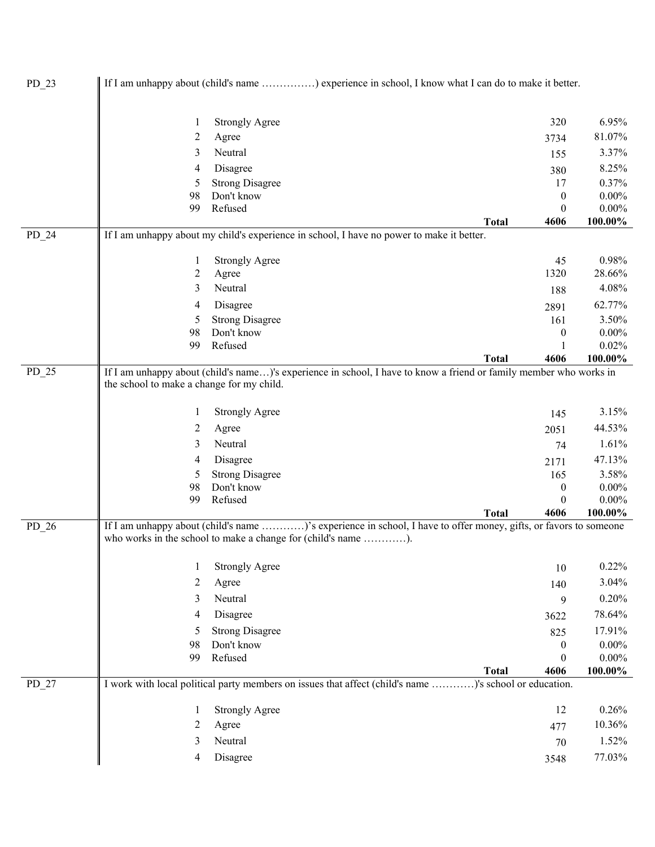| $PD_23$ |                                           | If I am unhappy about (child's name ) experience in school, I know what I can do to make it better.                |              |                  |                  |
|---------|-------------------------------------------|--------------------------------------------------------------------------------------------------------------------|--------------|------------------|------------------|
|         | 1                                         | <b>Strongly Agree</b>                                                                                              |              | 320              | 6.95%            |
|         | 2                                         | Agree                                                                                                              |              | 3734             | 81.07%           |
|         | 3                                         | Neutral                                                                                                            |              |                  | 3.37%            |
|         | 4                                         | Disagree                                                                                                           |              | 155              | 8.25%            |
|         | 5                                         | <b>Strong Disagree</b>                                                                                             |              | 380<br>17        | 0.37%            |
|         | 98                                        | Don't know                                                                                                         |              | $\boldsymbol{0}$ | $0.00\%$         |
|         | 99                                        | Refused                                                                                                            |              | $\boldsymbol{0}$ | $0.00\%$         |
|         |                                           |                                                                                                                    | <b>Total</b> | 4606             | 100.00%          |
| $PD_24$ |                                           | If I am unhappy about my child's experience in school, I have no power to make it better.                          |              |                  |                  |
|         | 1                                         | <b>Strongly Agree</b>                                                                                              |              | 45               | 0.98%            |
|         | 2                                         | Agree                                                                                                              |              | 1320             | 28.66%           |
|         | 3                                         | Neutral                                                                                                            |              | 188              | 4.08%            |
|         | 4                                         | Disagree                                                                                                           |              | 2891             | 62.77%           |
|         | 5                                         | <b>Strong Disagree</b>                                                                                             |              | 161              | 3.50%            |
|         | 98                                        | Don't know                                                                                                         |              | $\boldsymbol{0}$ | $0.00\%$         |
|         | 99                                        | Refused                                                                                                            | <b>Total</b> | 1<br>4606        | 0.02%<br>100.00% |
| $PD_25$ |                                           | If I am unhappy about (child's name)'s experience in school, I have to know a friend or family member who works in |              |                  |                  |
|         | the school to make a change for my child. |                                                                                                                    |              |                  |                  |
|         | 1                                         | <b>Strongly Agree</b>                                                                                              |              | 145              | 3.15%            |
|         | 2                                         | Agree                                                                                                              |              | 2051             | 44.53%           |
|         | 3                                         | Neutral                                                                                                            |              | 74               | 1.61%            |
|         | 4                                         | Disagree                                                                                                           |              | 2171             | 47.13%           |
|         | 5                                         | <b>Strong Disagree</b>                                                                                             |              | 165              | 3.58%            |
|         | 98                                        | Don't know                                                                                                         |              | 0                | $0.00\%$         |
|         | 99                                        | Refused                                                                                                            |              | 0                | $0.00\%$         |
| $PD_26$ |                                           | If I am unhappy about (child's name )'s experience in school, I have to offer money, gifts, or favors to someone   | <b>Total</b> | 4606             | 100.00%          |
|         |                                           | who works in the school to make a change for (child's name ).                                                      |              |                  |                  |
|         | 1                                         | <b>Strongly Agree</b>                                                                                              |              | 10               | 0.22%            |
|         | 2                                         | Agree                                                                                                              |              | 140              | 3.04%            |
|         | 3                                         | Neutral                                                                                                            |              | 9                | 0.20%            |
|         | 4                                         | Disagree                                                                                                           |              | 3622             | 78.64%           |
|         | 5                                         | <b>Strong Disagree</b>                                                                                             |              | 825              | 17.91%           |
|         | 98                                        | Don't know                                                                                                         |              | $\boldsymbol{0}$ | $0.00\%$         |
|         | 99                                        | Refused                                                                                                            |              | $\boldsymbol{0}$ | $0.00\%$         |
|         |                                           |                                                                                                                    | <b>Total</b> | 4606             | 100.00%          |
| $PD_27$ |                                           | I work with local political party members on issues that affect (child's name )'s school or education.             |              |                  |                  |
|         | 1                                         | <b>Strongly Agree</b>                                                                                              |              | 12               | 0.26%            |
|         | 2                                         | Agree                                                                                                              |              | 477              | 10.36%           |
|         | 3                                         | Neutral                                                                                                            |              | 70               | 1.52%            |
|         | 4                                         | Disagree                                                                                                           |              | 3548             | 77.03%           |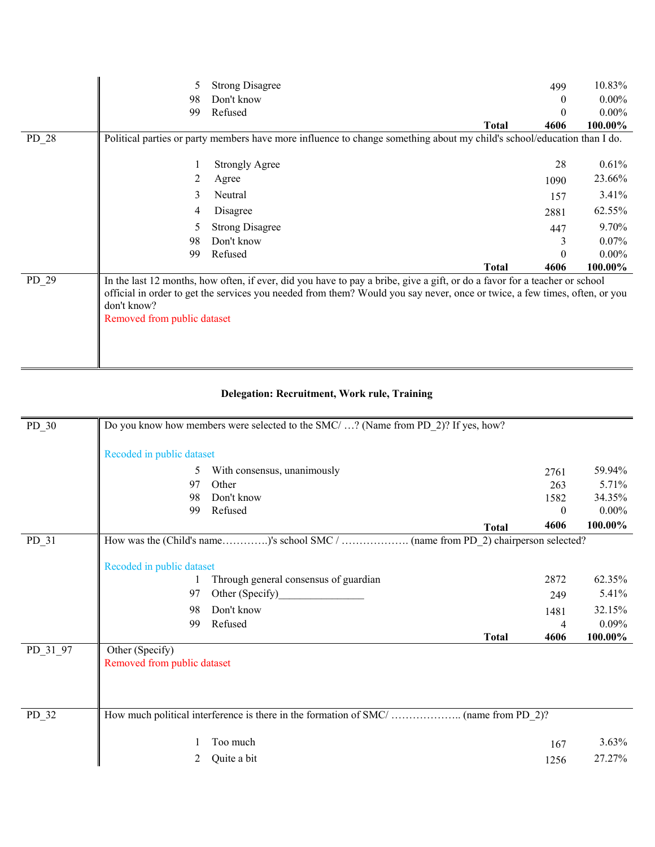|         | 5                                          | <b>Strong Disagree</b>                                                                                                                                                                                                                                   |              | 499      | 10.83%   |
|---------|--------------------------------------------|----------------------------------------------------------------------------------------------------------------------------------------------------------------------------------------------------------------------------------------------------------|--------------|----------|----------|
|         | 98                                         | Don't know                                                                                                                                                                                                                                               |              | $\theta$ | $0.00\%$ |
|         | 99                                         | Refused                                                                                                                                                                                                                                                  |              | $\theta$ | $0.00\%$ |
|         |                                            |                                                                                                                                                                                                                                                          | <b>Total</b> | 4606     | 100.00%  |
| $PD_28$ |                                            | Political parties or party members have more influence to change something about my child's school/education than I do.                                                                                                                                  |              |          |          |
|         |                                            |                                                                                                                                                                                                                                                          |              |          |          |
|         |                                            | <b>Strongly Agree</b>                                                                                                                                                                                                                                    |              | 28       | 0.61%    |
|         | 2                                          | Agree                                                                                                                                                                                                                                                    |              | 1090     | 23.66%   |
|         | 3                                          | Neutral                                                                                                                                                                                                                                                  |              | 157      | 3.41%    |
|         | 4                                          | Disagree                                                                                                                                                                                                                                                 |              | 2881     | 62.55%   |
|         | 5                                          | <b>Strong Disagree</b>                                                                                                                                                                                                                                   |              | 447      | 9.70%    |
|         | 98                                         | Don't know                                                                                                                                                                                                                                               |              | 3        | $0.07\%$ |
|         | 99                                         | Refused                                                                                                                                                                                                                                                  |              | $\theta$ | $0.00\%$ |
|         |                                            |                                                                                                                                                                                                                                                          | <b>Total</b> | 4606     | 100.00%  |
| $PD_29$ | don't know?<br>Removed from public dataset | In the last 12 months, how often, if ever, did you have to pay a bribe, give a gift, or do a favor for a teacher or school<br>official in order to get the services you needed from them? Would you say never, once or twice, a few times, often, or you |              |          |          |

## **Delegation: Recruitment, Work rule, Training**

| $PD_30$  | Do you know how members were selected to the SMC/ ? (Name from PD 2)? If yes, how? |                                       |          |          |  |
|----------|------------------------------------------------------------------------------------|---------------------------------------|----------|----------|--|
|          | Recoded in public dataset                                                          |                                       |          |          |  |
|          | 5                                                                                  | With consensus, unanimously           | 2761     | 59.94%   |  |
|          | 97                                                                                 | Other                                 | 263      | 5.71%    |  |
|          | 98                                                                                 | Don't know                            | 1582     | 34.35%   |  |
|          | 99                                                                                 | Refused                               | $\theta$ | $0.00\%$ |  |
|          |                                                                                    | <b>Total</b>                          | 4606     | 100.00%  |  |
| PD_31    |                                                                                    |                                       |          |          |  |
|          |                                                                                    |                                       |          |          |  |
|          | Recoded in public dataset                                                          |                                       |          |          |  |
|          |                                                                                    | Through general consensus of guardian | 2872     | 62.35%   |  |
|          | 97                                                                                 | Other (Specify)                       | 249      | 5.41%    |  |
|          | 98                                                                                 | Don't know                            | 1481     | 32.15%   |  |
|          | 99                                                                                 | Refused                               | 4        | 0.09%    |  |
|          |                                                                                    | <b>Total</b>                          | 4606     | 100.00%  |  |
| PD_31_97 | Other (Specify)                                                                    |                                       |          |          |  |
|          | Removed from public dataset                                                        |                                       |          |          |  |
|          |                                                                                    |                                       |          |          |  |
|          |                                                                                    |                                       |          |          |  |
|          |                                                                                    |                                       |          |          |  |
| $PD_32$  |                                                                                    |                                       |          |          |  |
|          |                                                                                    | Too much                              | 167      | 3.63%    |  |
|          | 2                                                                                  | Quite a bit                           | 1256     | 27.27%   |  |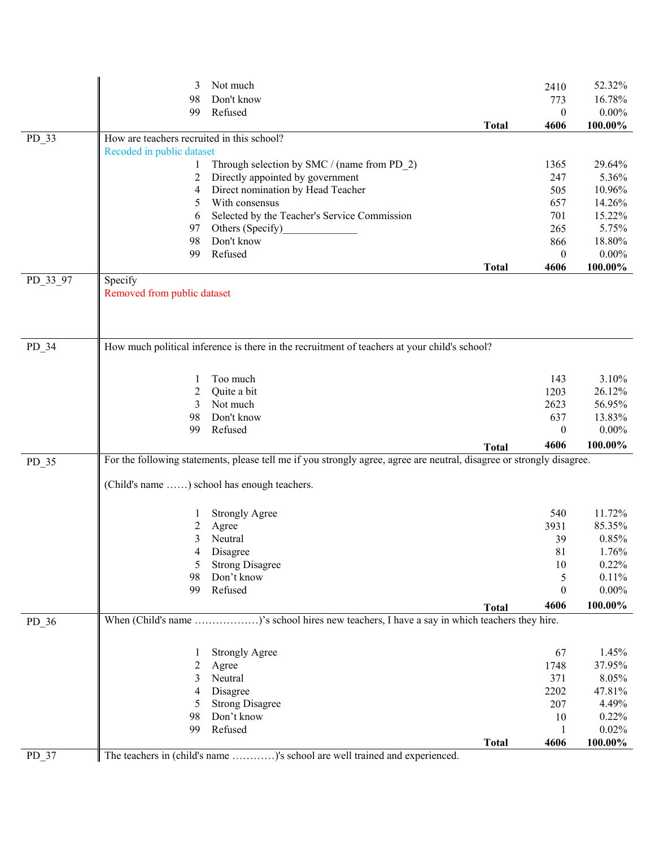|          | 3                                          | Not much                                                                                                              |              | 2410             | 52.32%   |
|----------|--------------------------------------------|-----------------------------------------------------------------------------------------------------------------------|--------------|------------------|----------|
|          | 98                                         | Don't know                                                                                                            |              | 773              | 16.78%   |
|          | 99                                         | Refused                                                                                                               |              | 0                | $0.00\%$ |
|          |                                            |                                                                                                                       | <b>Total</b> | 4606             | 100.00%  |
| $PD_33$  | How are teachers recruited in this school? |                                                                                                                       |              |                  |          |
|          | Recoded in public dataset                  |                                                                                                                       |              |                  |          |
|          | 1                                          | Through selection by SMC / (name from PD_2)                                                                           |              | 1365             | 29.64%   |
|          | 2                                          | Directly appointed by government                                                                                      |              | 247              | 5.36%    |
|          | 4                                          | Direct nomination by Head Teacher                                                                                     |              | 505              | 10.96%   |
|          | 5                                          | With consensus                                                                                                        |              | 657              | 14.26%   |
|          | 6                                          | Selected by the Teacher's Service Commission                                                                          |              | 701              | 15.22%   |
|          | 97                                         | Others (Specify)                                                                                                      |              | 265              | 5.75%    |
|          | 98                                         | Don't know                                                                                                            |              | 866              | 18.80%   |
|          | 99                                         | Refused                                                                                                               |              | $\bf{0}$         | $0.00\%$ |
|          |                                            |                                                                                                                       | <b>Total</b> | 4606             | 100.00%  |
| PD_33_97 | Specify                                    |                                                                                                                       |              |                  |          |
|          | Removed from public dataset                |                                                                                                                       |              |                  |          |
|          |                                            |                                                                                                                       |              |                  |          |
|          |                                            |                                                                                                                       |              |                  |          |
|          |                                            |                                                                                                                       |              |                  |          |
| PD_34    |                                            | How much political inference is there in the recruitment of teachers at your child's school?                          |              |                  |          |
|          |                                            |                                                                                                                       |              |                  |          |
|          | 1                                          | Too much                                                                                                              |              | 143              | 3.10%    |
|          | 2                                          | Quite a bit                                                                                                           |              | 1203             | 26.12%   |
|          | 3                                          | Not much                                                                                                              |              | 2623             | 56.95%   |
|          | 98                                         | Don't know                                                                                                            |              | 637              | 13.83%   |
|          | 99                                         | Refused                                                                                                               |              | $\mathbf{0}$     | $0.00\%$ |
|          |                                            |                                                                                                                       | <b>Total</b> | 4606             | 100.00%  |
| PD_35    |                                            | For the following statements, please tell me if you strongly agree, agree are neutral, disagree or strongly disagree. |              |                  |          |
|          |                                            |                                                                                                                       |              |                  |          |
|          |                                            | (Child's name ) school has enough teachers.                                                                           |              |                  |          |
|          |                                            |                                                                                                                       |              |                  |          |
|          |                                            | <b>Strongly Agree</b>                                                                                                 |              | 540              | 11.72%   |
|          | 2                                          | Agree                                                                                                                 |              | 3931             | 85.35%   |
|          | 3                                          | Neutral                                                                                                               |              | 39               | 0.85%    |
|          | 4                                          | Disagree                                                                                                              |              | 81               | 1.76%    |
|          | 5                                          | <b>Strong Disagree</b>                                                                                                |              | 10               | 0.22%    |
|          | 98                                         | Don't know                                                                                                            |              | 5                | 0.11%    |
|          | 99                                         | Refused                                                                                                               |              | $\boldsymbol{0}$ | $0.00\%$ |
|          |                                            |                                                                                                                       | <b>Total</b> | 4606             | 100.00%  |
|          |                                            | When (Child's name )'s school hires new teachers, I have a say in which teachers they hire.                           |              |                  |          |
| PD_36    |                                            |                                                                                                                       |              |                  |          |
|          |                                            |                                                                                                                       |              |                  |          |
|          | 1                                          | <b>Strongly Agree</b>                                                                                                 |              | 67               | 1.45%    |
|          | $\overline{c}$                             | Agree                                                                                                                 |              | 1748             | 37.95%   |
|          | 3                                          | Neutral                                                                                                               |              | 371              | 8.05%    |
|          | 4                                          | Disagree                                                                                                              |              | 2202             | 47.81%   |
|          | 5                                          | <b>Strong Disagree</b>                                                                                                |              | 207              | 4.49%    |
|          | 98                                         | Don't know                                                                                                            |              | 10               | 0.22%    |
|          | 99                                         | Refused                                                                                                               |              | 1                | 0.02%    |
|          |                                            |                                                                                                                       | <b>Total</b> | 4606             | 100.00%  |
| $PD_37$  |                                            | The teachers in (child's name )'s school are well trained and experienced.                                            |              |                  |          |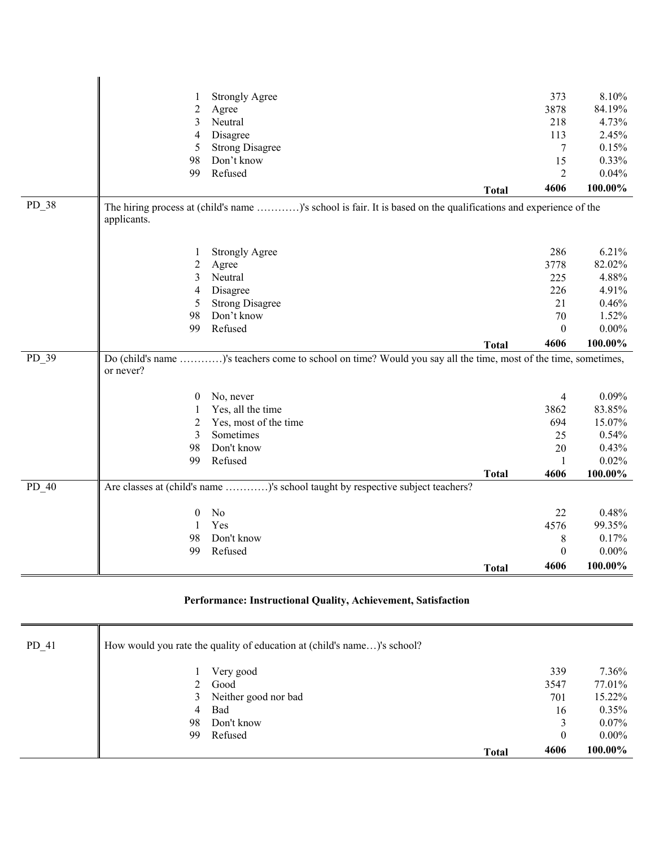|         |                | <b>Strongly Agree</b>                                                                                           |              | 373            | 8.10%    |
|---------|----------------|-----------------------------------------------------------------------------------------------------------------|--------------|----------------|----------|
|         | $\overline{c}$ | Agree                                                                                                           |              | 3878           | 84.19%   |
|         | 3              | Neutral                                                                                                         |              | 218            | 4.73%    |
|         | $\overline{4}$ | Disagree                                                                                                        |              | 113            | 2.45%    |
|         | 5              | <b>Strong Disagree</b>                                                                                          |              | $\tau$         | 0.15%    |
|         | 98             | Don't know                                                                                                      |              | 15             | 0.33%    |
|         | 99             | Refused                                                                                                         |              | $\overline{c}$ | 0.04%    |
|         |                |                                                                                                                 | <b>Total</b> | 4606           | 100.00%  |
| PD_38   | applicants.    | The hiring process at (child's name )'s school is fair. It is based on the qualifications and experience of the |              |                |          |
|         | 1              | <b>Strongly Agree</b>                                                                                           |              | 286            | 6.21%    |
|         | $\overline{2}$ | Agree                                                                                                           |              | 3778           | 82.02%   |
|         | 3              | Neutral                                                                                                         |              | 225            | 4.88%    |
|         | $\overline{4}$ | Disagree                                                                                                        |              | 226            | 4.91%    |
|         | 5              | <b>Strong Disagree</b>                                                                                          |              | 21             | 0.46%    |
|         | 98             | Don't know                                                                                                      |              | 70             | 1.52%    |
|         | 99             | Refused                                                                                                         |              | $\mathbf{0}$   | $0.00\%$ |
|         |                |                                                                                                                 | <b>Total</b> | 4606           | 100.00%  |
| PD 39   | or never?      | Do (child's name )'s teachers come to school on time? Would you say all the time, most of the time, sometimes,  |              |                |          |
|         | $\theta$       | No, never                                                                                                       |              | 4              | 0.09%    |
|         | 1              | Yes, all the time                                                                                               |              | 3862           | 83.85%   |
|         | $\overline{2}$ | Yes, most of the time                                                                                           |              | 694            | 15.07%   |
|         | 3              | Sometimes                                                                                                       |              | 25             | 0.54%    |
|         | 98             | Don't know                                                                                                      |              | 20             | 0.43%    |
|         | 99             | Refused                                                                                                         |              | $\mathbf{1}$   | 0.02%    |
|         |                |                                                                                                                 | <b>Total</b> | 4606           | 100.00%  |
| $PD_40$ |                | Are classes at (child's name )'s school taught by respective subject teachers?                                  |              |                |          |
|         | $\theta$       | $\rm No$                                                                                                        |              | 22             | 0.48%    |
|         | $\mathbf{1}$   | Yes                                                                                                             |              | 4576           | 99.35%   |
|         | 98             | Don't know                                                                                                      |              | 8              | 0.17%    |
|         | 99             | Refused                                                                                                         |              | $\theta$       | $0.00\%$ |
|         |                |                                                                                                                 | <b>Total</b> | 4606           | 100.00%  |

## **Performance: Instructional Quality, Achievement, Satisfaction**

 $\overline{\mathbf{u}}$ 

| $PD_41$ |    | How would you rate the quality of education at (child's name)'s school? |              |      |          |
|---------|----|-------------------------------------------------------------------------|--------------|------|----------|
|         |    | Very good                                                               |              | 339  | $7.36\%$ |
|         |    | Good                                                                    |              | 3547 | 77.01%   |
|         | 3  | Neither good nor bad                                                    |              | 701  | 15.22%   |
|         | 4  | Bad                                                                     |              | 16   | $0.35\%$ |
|         | 98 | Don't know                                                              |              | 3    | $0.07\%$ |
|         | 99 | Refused                                                                 |              | 0    | $0.00\%$ |
|         |    |                                                                         | <b>Total</b> | 4606 | 100.00%  |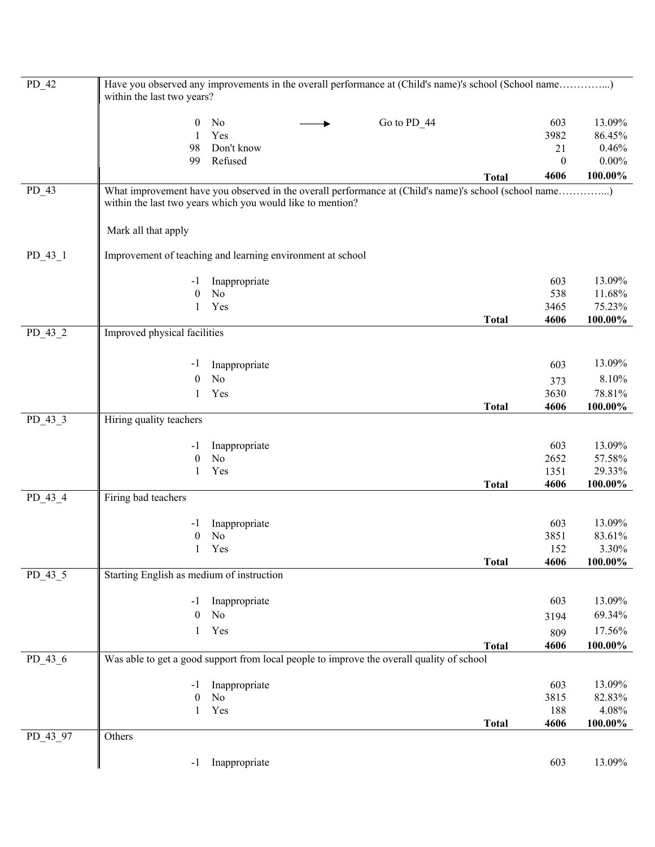| $PD_42$   | Have you observed any improvements in the overall performance at (Child's name)'s school (School name) |               |             |              |                          |            |
|-----------|--------------------------------------------------------------------------------------------------------|---------------|-------------|--------------|--------------------------|------------|
|           | within the last two years?                                                                             |               |             |              |                          |            |
|           | $\boldsymbol{0}$                                                                                       | No            | Go to PD_44 |              | 603                      | 13.09%     |
|           | 1                                                                                                      | Yes           |             |              | 3982                     | 86.45%     |
|           | 98                                                                                                     | Don't know    |             |              | 21                       | 0.46%      |
|           | 99                                                                                                     | Refused       |             |              | $\boldsymbol{0}$<br>4606 | $0.00\%$   |
| $PD_43$   | What improvement have you observed in the overall performance at (Child's name)'s school (school name) |               |             | <b>Total</b> |                          | 100.00%    |
|           | within the last two years which you would like to mention?                                             |               |             |              |                          |            |
|           |                                                                                                        |               |             |              |                          |            |
|           | Mark all that apply                                                                                    |               |             |              |                          |            |
|           | Improvement of teaching and learning environment at school                                             |               |             |              |                          |            |
| $PD_43_1$ |                                                                                                        |               |             |              |                          |            |
|           | -1                                                                                                     | Inappropriate |             |              | 603                      | 13.09%     |
|           | $\boldsymbol{0}$                                                                                       | No            |             |              | 538                      | 11.68%     |
|           | 1                                                                                                      | Yes           |             |              | 3465                     | 75.23%     |
| $PD_43_2$ | Improved physical facilities                                                                           |               |             | <b>Total</b> | 4606                     | 100.00%    |
|           |                                                                                                        |               |             |              |                          |            |
|           | -1                                                                                                     | Inappropriate |             |              | 603                      | 13.09%     |
|           | $\boldsymbol{0}$                                                                                       | No            |             |              | 373                      | 8.10%      |
|           | 1                                                                                                      | Yes           |             |              | 3630                     | 78.81%     |
|           |                                                                                                        |               |             | <b>Total</b> | 4606                     | 100.00%    |
| PD_43_3   | Hiring quality teachers                                                                                |               |             |              |                          |            |
|           | $-1$                                                                                                   | Inappropriate |             |              | 603                      | 13.09%     |
|           | $\boldsymbol{0}$                                                                                       | No            |             |              | 2652                     | 57.58%     |
|           | $\mathbf{1}$                                                                                           | Yes           |             |              | 1351                     | 29.33%     |
|           |                                                                                                        |               |             | <b>Total</b> | 4606                     | $100.00\%$ |
| PD_43_4   | Firing bad teachers                                                                                    |               |             |              |                          |            |
|           | $-1$                                                                                                   | Inappropriate |             |              | 603                      | 13.09%     |
|           | $\boldsymbol{0}$                                                                                       | No            |             |              | 3851                     | 83.61%     |
|           | 1                                                                                                      | Yes           |             |              | 152                      | 3.30%      |
|           |                                                                                                        |               |             | <b>Total</b> | 4606                     | 100.00%    |
| $PD_43_5$ | Starting English as medium of instruction                                                              |               |             |              |                          |            |
|           | -1                                                                                                     | Inappropriate |             |              | 603                      | 13.09%     |
|           | 0                                                                                                      | No            |             |              | 3194                     | 69.34%     |
|           | 1                                                                                                      | Yes           |             |              | 809                      | 17.56%     |
|           |                                                                                                        |               |             | <b>Total</b> | 4606                     | 100.00%    |
| $PD_43_6$ | Was able to get a good support from local people to improve the overall quality of school              |               |             |              |                          |            |
|           | -1                                                                                                     | Inappropriate |             |              | 603                      | 13.09%     |
|           | $\boldsymbol{0}$                                                                                       | No            |             |              | 3815                     | 82.83%     |
|           | 1                                                                                                      | Yes           |             |              | 188                      | 4.08%      |
|           |                                                                                                        |               |             | <b>Total</b> | 4606                     | 100.00%    |
| PD_43_97  | Others                                                                                                 |               |             |              |                          |            |
|           | $-1$                                                                                                   | Inappropriate |             |              | 603                      | 13.09%     |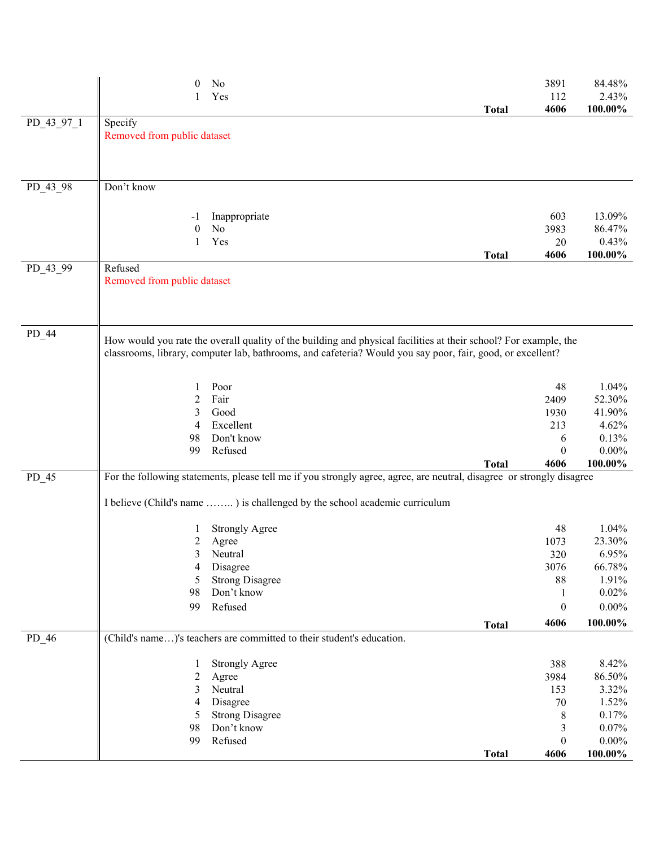|            | $\theta$                    | No                                                                                                                    |              | 3891                  | 84.48%              |
|------------|-----------------------------|-----------------------------------------------------------------------------------------------------------------------|--------------|-----------------------|---------------------|
|            |                             | Yes                                                                                                                   | <b>Total</b> | 112<br>4606           | 2.43%<br>100.00%    |
| PD 43 97 1 | Specify                     |                                                                                                                       |              |                       |                     |
|            | Removed from public dataset |                                                                                                                       |              |                       |                     |
|            |                             |                                                                                                                       |              |                       |                     |
|            |                             |                                                                                                                       |              |                       |                     |
| PD_43_98   | Don't know                  |                                                                                                                       |              |                       |                     |
|            |                             |                                                                                                                       |              |                       |                     |
|            | -1                          | Inappropriate                                                                                                         |              | 603                   | 13.09%              |
|            | $\theta$<br>1               | No<br>Yes                                                                                                             |              | 3983<br>20            | 86.47%<br>0.43%     |
|            |                             |                                                                                                                       | <b>Total</b> | 4606                  | 100.00%             |
| PD_43_99   | Refused                     |                                                                                                                       |              |                       |                     |
|            | Removed from public dataset |                                                                                                                       |              |                       |                     |
|            |                             |                                                                                                                       |              |                       |                     |
|            |                             |                                                                                                                       |              |                       |                     |
| $PD_44$    |                             | How would you rate the overall quality of the building and physical facilities at their school? For example, the      |              |                       |                     |
|            |                             | classrooms, library, computer lab, bathrooms, and cafeteria? Would you say poor, fair, good, or excellent?            |              |                       |                     |
|            |                             |                                                                                                                       |              |                       |                     |
|            | 1                           | Poor                                                                                                                  |              | 48                    | 1.04%               |
|            | 2                           | Fair                                                                                                                  |              | 2409                  | 52.30%              |
|            | 3                           | Good                                                                                                                  |              | 1930                  | 41.90%              |
|            | $\overline{4}$              | Excellent                                                                                                             |              | 213                   | 4.62%               |
|            | 98                          | Don't know                                                                                                            |              | 6                     | 0.13%               |
|            | 99                          | Refused                                                                                                               | <b>Total</b> | $\theta$<br>4606      | $0.00\%$<br>100.00% |
| $PD_45$    |                             | For the following statements, please tell me if you strongly agree, agree, are neutral, disagree or strongly disagree |              |                       |                     |
|            |                             |                                                                                                                       |              |                       |                     |
|            |                             | I believe (Child's name ) is challenged by the school academic curriculum                                             |              |                       |                     |
|            |                             | <b>Strongly Agree</b>                                                                                                 |              | 48                    | 1.04%               |
|            |                             | 2 Agree                                                                                                               |              | 1073                  | 23.30%              |
|            |                             | 3 Neutral                                                                                                             |              | 320                   | 6.95%               |
|            | 4                           | Disagree                                                                                                              |              | 3076                  | 66.78%              |
|            | 5                           | <b>Strong Disagree</b>                                                                                                |              | 88                    | 1.91%               |
|            | 98<br>99                    | Don't know<br>Refused                                                                                                 |              | 1<br>$\boldsymbol{0}$ | 0.02%<br>$0.00\%$   |
|            |                             |                                                                                                                       |              | 4606                  | 100.00%             |
| $PD_46$    |                             | (Child's name)'s teachers are committed to their student's education.                                                 | <b>Total</b> |                       |                     |
|            |                             |                                                                                                                       |              |                       |                     |
|            |                             | <b>Strongly Agree</b>                                                                                                 |              | 388                   | 8.42%               |
|            | $\overline{c}$              | Agree                                                                                                                 |              | 3984                  | 86.50%              |
|            | 3                           | Neutral                                                                                                               |              | 153                   | 3.32%               |
|            | 4<br>5                      | Disagree<br><b>Strong Disagree</b>                                                                                    |              | $70\,$<br>8           | 1.52%<br>0.17%      |
|            | 98                          | Don't know                                                                                                            |              | 3                     | 0.07%               |
|            | 99                          | Refused                                                                                                               |              | $\boldsymbol{0}$      | $0.00\%$            |
|            |                             |                                                                                                                       | <b>Total</b> | 4606                  | 100.00%             |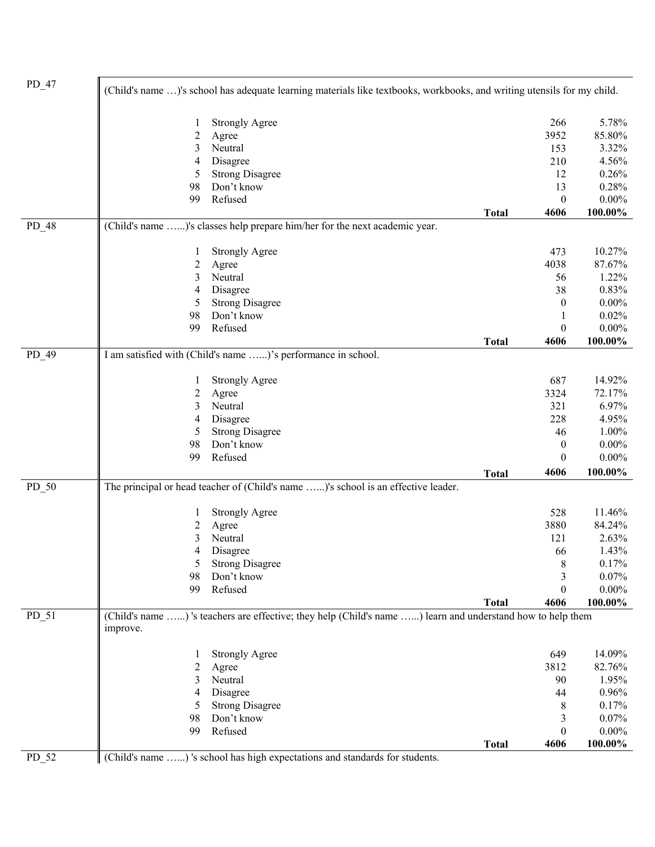| 266<br>5.78%<br><b>Strongly Agree</b><br>1<br>3952<br>85.80%<br>$\overline{c}$<br>Agree<br>Neutral<br>153<br>3.32%<br>3<br>210<br>4.56%<br>Disagree<br>4<br><b>Strong Disagree</b><br>12<br>0.26%<br>5<br>Don't know<br>13<br>0.28%<br>98<br>$0.00\%$<br>Refused<br>$\boldsymbol{0}$<br>99<br>100.00%<br>4606<br><b>Total</b><br>(Child's name )'s classes help prepare him/her for the next academic year.<br>PD_48<br>10.27%<br><b>Strongly Agree</b><br>473<br>1<br>87.67%<br>$\overline{c}$<br>4038<br>Agree<br>Neutral<br>1.22%<br>3<br>56<br>Disagree<br>0.83%<br>38<br>4<br><b>Strong Disagree</b><br>$0.00\%$<br>$\boldsymbol{0}$<br>5<br>Don't know<br>0.02%<br>98<br>1<br>Refused<br>$\boldsymbol{0}$<br>$0.00\%$<br>99<br>100.00%<br>4606<br><b>Total</b><br>PD_49<br>I am satisfied with (Child's name )'s performance in school.<br>14.92%<br>687<br><b>Strongly Agree</b><br>1<br>72.17%<br>$\overline{c}$<br>3324<br>Agree<br>Neutral<br>6.97%<br>3<br>321<br>Disagree<br>4.95%<br>228<br>4<br><b>Strong Disagree</b><br>1.00%<br>5<br>46<br>Don't know<br>$0.00\%$<br>$\boldsymbol{0}$<br>98<br>Refused<br>$0.00\%$<br>99<br>$\boldsymbol{0}$<br>100.00%<br>4606<br><b>Total</b><br>The principal or head teacher of (Child's name )'s school is an effective leader.<br>PD_50<br>528<br>11.46%<br><b>Strongly Agree</b><br>1<br>3880<br>84.24%<br>2<br>Agree<br>121<br>2.63%<br>Neutral<br>3<br>1.43%<br>4<br>Disagree<br>66<br>$\,$ $\,$<br>0.17%<br><b>Strong Disagree</b><br>5<br>Don't know<br>3<br>0.07%<br>98<br>Refused<br>$0.00\%$<br>$\boldsymbol{0}$<br>99<br>100.00%<br>4606<br><b>Total</b><br>(Child's name ) 's teachers are effective; they help (Child's name ) learn and understand how to help them<br>$PD_51$<br>improve.<br>14.09%<br>649<br><b>Strongly Agree</b><br>82.76%<br>$\overline{c}$<br>3812<br>Agree<br>Neutral<br>1.95%<br>3<br>90<br>Disagree<br>0.96%<br>4<br>44<br><b>Strong Disagree</b><br>0.17%<br>5<br>8<br>0.07%<br>Don't know<br>3<br>98<br>Refused<br>$\boldsymbol{0}$<br>$0.00\%$<br>99<br>100.00%<br><b>Total</b><br>4606<br>PD 52<br>(Child's name ) 's school has high expectations and standards for students. | $PD_47$ | (Child's name )'s school has adequate learning materials like textbooks, workbooks, and writing utensils for my child. |  |  |
|--------------------------------------------------------------------------------------------------------------------------------------------------------------------------------------------------------------------------------------------------------------------------------------------------------------------------------------------------------------------------------------------------------------------------------------------------------------------------------------------------------------------------------------------------------------------------------------------------------------------------------------------------------------------------------------------------------------------------------------------------------------------------------------------------------------------------------------------------------------------------------------------------------------------------------------------------------------------------------------------------------------------------------------------------------------------------------------------------------------------------------------------------------------------------------------------------------------------------------------------------------------------------------------------------------------------------------------------------------------------------------------------------------------------------------------------------------------------------------------------------------------------------------------------------------------------------------------------------------------------------------------------------------------------------------------------------------------------------------------------------------------------------------------------------------------------------------------------------------------------------------------------------------------------------------------------------------------------------------------------------------------------------------------------------------------------------------------------------------------------------------------------------------------------------------|---------|------------------------------------------------------------------------------------------------------------------------|--|--|
|                                                                                                                                                                                                                                                                                                                                                                                                                                                                                                                                                                                                                                                                                                                                                                                                                                                                                                                                                                                                                                                                                                                                                                                                                                                                                                                                                                                                                                                                                                                                                                                                                                                                                                                                                                                                                                                                                                                                                                                                                                                                                                                                                                                |         |                                                                                                                        |  |  |
|                                                                                                                                                                                                                                                                                                                                                                                                                                                                                                                                                                                                                                                                                                                                                                                                                                                                                                                                                                                                                                                                                                                                                                                                                                                                                                                                                                                                                                                                                                                                                                                                                                                                                                                                                                                                                                                                                                                                                                                                                                                                                                                                                                                |         |                                                                                                                        |  |  |
|                                                                                                                                                                                                                                                                                                                                                                                                                                                                                                                                                                                                                                                                                                                                                                                                                                                                                                                                                                                                                                                                                                                                                                                                                                                                                                                                                                                                                                                                                                                                                                                                                                                                                                                                                                                                                                                                                                                                                                                                                                                                                                                                                                                |         |                                                                                                                        |  |  |
|                                                                                                                                                                                                                                                                                                                                                                                                                                                                                                                                                                                                                                                                                                                                                                                                                                                                                                                                                                                                                                                                                                                                                                                                                                                                                                                                                                                                                                                                                                                                                                                                                                                                                                                                                                                                                                                                                                                                                                                                                                                                                                                                                                                |         |                                                                                                                        |  |  |
|                                                                                                                                                                                                                                                                                                                                                                                                                                                                                                                                                                                                                                                                                                                                                                                                                                                                                                                                                                                                                                                                                                                                                                                                                                                                                                                                                                                                                                                                                                                                                                                                                                                                                                                                                                                                                                                                                                                                                                                                                                                                                                                                                                                |         |                                                                                                                        |  |  |
|                                                                                                                                                                                                                                                                                                                                                                                                                                                                                                                                                                                                                                                                                                                                                                                                                                                                                                                                                                                                                                                                                                                                                                                                                                                                                                                                                                                                                                                                                                                                                                                                                                                                                                                                                                                                                                                                                                                                                                                                                                                                                                                                                                                |         |                                                                                                                        |  |  |
|                                                                                                                                                                                                                                                                                                                                                                                                                                                                                                                                                                                                                                                                                                                                                                                                                                                                                                                                                                                                                                                                                                                                                                                                                                                                                                                                                                                                                                                                                                                                                                                                                                                                                                                                                                                                                                                                                                                                                                                                                                                                                                                                                                                |         |                                                                                                                        |  |  |
|                                                                                                                                                                                                                                                                                                                                                                                                                                                                                                                                                                                                                                                                                                                                                                                                                                                                                                                                                                                                                                                                                                                                                                                                                                                                                                                                                                                                                                                                                                                                                                                                                                                                                                                                                                                                                                                                                                                                                                                                                                                                                                                                                                                |         |                                                                                                                        |  |  |
|                                                                                                                                                                                                                                                                                                                                                                                                                                                                                                                                                                                                                                                                                                                                                                                                                                                                                                                                                                                                                                                                                                                                                                                                                                                                                                                                                                                                                                                                                                                                                                                                                                                                                                                                                                                                                                                                                                                                                                                                                                                                                                                                                                                |         |                                                                                                                        |  |  |
|                                                                                                                                                                                                                                                                                                                                                                                                                                                                                                                                                                                                                                                                                                                                                                                                                                                                                                                                                                                                                                                                                                                                                                                                                                                                                                                                                                                                                                                                                                                                                                                                                                                                                                                                                                                                                                                                                                                                                                                                                                                                                                                                                                                |         |                                                                                                                        |  |  |
|                                                                                                                                                                                                                                                                                                                                                                                                                                                                                                                                                                                                                                                                                                                                                                                                                                                                                                                                                                                                                                                                                                                                                                                                                                                                                                                                                                                                                                                                                                                                                                                                                                                                                                                                                                                                                                                                                                                                                                                                                                                                                                                                                                                |         |                                                                                                                        |  |  |
|                                                                                                                                                                                                                                                                                                                                                                                                                                                                                                                                                                                                                                                                                                                                                                                                                                                                                                                                                                                                                                                                                                                                                                                                                                                                                                                                                                                                                                                                                                                                                                                                                                                                                                                                                                                                                                                                                                                                                                                                                                                                                                                                                                                |         |                                                                                                                        |  |  |
|                                                                                                                                                                                                                                                                                                                                                                                                                                                                                                                                                                                                                                                                                                                                                                                                                                                                                                                                                                                                                                                                                                                                                                                                                                                                                                                                                                                                                                                                                                                                                                                                                                                                                                                                                                                                                                                                                                                                                                                                                                                                                                                                                                                |         |                                                                                                                        |  |  |
|                                                                                                                                                                                                                                                                                                                                                                                                                                                                                                                                                                                                                                                                                                                                                                                                                                                                                                                                                                                                                                                                                                                                                                                                                                                                                                                                                                                                                                                                                                                                                                                                                                                                                                                                                                                                                                                                                                                                                                                                                                                                                                                                                                                |         |                                                                                                                        |  |  |
|                                                                                                                                                                                                                                                                                                                                                                                                                                                                                                                                                                                                                                                                                                                                                                                                                                                                                                                                                                                                                                                                                                                                                                                                                                                                                                                                                                                                                                                                                                                                                                                                                                                                                                                                                                                                                                                                                                                                                                                                                                                                                                                                                                                |         |                                                                                                                        |  |  |
|                                                                                                                                                                                                                                                                                                                                                                                                                                                                                                                                                                                                                                                                                                                                                                                                                                                                                                                                                                                                                                                                                                                                                                                                                                                                                                                                                                                                                                                                                                                                                                                                                                                                                                                                                                                                                                                                                                                                                                                                                                                                                                                                                                                |         |                                                                                                                        |  |  |
|                                                                                                                                                                                                                                                                                                                                                                                                                                                                                                                                                                                                                                                                                                                                                                                                                                                                                                                                                                                                                                                                                                                                                                                                                                                                                                                                                                                                                                                                                                                                                                                                                                                                                                                                                                                                                                                                                                                                                                                                                                                                                                                                                                                |         |                                                                                                                        |  |  |
|                                                                                                                                                                                                                                                                                                                                                                                                                                                                                                                                                                                                                                                                                                                                                                                                                                                                                                                                                                                                                                                                                                                                                                                                                                                                                                                                                                                                                                                                                                                                                                                                                                                                                                                                                                                                                                                                                                                                                                                                                                                                                                                                                                                |         |                                                                                                                        |  |  |
|                                                                                                                                                                                                                                                                                                                                                                                                                                                                                                                                                                                                                                                                                                                                                                                                                                                                                                                                                                                                                                                                                                                                                                                                                                                                                                                                                                                                                                                                                                                                                                                                                                                                                                                                                                                                                                                                                                                                                                                                                                                                                                                                                                                |         |                                                                                                                        |  |  |
|                                                                                                                                                                                                                                                                                                                                                                                                                                                                                                                                                                                                                                                                                                                                                                                                                                                                                                                                                                                                                                                                                                                                                                                                                                                                                                                                                                                                                                                                                                                                                                                                                                                                                                                                                                                                                                                                                                                                                                                                                                                                                                                                                                                |         |                                                                                                                        |  |  |
|                                                                                                                                                                                                                                                                                                                                                                                                                                                                                                                                                                                                                                                                                                                                                                                                                                                                                                                                                                                                                                                                                                                                                                                                                                                                                                                                                                                                                                                                                                                                                                                                                                                                                                                                                                                                                                                                                                                                                                                                                                                                                                                                                                                |         |                                                                                                                        |  |  |
|                                                                                                                                                                                                                                                                                                                                                                                                                                                                                                                                                                                                                                                                                                                                                                                                                                                                                                                                                                                                                                                                                                                                                                                                                                                                                                                                                                                                                                                                                                                                                                                                                                                                                                                                                                                                                                                                                                                                                                                                                                                                                                                                                                                |         |                                                                                                                        |  |  |
|                                                                                                                                                                                                                                                                                                                                                                                                                                                                                                                                                                                                                                                                                                                                                                                                                                                                                                                                                                                                                                                                                                                                                                                                                                                                                                                                                                                                                                                                                                                                                                                                                                                                                                                                                                                                                                                                                                                                                                                                                                                                                                                                                                                |         |                                                                                                                        |  |  |
|                                                                                                                                                                                                                                                                                                                                                                                                                                                                                                                                                                                                                                                                                                                                                                                                                                                                                                                                                                                                                                                                                                                                                                                                                                                                                                                                                                                                                                                                                                                                                                                                                                                                                                                                                                                                                                                                                                                                                                                                                                                                                                                                                                                |         |                                                                                                                        |  |  |
|                                                                                                                                                                                                                                                                                                                                                                                                                                                                                                                                                                                                                                                                                                                                                                                                                                                                                                                                                                                                                                                                                                                                                                                                                                                                                                                                                                                                                                                                                                                                                                                                                                                                                                                                                                                                                                                                                                                                                                                                                                                                                                                                                                                |         |                                                                                                                        |  |  |
|                                                                                                                                                                                                                                                                                                                                                                                                                                                                                                                                                                                                                                                                                                                                                                                                                                                                                                                                                                                                                                                                                                                                                                                                                                                                                                                                                                                                                                                                                                                                                                                                                                                                                                                                                                                                                                                                                                                                                                                                                                                                                                                                                                                |         |                                                                                                                        |  |  |
|                                                                                                                                                                                                                                                                                                                                                                                                                                                                                                                                                                                                                                                                                                                                                                                                                                                                                                                                                                                                                                                                                                                                                                                                                                                                                                                                                                                                                                                                                                                                                                                                                                                                                                                                                                                                                                                                                                                                                                                                                                                                                                                                                                                |         |                                                                                                                        |  |  |
|                                                                                                                                                                                                                                                                                                                                                                                                                                                                                                                                                                                                                                                                                                                                                                                                                                                                                                                                                                                                                                                                                                                                                                                                                                                                                                                                                                                                                                                                                                                                                                                                                                                                                                                                                                                                                                                                                                                                                                                                                                                                                                                                                                                |         |                                                                                                                        |  |  |
|                                                                                                                                                                                                                                                                                                                                                                                                                                                                                                                                                                                                                                                                                                                                                                                                                                                                                                                                                                                                                                                                                                                                                                                                                                                                                                                                                                                                                                                                                                                                                                                                                                                                                                                                                                                                                                                                                                                                                                                                                                                                                                                                                                                |         |                                                                                                                        |  |  |
|                                                                                                                                                                                                                                                                                                                                                                                                                                                                                                                                                                                                                                                                                                                                                                                                                                                                                                                                                                                                                                                                                                                                                                                                                                                                                                                                                                                                                                                                                                                                                                                                                                                                                                                                                                                                                                                                                                                                                                                                                                                                                                                                                                                |         |                                                                                                                        |  |  |
|                                                                                                                                                                                                                                                                                                                                                                                                                                                                                                                                                                                                                                                                                                                                                                                                                                                                                                                                                                                                                                                                                                                                                                                                                                                                                                                                                                                                                                                                                                                                                                                                                                                                                                                                                                                                                                                                                                                                                                                                                                                                                                                                                                                |         |                                                                                                                        |  |  |
|                                                                                                                                                                                                                                                                                                                                                                                                                                                                                                                                                                                                                                                                                                                                                                                                                                                                                                                                                                                                                                                                                                                                                                                                                                                                                                                                                                                                                                                                                                                                                                                                                                                                                                                                                                                                                                                                                                                                                                                                                                                                                                                                                                                |         |                                                                                                                        |  |  |
|                                                                                                                                                                                                                                                                                                                                                                                                                                                                                                                                                                                                                                                                                                                                                                                                                                                                                                                                                                                                                                                                                                                                                                                                                                                                                                                                                                                                                                                                                                                                                                                                                                                                                                                                                                                                                                                                                                                                                                                                                                                                                                                                                                                |         |                                                                                                                        |  |  |
|                                                                                                                                                                                                                                                                                                                                                                                                                                                                                                                                                                                                                                                                                                                                                                                                                                                                                                                                                                                                                                                                                                                                                                                                                                                                                                                                                                                                                                                                                                                                                                                                                                                                                                                                                                                                                                                                                                                                                                                                                                                                                                                                                                                |         |                                                                                                                        |  |  |
|                                                                                                                                                                                                                                                                                                                                                                                                                                                                                                                                                                                                                                                                                                                                                                                                                                                                                                                                                                                                                                                                                                                                                                                                                                                                                                                                                                                                                                                                                                                                                                                                                                                                                                                                                                                                                                                                                                                                                                                                                                                                                                                                                                                |         |                                                                                                                        |  |  |
|                                                                                                                                                                                                                                                                                                                                                                                                                                                                                                                                                                                                                                                                                                                                                                                                                                                                                                                                                                                                                                                                                                                                                                                                                                                                                                                                                                                                                                                                                                                                                                                                                                                                                                                                                                                                                                                                                                                                                                                                                                                                                                                                                                                |         |                                                                                                                        |  |  |
|                                                                                                                                                                                                                                                                                                                                                                                                                                                                                                                                                                                                                                                                                                                                                                                                                                                                                                                                                                                                                                                                                                                                                                                                                                                                                                                                                                                                                                                                                                                                                                                                                                                                                                                                                                                                                                                                                                                                                                                                                                                                                                                                                                                |         |                                                                                                                        |  |  |
|                                                                                                                                                                                                                                                                                                                                                                                                                                                                                                                                                                                                                                                                                                                                                                                                                                                                                                                                                                                                                                                                                                                                                                                                                                                                                                                                                                                                                                                                                                                                                                                                                                                                                                                                                                                                                                                                                                                                                                                                                                                                                                                                                                                |         |                                                                                                                        |  |  |
|                                                                                                                                                                                                                                                                                                                                                                                                                                                                                                                                                                                                                                                                                                                                                                                                                                                                                                                                                                                                                                                                                                                                                                                                                                                                                                                                                                                                                                                                                                                                                                                                                                                                                                                                                                                                                                                                                                                                                                                                                                                                                                                                                                                |         |                                                                                                                        |  |  |
|                                                                                                                                                                                                                                                                                                                                                                                                                                                                                                                                                                                                                                                                                                                                                                                                                                                                                                                                                                                                                                                                                                                                                                                                                                                                                                                                                                                                                                                                                                                                                                                                                                                                                                                                                                                                                                                                                                                                                                                                                                                                                                                                                                                |         |                                                                                                                        |  |  |
|                                                                                                                                                                                                                                                                                                                                                                                                                                                                                                                                                                                                                                                                                                                                                                                                                                                                                                                                                                                                                                                                                                                                                                                                                                                                                                                                                                                                                                                                                                                                                                                                                                                                                                                                                                                                                                                                                                                                                                                                                                                                                                                                                                                |         |                                                                                                                        |  |  |
|                                                                                                                                                                                                                                                                                                                                                                                                                                                                                                                                                                                                                                                                                                                                                                                                                                                                                                                                                                                                                                                                                                                                                                                                                                                                                                                                                                                                                                                                                                                                                                                                                                                                                                                                                                                                                                                                                                                                                                                                                                                                                                                                                                                |         |                                                                                                                        |  |  |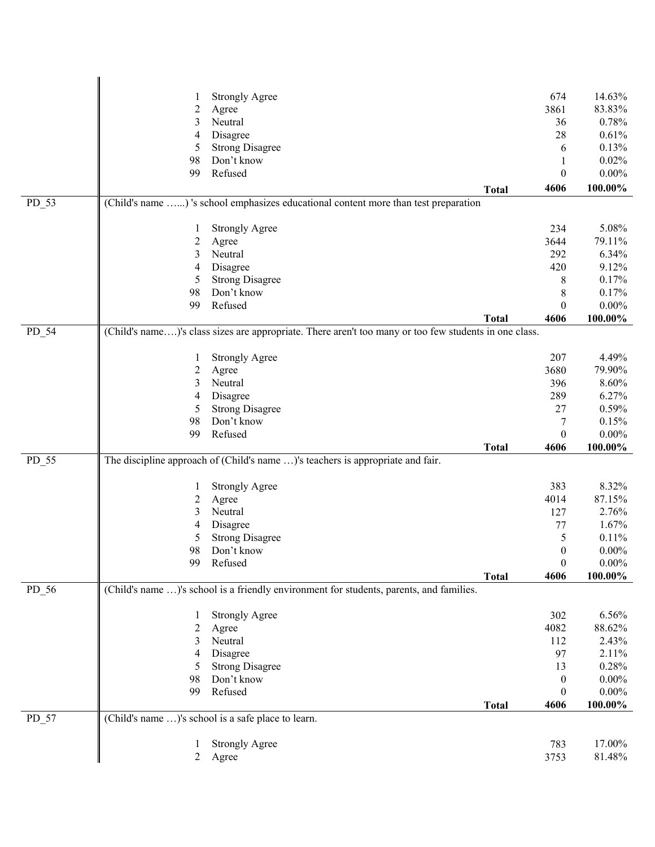|         |                  | <b>Strongly Agree</b>                                                                                 |              | 674              | 14.63%   |
|---------|------------------|-------------------------------------------------------------------------------------------------------|--------------|------------------|----------|
|         | $\boldsymbol{2}$ | Agree                                                                                                 |              | 3861             | 83.83%   |
|         | 3                | Neutral                                                                                               |              | 36               | 0.78%    |
|         | $\overline{4}$   | Disagree                                                                                              |              | 28               | 0.61%    |
|         | 5                | <b>Strong Disagree</b>                                                                                |              | 6                | 0.13%    |
|         | 98               | Don't know                                                                                            |              | 1                | 0.02%    |
|         | 99               | Refused                                                                                               |              | $\boldsymbol{0}$ | $0.00\%$ |
|         |                  |                                                                                                       | <b>Total</b> | 4606             | 100.00%  |
| PD_53   |                  | (Child's name ) 's school emphasizes educational content more than test preparation                   |              |                  |          |
|         |                  |                                                                                                       |              |                  |          |
|         | 1                | <b>Strongly Agree</b>                                                                                 |              | 234              | 5.08%    |
|         | $\overline{c}$   | Agree                                                                                                 |              | 3644             | 79.11%   |
|         | 3                | Neutral                                                                                               |              | 292              | 6.34%    |
|         | 4                | Disagree                                                                                              |              | 420              | 9.12%    |
|         | 5                | <b>Strong Disagree</b>                                                                                |              | 8                | 0.17%    |
|         | 98               | Don't know                                                                                            |              | 8                | 0.17%    |
|         | 99               | Refused                                                                                               |              | $\theta$         | $0.00\%$ |
|         |                  |                                                                                                       | <b>Total</b> | 4606             | 100.00%  |
| $PD_54$ |                  | (Child's name)'s class sizes are appropriate. There aren't too many or too few students in one class. |              |                  |          |
|         |                  |                                                                                                       |              |                  |          |
|         | 1                | <b>Strongly Agree</b>                                                                                 |              | 207              | 4.49%    |
|         | $\overline{c}$   | Agree                                                                                                 |              | 3680             | 79.90%   |
|         | 3                | Neutral                                                                                               |              | 396              | 8.60%    |
|         | 4                | Disagree                                                                                              |              | 289              | 6.27%    |
|         | 5                | <b>Strong Disagree</b>                                                                                |              | 27               | 0.59%    |
|         | 98               | Don't know                                                                                            |              | 7                | 0.15%    |
|         | 99               | Refused                                                                                               |              | $\boldsymbol{0}$ | $0.00\%$ |
| PD_55   |                  | The discipline approach of (Child's name )'s teachers is appropriate and fair.                        | <b>Total</b> | 4606             | 100.00%  |
|         |                  |                                                                                                       |              |                  |          |
|         | 1                | <b>Strongly Agree</b>                                                                                 |              | 383              | 8.32%    |
|         | $\overline{c}$   | Agree                                                                                                 |              | 4014             | 87.15%   |
|         | 3                | Neutral                                                                                               |              | 127              | 2.76%    |
|         | 4                | Disagree                                                                                              |              | 77               | 1.67%    |
|         | 5                | <b>Strong Disagree</b>                                                                                |              | 5                | 0.11%    |
|         | 98               | Don't know                                                                                            |              | $\boldsymbol{0}$ | $0.00\%$ |
|         | 99               | Refused                                                                                               |              | $\boldsymbol{0}$ | $0.00\%$ |
|         |                  |                                                                                                       | <b>Total</b> | 4606             | 100.00%  |
| PD_56   |                  | (Child's name )'s school is a friendly environment for students, parents, and families.               |              |                  |          |
|         |                  |                                                                                                       |              |                  |          |
|         |                  | <b>Strongly Agree</b>                                                                                 |              | 302              | 6.56%    |
|         | 2                | Agree                                                                                                 |              | 4082             | 88.62%   |
|         | 3                | Neutral                                                                                               |              | 112              | 2.43%    |
|         | 4                | Disagree                                                                                              |              | 97               | 2.11%    |
|         | 5                | <b>Strong Disagree</b>                                                                                |              | 13               | 0.28%    |
|         | 98               | Don't know                                                                                            |              | $\boldsymbol{0}$ | $0.00\%$ |
|         | 99               | Refused                                                                                               |              | $\boldsymbol{0}$ | $0.00\%$ |
|         |                  |                                                                                                       | <b>Total</b> | 4606             | 100.00%  |
| PD_57   |                  | (Child's name )'s school is a safe place to learn.                                                    |              |                  |          |
|         |                  |                                                                                                       |              |                  |          |
|         |                  | <b>Strongly Agree</b>                                                                                 |              | 783              | 17.00%   |
|         | $\overline{c}$   | Agree                                                                                                 |              | 3753             | 81.48%   |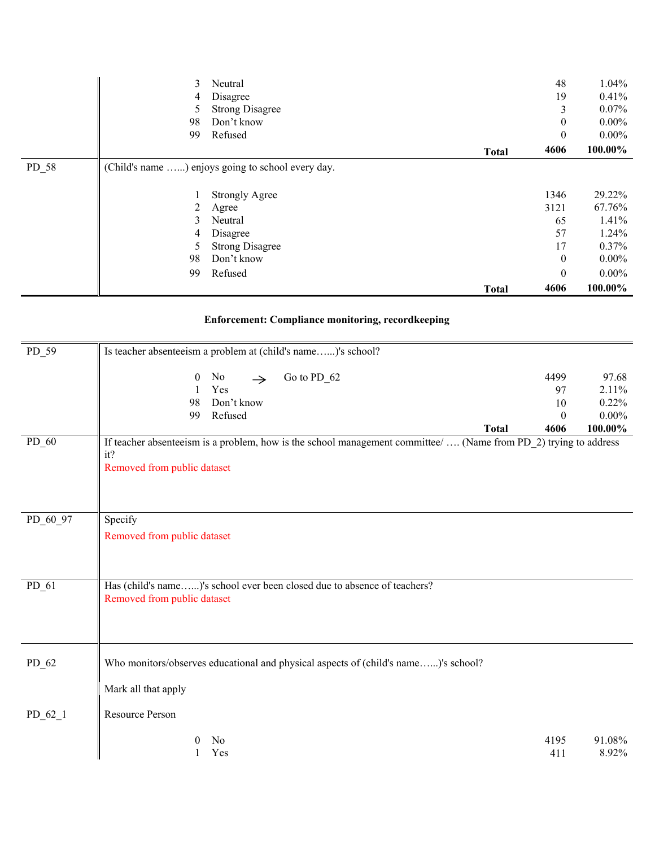|       |    |                                                   | <b>Total</b> | 4606             | 100.00%  |
|-------|----|---------------------------------------------------|--------------|------------------|----------|
|       | 99 | Refused                                           |              | $\boldsymbol{0}$ | $0.00\%$ |
|       | 98 | Don't know                                        |              | $\boldsymbol{0}$ | $0.00\%$ |
|       | 5  | <b>Strong Disagree</b>                            |              | 17               | 0.37%    |
|       | 4  | Disagree                                          |              | 57               | 1.24%    |
|       | 3  | Neutral                                           |              | 65               | 1.41%    |
|       | 2  | Agree                                             |              | 3121             | 67.76%   |
|       | 1  | <b>Strongly Agree</b>                             |              | 1346             | 29.22%   |
| PD 58 |    | (Child's name ) enjoys going to school every day. |              |                  |          |
|       |    |                                                   | <b>Total</b> | 4606             | 100.00%  |
|       | 99 | Refused                                           |              | $\mathbf{0}$     | $0.00\%$ |
|       | 98 | Don't know                                        |              | $\boldsymbol{0}$ | $0.00\%$ |
|       | 5  | <b>Strong Disagree</b>                            |              | 3                | $0.07\%$ |
|       | 4  | Disagree                                          |              | 19               | 0.41%    |
|       | 3  | Neutral                                           |              | 48               | 1.04%    |

## **Enforcement: Compliance monitoring, recordkeeping**

| $PD_59$   | Is teacher absenteeism a problem at (child's name)'s school?                                                                                           |                                      |                                                |
|-----------|--------------------------------------------------------------------------------------------------------------------------------------------------------|--------------------------------------|------------------------------------------------|
|           | Go to PD_62<br>$\boldsymbol{0}$<br>No<br>$\rightarrow$<br>Yes<br>Don't know<br>98<br>Refused<br>99<br><b>Total</b>                                     | 4499<br>97<br>10<br>$\Omega$<br>4606 | 97.68<br>2.11%<br>0.22%<br>$0.00\%$<br>100.00% |
| $PD_60$   | If teacher absenteeism is a problem, how is the school management committee/  (Name from PD_2) trying to address<br>it?<br>Removed from public dataset |                                      |                                                |
| PD_60_97  | Specify<br>Removed from public dataset                                                                                                                 |                                      |                                                |
| $PD_61$   | Has (child's name)'s school ever been closed due to absence of teachers?<br>Removed from public dataset                                                |                                      |                                                |
| $PD_62$   | Who monitors/observes educational and physical aspects of (child's name)'s school?                                                                     |                                      |                                                |
|           | Mark all that apply                                                                                                                                    |                                      |                                                |
| $PD_62_1$ | <b>Resource Person</b>                                                                                                                                 |                                      |                                                |
|           | No<br>$\bf{0}$<br>Yes                                                                                                                                  | 4195<br>411                          | 91.08%<br>8.92%                                |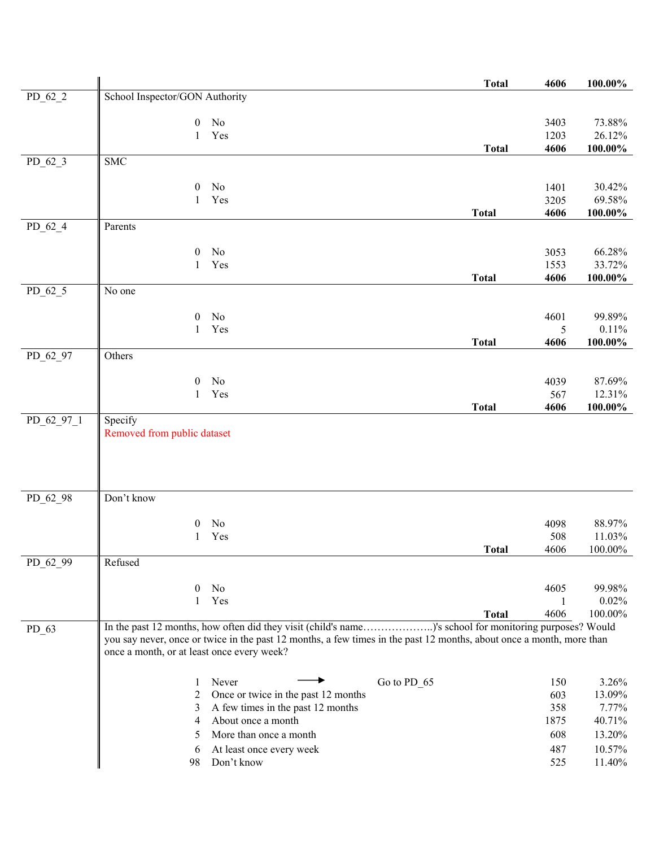|            |                                            |                                                                                                                      | <b>Total</b> | 4606         | $100.00\%$       |
|------------|--------------------------------------------|----------------------------------------------------------------------------------------------------------------------|--------------|--------------|------------------|
| $PD_62_2$  | School Inspector/GON Authority             |                                                                                                                      |              |              |                  |
|            |                                            |                                                                                                                      |              |              |                  |
|            | $\boldsymbol{0}$<br>1                      | No<br>Yes                                                                                                            |              | 3403<br>1203 | 73.88%<br>26.12% |
|            |                                            |                                                                                                                      | <b>Total</b> | 4606         | $100.00\%$       |
| $PD_62_3$  | <b>SMC</b>                                 |                                                                                                                      |              |              |                  |
|            |                                            |                                                                                                                      |              |              |                  |
|            | $\boldsymbol{0}$                           | No                                                                                                                   |              | 1401         | 30.42%           |
|            | 1                                          | Yes                                                                                                                  |              | 3205         | 69.58%           |
|            |                                            |                                                                                                                      | <b>Total</b> | 4606         | 100.00%          |
| $PD_62_4$  | Parents                                    |                                                                                                                      |              |              |                  |
|            | $\boldsymbol{0}$                           | No                                                                                                                   |              | 3053         | 66.28%           |
|            | 1                                          | Yes                                                                                                                  |              | 1553         | 33.72%           |
|            |                                            |                                                                                                                      | <b>Total</b> | 4606         | $100.00\%$       |
| $PD_62_5$  | No one                                     |                                                                                                                      |              |              |                  |
|            |                                            |                                                                                                                      |              |              |                  |
|            | $\boldsymbol{0}$<br>$\mathbf{1}$           | No<br>Yes                                                                                                            |              | 4601<br>5    | 99.89%<br>0.11%  |
|            |                                            |                                                                                                                      | <b>Total</b> | 4606         | 100.00%          |
| PD_62_97   | Others                                     |                                                                                                                      |              |              |                  |
|            |                                            |                                                                                                                      |              |              |                  |
|            | $\boldsymbol{0}$                           | No                                                                                                                   |              | 4039         | 87.69%           |
|            | $\mathbf{1}$                               | Yes                                                                                                                  |              | 567          | 12.31%           |
|            |                                            |                                                                                                                      | <b>Total</b> | 4606         | 100.00%          |
| PD_62_97_1 | Specify<br>Removed from public dataset     |                                                                                                                      |              |              |                  |
|            |                                            |                                                                                                                      |              |              |                  |
|            |                                            |                                                                                                                      |              |              |                  |
|            |                                            |                                                                                                                      |              |              |                  |
|            |                                            |                                                                                                                      |              |              |                  |
| PD_62_98   | Don't know                                 |                                                                                                                      |              |              |                  |
|            | $\boldsymbol{0}$                           | No                                                                                                                   |              | 4098         | 88.97%           |
|            | 1                                          | Yes                                                                                                                  |              | 508          | 11.03%           |
|            |                                            |                                                                                                                      | <b>Total</b> | 4606         | 100.00%          |
| PD_62_99   | Refused                                    |                                                                                                                      |              |              |                  |
|            |                                            |                                                                                                                      |              |              |                  |
|            | 0                                          | No                                                                                                                   |              | 4605         | 99.98%           |
|            | 1                                          | Yes                                                                                                                  | <b>Total</b> | 1<br>4606    | 0.02%<br>100.00% |
|            |                                            | In the past 12 months, how often did they visit (child's name)'s school for monitoring purposes? Would               |              |              |                  |
| $PD_63$    |                                            | you say never, once or twice in the past 12 months, a few times in the past 12 months, about once a month, more than |              |              |                  |
|            | once a month, or at least once every week? |                                                                                                                      |              |              |                  |
|            |                                            |                                                                                                                      |              |              |                  |
|            | 1                                          | Never<br>Go to PD_65                                                                                                 |              | 150          | 3.26%            |
|            | 2                                          | Once or twice in the past 12 months                                                                                  |              | 603          | 13.09%           |
|            | 3                                          | A few times in the past 12 months                                                                                    |              | 358          | 7.77%            |
|            | 4                                          | About once a month                                                                                                   |              | 1875         | 40.71%           |
|            | 5                                          | More than once a month                                                                                               |              | 608          | 13.20%           |
|            | 6                                          | At least once every week                                                                                             |              | 487          | 10.57%           |
|            | 98                                         | Don't know                                                                                                           |              | 525          | 11.40%           |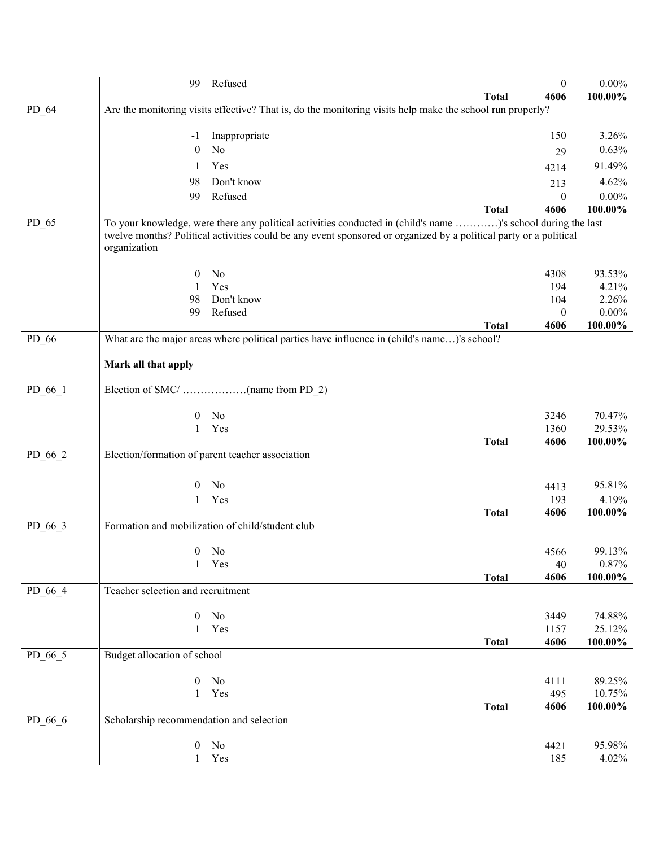|           | 99                                       | Refused                                                                                                                                                                                                                           |              | $\boldsymbol{0}$        | $0.00\%$          |
|-----------|------------------------------------------|-----------------------------------------------------------------------------------------------------------------------------------------------------------------------------------------------------------------------------------|--------------|-------------------------|-------------------|
|           |                                          |                                                                                                                                                                                                                                   | <b>Total</b> | 4606                    | 100.00%           |
| PD_64     |                                          | Are the monitoring visits effective? That is, do the monitoring visits help make the school run properly?                                                                                                                         |              |                         |                   |
|           | -1                                       | Inappropriate                                                                                                                                                                                                                     |              | 150                     | 3.26%             |
|           | $\mathbf{0}$                             | No                                                                                                                                                                                                                                |              | 29                      | 0.63%             |
|           | 1                                        | Yes                                                                                                                                                                                                                               |              | 4214                    | 91.49%            |
|           | 98                                       | Don't know                                                                                                                                                                                                                        |              | 213                     | 4.62%             |
|           | 99                                       | Refused                                                                                                                                                                                                                           |              | $\mathbf{0}$            | $0.00\%$          |
|           |                                          |                                                                                                                                                                                                                                   | <b>Total</b> | 4606                    | 100.00%           |
| $PD_65$   | organization                             | To your knowledge, were there any political activities conducted in (child's name )'s school during the last<br>twelve months? Political activities could be any event sponsored or organized by a political party or a political |              |                         |                   |
|           | 0                                        | No                                                                                                                                                                                                                                |              | 4308                    | 93.53%            |
|           | 1                                        | Yes<br>Don't know                                                                                                                                                                                                                 |              | 194                     | 4.21%             |
|           | 98<br>99                                 | Refused                                                                                                                                                                                                                           |              | 104<br>$\boldsymbol{0}$ | 2.26%<br>$0.00\%$ |
|           |                                          |                                                                                                                                                                                                                                   | <b>Total</b> | 4606                    | 100.00%           |
| $PD_66$   |                                          | What are the major areas where political parties have influence in (child's name)'s school?                                                                                                                                       |              |                         |                   |
|           | Mark all that apply                      |                                                                                                                                                                                                                                   |              |                         |                   |
| $PD_66_1$ |                                          |                                                                                                                                                                                                                                   |              |                         |                   |
|           | 0                                        | N <sub>o</sub>                                                                                                                                                                                                                    |              | 3246                    | 70.47%            |
|           | 1                                        | Yes                                                                                                                                                                                                                               |              | 1360                    | 29.53%            |
| PD_66_2   |                                          | Election/formation of parent teacher association                                                                                                                                                                                  | <b>Total</b> | 4606                    | 100.00%           |
|           |                                          |                                                                                                                                                                                                                                   |              |                         |                   |
|           | 0                                        | No                                                                                                                                                                                                                                |              | 4413                    | 95.81%            |
|           | 1                                        | Yes                                                                                                                                                                                                                               |              | 193                     | 4.19%             |
|           |                                          |                                                                                                                                                                                                                                   | <b>Total</b> | 4606                    | 100.00%           |
| $PD_66_3$ |                                          | Formation and mobilization of child/student club                                                                                                                                                                                  |              |                         |                   |
|           |                                          | $0$ No                                                                                                                                                                                                                            |              | 4566                    | 99.13%            |
|           | $\mathbf{1}$                             | Yes                                                                                                                                                                                                                               |              | 40                      | 0.87%             |
|           |                                          |                                                                                                                                                                                                                                   | <b>Total</b> | 4606                    | 100.00%           |
| PD_66_4   | Teacher selection and recruitment        |                                                                                                                                                                                                                                   |              |                         |                   |
|           | $\overline{0}$                           | No                                                                                                                                                                                                                                |              | 3449                    | 74.88%            |
|           | $\mathbf{1}$                             | Yes                                                                                                                                                                                                                               |              | 1157                    | 25.12%            |
|           |                                          |                                                                                                                                                                                                                                   | <b>Total</b> | 4606                    | 100.00%           |
| PD_66_5   | Budget allocation of school              |                                                                                                                                                                                                                                   |              |                         |                   |
|           | $\boldsymbol{0}$                         | No                                                                                                                                                                                                                                |              | 4111                    | 89.25%            |
|           | $\mathbf{1}$                             | Yes                                                                                                                                                                                                                               |              | 495                     | 10.75%            |
|           |                                          |                                                                                                                                                                                                                                   | <b>Total</b> | 4606                    | 100.00%           |
| PD_66_6   | Scholarship recommendation and selection |                                                                                                                                                                                                                                   |              |                         |                   |
|           | 0                                        | No                                                                                                                                                                                                                                |              | 4421                    | 95.98%            |
|           | $\mathbf{1}$                             | Yes                                                                                                                                                                                                                               |              | 185                     | 4.02%             |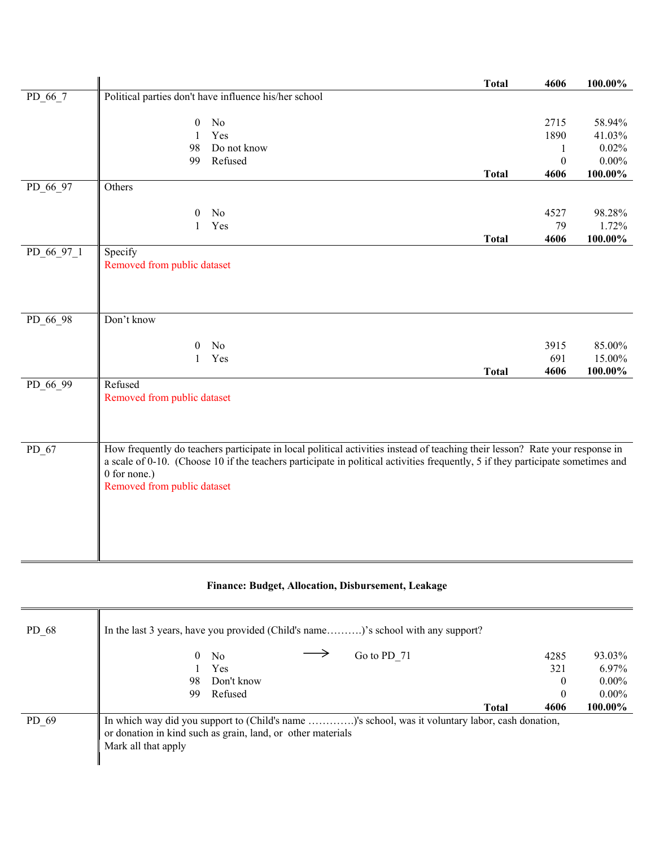|            |                             |                                                                                                                                                                                                                                                                 | <b>Total</b> | 4606                     | 100.00%    |
|------------|-----------------------------|-----------------------------------------------------------------------------------------------------------------------------------------------------------------------------------------------------------------------------------------------------------------|--------------|--------------------------|------------|
| PD_66_7    |                             | Political parties don't have influence his/her school                                                                                                                                                                                                           |              |                          |            |
|            | $\boldsymbol{0}$            | $\rm No$                                                                                                                                                                                                                                                        |              | 2715                     | 58.94%     |
|            |                             | Yes                                                                                                                                                                                                                                                             |              | 1890                     | 41.03%     |
|            | $\mathbf{1}$<br>98          | Do not know                                                                                                                                                                                                                                                     |              |                          | 0.02%      |
|            | 99                          | Refused                                                                                                                                                                                                                                                         |              | 1                        | $0.00\%$   |
|            |                             |                                                                                                                                                                                                                                                                 |              | $\boldsymbol{0}$<br>4606 | $100.00\%$ |
| PD_66_97   | Others                      |                                                                                                                                                                                                                                                                 | <b>Total</b> |                          |            |
|            |                             |                                                                                                                                                                                                                                                                 |              |                          |            |
|            | $\boldsymbol{0}$            | No                                                                                                                                                                                                                                                              |              | 4527                     | 98.28%     |
|            | 1                           | Yes                                                                                                                                                                                                                                                             |              | 79                       | 1.72%      |
|            |                             |                                                                                                                                                                                                                                                                 | <b>Total</b> | 4606                     | 100.00%    |
| PD_66_97_1 | Specify                     |                                                                                                                                                                                                                                                                 |              |                          |            |
|            | Removed from public dataset |                                                                                                                                                                                                                                                                 |              |                          |            |
|            |                             |                                                                                                                                                                                                                                                                 |              |                          |            |
|            |                             |                                                                                                                                                                                                                                                                 |              |                          |            |
|            |                             |                                                                                                                                                                                                                                                                 |              |                          |            |
| $PD_6698$  | Don't know                  |                                                                                                                                                                                                                                                                 |              |                          |            |
|            |                             |                                                                                                                                                                                                                                                                 |              |                          |            |
|            | $\Omega$                    | No                                                                                                                                                                                                                                                              |              | 3915                     | 85.00%     |
|            | 1                           | Yes                                                                                                                                                                                                                                                             |              | 691                      | 15.00%     |
|            |                             |                                                                                                                                                                                                                                                                 | <b>Total</b> | 4606                     | 100.00%    |
| PD 66 99   | Refused                     |                                                                                                                                                                                                                                                                 |              |                          |            |
|            | Removed from public dataset |                                                                                                                                                                                                                                                                 |              |                          |            |
|            |                             |                                                                                                                                                                                                                                                                 |              |                          |            |
|            |                             |                                                                                                                                                                                                                                                                 |              |                          |            |
|            |                             |                                                                                                                                                                                                                                                                 |              |                          |            |
| PD_67      |                             | How frequently do teachers participate in local political activities instead of teaching their lesson? Rate your response in<br>a scale of 0-10. (Choose 10 if the teachers participate in political activities frequently, 5 if they participate sometimes and |              |                          |            |
|            | 0 for none.)                |                                                                                                                                                                                                                                                                 |              |                          |            |
|            | Removed from public dataset |                                                                                                                                                                                                                                                                 |              |                          |            |
|            |                             |                                                                                                                                                                                                                                                                 |              |                          |            |
|            |                             |                                                                                                                                                                                                                                                                 |              |                          |            |
|            |                             |                                                                                                                                                                                                                                                                 |              |                          |            |
|            |                             |                                                                                                                                                                                                                                                                 |              |                          |            |
|            |                             |                                                                                                                                                                                                                                                                 |              |                          |            |
|            |                             |                                                                                                                                                                                                                                                                 |              |                          |            |

## **Finance: Budget, Allocation, Disbursement, Leakage**

| $PD_68$ | In the last 3 years, have you provided (Child's name)'s school with any support?                                                                                                       |                      |          |
|---------|----------------------------------------------------------------------------------------------------------------------------------------------------------------------------------------|----------------------|----------|
|         | Go to PD 71<br>0<br>No                                                                                                                                                                 | 4285                 | 93.03%   |
|         | Yes.                                                                                                                                                                                   | 321                  | $6.97\%$ |
|         | Don't know<br>98                                                                                                                                                                       | $\bf{0}$             | $0.00\%$ |
|         | Refused<br>99                                                                                                                                                                          | $\mathbf{0}$         | $0.00\%$ |
|         |                                                                                                                                                                                        | 4606<br><b>Total</b> | 100.00%  |
| PD 69   | In which way did you support to (Child's name )'s school, was it voluntary labor, cash donation,<br>or donation in kind such as grain, land, or other materials<br>Mark all that apply |                      |          |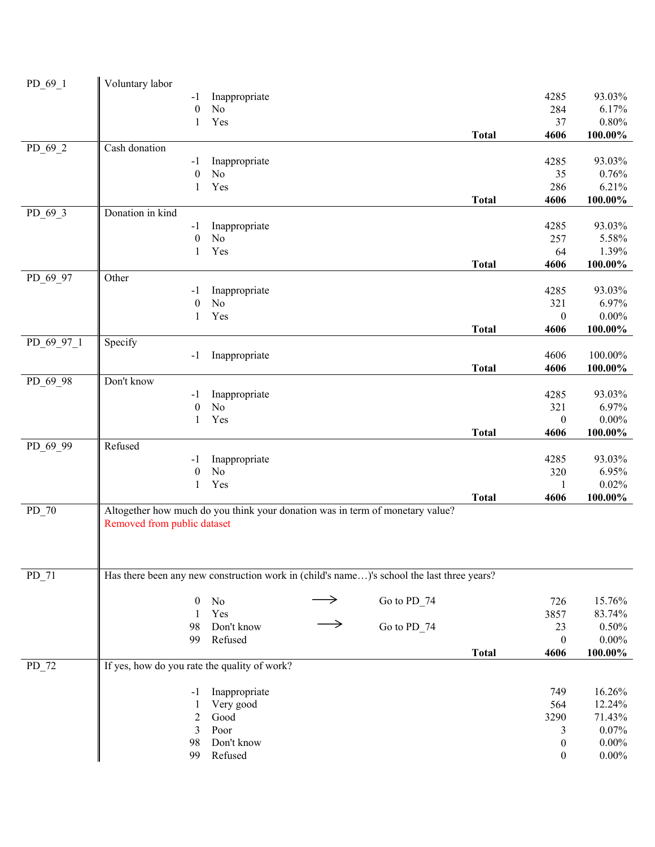| PD 69_1    | Voluntary labor                                                                           |                                 |               |             |              |                  |                      |
|------------|-------------------------------------------------------------------------------------------|---------------------------------|---------------|-------------|--------------|------------------|----------------------|
|            | $-1$                                                                                      | Inappropriate                   |               |             |              | 4285             | 93.03%               |
|            | $\boldsymbol{0}$                                                                          | $\rm No$                        |               |             |              | 284              | 6.17%                |
|            | 1                                                                                         | Yes                             |               |             |              | 37               | 0.80%                |
|            |                                                                                           |                                 |               |             | <b>Total</b> | 4606             | $100.00\%$           |
| $PD_69_2$  | Cash donation                                                                             |                                 |               |             |              |                  |                      |
|            | $-1$                                                                                      | Inappropriate                   |               |             |              | 4285             | 93.03%               |
|            | $\boldsymbol{0}$                                                                          | No                              |               |             |              | 35               | 0.76%                |
|            | 1                                                                                         | Yes                             |               |             | <b>Total</b> | 286<br>4606      | 6.21%<br>$100.00\%$  |
| $PD_69_3$  | Donation in kind                                                                          |                                 |               |             |              |                  |                      |
|            | $-1$                                                                                      | Inappropriate                   |               |             |              | 4285             | 93.03%               |
|            | $\boldsymbol{0}$                                                                          | No                              |               |             |              | 257              | 5.58%                |
|            | 1                                                                                         | Yes                             |               |             |              | 64               | 1.39%                |
|            |                                                                                           |                                 |               |             | <b>Total</b> | 4606             | $100.00\%$           |
| PD_69_97   | Other                                                                                     |                                 |               |             |              |                  |                      |
|            | $-1$                                                                                      | Inappropriate                   |               |             |              | 4285             | 93.03%               |
|            | $\boldsymbol{0}$                                                                          | N <sub>o</sub>                  |               |             |              | 321              | 6.97%                |
|            | 1                                                                                         | Yes                             |               |             |              | $\boldsymbol{0}$ | $0.00\%$             |
|            |                                                                                           |                                 |               |             | <b>Total</b> | 4606             | $100.00\%$           |
| PD 69 97 1 | Specify                                                                                   |                                 |               |             |              |                  |                      |
|            | $-1$                                                                                      | Inappropriate                   |               |             |              | 4606             | 100.00%              |
|            |                                                                                           |                                 |               |             | <b>Total</b> | 4606             | 100.00%              |
| PD_69_98   | Don't know                                                                                |                                 |               |             |              |                  | 93.03%               |
|            | $-1$<br>$\boldsymbol{0}$                                                                  | Inappropriate<br>N <sub>o</sub> |               |             |              | 4285<br>321      | 6.97%                |
|            | $\mathbf{1}$                                                                              | Yes                             |               |             |              | $\boldsymbol{0}$ | $0.00\%$             |
|            |                                                                                           |                                 |               |             | <b>Total</b> | 4606             | 100.00%              |
| PD_69_99   | Refused                                                                                   |                                 |               |             |              |                  |                      |
|            | $-1$                                                                                      | Inappropriate                   |               |             |              | 4285             | 93.03%               |
|            | $\boldsymbol{0}$                                                                          | N <sub>o</sub>                  |               |             |              | 320              | 6.95%                |
|            | $\mathbf{1}$                                                                              | Yes                             |               |             |              | 1                | 0.02%                |
|            |                                                                                           |                                 |               |             | <b>Total</b> | 4606             | $100.00\%$           |
| $PD_70$    | Altogether how much do you think your donation was in term of monetary value?             |                                 |               |             |              |                  |                      |
|            | Removed from public dataset                                                               |                                 |               |             |              |                  |                      |
|            |                                                                                           |                                 |               |             |              |                  |                      |
|            |                                                                                           |                                 |               |             |              |                  |                      |
|            |                                                                                           |                                 |               |             |              |                  |                      |
| $PD_71$    | Has there been any new construction work in (child's name)'s school the last three years? |                                 |               |             |              |                  |                      |
|            | $\boldsymbol{0}$                                                                          | $\rm No$                        |               | Go to PD_74 |              | 726              | 15.76%               |
|            | $\mathbf{1}$                                                                              | Yes                             |               |             |              | 3857             | 83.74%               |
|            | 98                                                                                        | Don't know                      | $\rightarrow$ | Go to PD_74 |              | 23               | 0.50%                |
|            | 99                                                                                        | Refused                         |               |             |              | $\mathbf{0}$     | $0.00\%$             |
|            |                                                                                           |                                 |               |             | <b>Total</b> | 4606             | $100.00\%$           |
| PD 72      | If yes, how do you rate the quality of work?                                              |                                 |               |             |              |                  |                      |
|            |                                                                                           |                                 |               |             |              |                  |                      |
|            | -1                                                                                        | Inappropriate                   |               |             |              | 749              | 16.26%               |
|            | 1                                                                                         | Very good                       |               |             |              | 564              | 12.24%               |
|            | $\mathfrak{2}$                                                                            | Good                            |               |             |              | 3290             | 71.43%               |
|            | 3                                                                                         | Poor                            |               |             |              | 3                | 0.07%                |
|            | 98                                                                                        | Don't know                      |               |             |              | $\boldsymbol{0}$ | $0.00\%$<br>$0.00\%$ |
|            | 99                                                                                        | Refused                         |               |             |              | $\boldsymbol{0}$ |                      |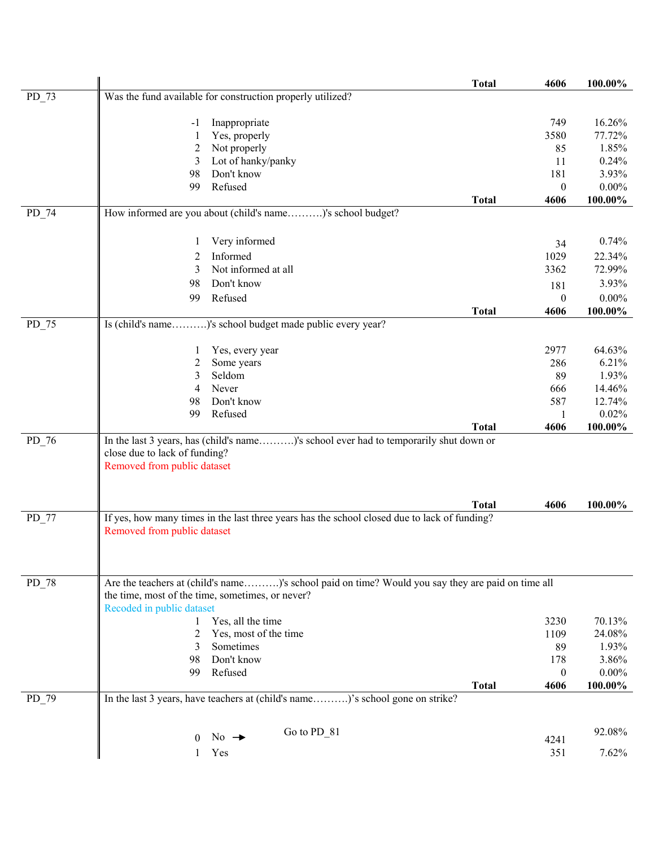|         |                               |                                                                                                   | <b>Total</b> | 4606                     | 100.00%             |
|---------|-------------------------------|---------------------------------------------------------------------------------------------------|--------------|--------------------------|---------------------|
| $PD_73$ |                               | Was the fund available for construction properly utilized?                                        |              |                          |                     |
|         | -1                            | Inappropriate                                                                                     |              | 749                      | 16.26%              |
|         |                               | Yes, properly                                                                                     |              | 3580                     | 77.72%              |
|         | 2                             | Not properly                                                                                      |              | 85                       | 1.85%               |
|         | 3                             | Lot of hanky/panky                                                                                |              | 11                       | 0.24%               |
|         | 98                            | Don't know                                                                                        |              | 181                      | 3.93%               |
|         | 99                            | Refused                                                                                           |              | $\boldsymbol{0}$         | $0.00\%$            |
|         |                               |                                                                                                   | <b>Total</b> | 4606                     | 100.00%             |
| $PD_74$ |                               | How informed are you about (child's name)'s school budget?                                        |              |                          |                     |
|         | 1                             | Very informed                                                                                     |              |                          | 0.74%               |
|         | 2                             | Informed                                                                                          |              | 34<br>1029               | 22.34%              |
|         | 3                             | Not informed at all                                                                               |              | 3362                     | 72.99%              |
|         | 98                            | Don't know                                                                                        |              |                          | 3.93%               |
|         |                               |                                                                                                   |              | 181                      |                     |
|         | 99                            | Refused                                                                                           | <b>Total</b> | $\boldsymbol{0}$<br>4606 | $0.00\%$<br>100.00% |
| $PD_75$ |                               | Is (child's name)'s school budget made public every year?                                         |              |                          |                     |
|         |                               |                                                                                                   |              |                          |                     |
|         | 1                             | Yes, every year                                                                                   |              | 2977                     | 64.63%              |
|         | 2                             | Some years                                                                                        |              | 286                      | 6.21%               |
|         | 3                             | Seldom                                                                                            |              | 89                       | 1.93%               |
|         | 4                             | Never                                                                                             |              | 666                      | 14.46%              |
|         | 98                            | Don't know                                                                                        |              | 587                      | 12.74%              |
|         | 99                            | Refused                                                                                           |              | 1                        | 0.02%               |
|         |                               |                                                                                                   | <b>Total</b> | 4606                     | 100.00%             |
| $PD_76$ |                               | In the last 3 years, has (child's name)'s school ever had to temporarily shut down or             |              |                          |                     |
|         | close due to lack of funding? |                                                                                                   |              |                          |                     |
|         | Removed from public dataset   |                                                                                                   |              |                          |                     |
|         |                               |                                                                                                   |              |                          |                     |
|         |                               |                                                                                                   | <b>Total</b> | 4606                     | 100.00%             |
| $PD_77$ |                               | If yes, how many times in the last three years has the school closed due to lack of funding?      |              |                          |                     |
|         | Removed from public dataset   |                                                                                                   |              |                          |                     |
|         |                               |                                                                                                   |              |                          |                     |
|         |                               |                                                                                                   |              |                          |                     |
| PD_78   |                               | Are the teachers at (child's name)'s school paid on time? Would you say they are paid on time all |              |                          |                     |
|         |                               | the time, most of the time, sometimes, or never?                                                  |              |                          |                     |
|         | Recoded in public dataset     |                                                                                                   |              |                          |                     |
|         | 1                             | Yes, all the time                                                                                 |              | 3230                     | 70.13%              |
|         | 2                             | Yes, most of the time                                                                             |              | 1109                     | 24.08%              |
|         | 3                             | Sometimes                                                                                         |              | 89                       | 1.93%               |
|         | 98                            | Don't know                                                                                        |              | 178                      | 3.86%               |
|         | 99                            | Refused                                                                                           |              | $\boldsymbol{0}$         | $0.00\%$            |
|         |                               |                                                                                                   | <b>Total</b> | 4606                     | 100.00%             |
| PD_79   |                               | In the last 3 years, have teachers at (child's name)'s school gone on strike?                     |              |                          |                     |
|         |                               |                                                                                                   |              |                          |                     |
|         | $\theta$                      | Go to PD_81<br>No $\rightarrow$                                                                   |              |                          | 92.08%              |
|         |                               |                                                                                                   |              | 4241                     |                     |
|         | 1                             | Yes                                                                                               |              | 351                      | 7.62%               |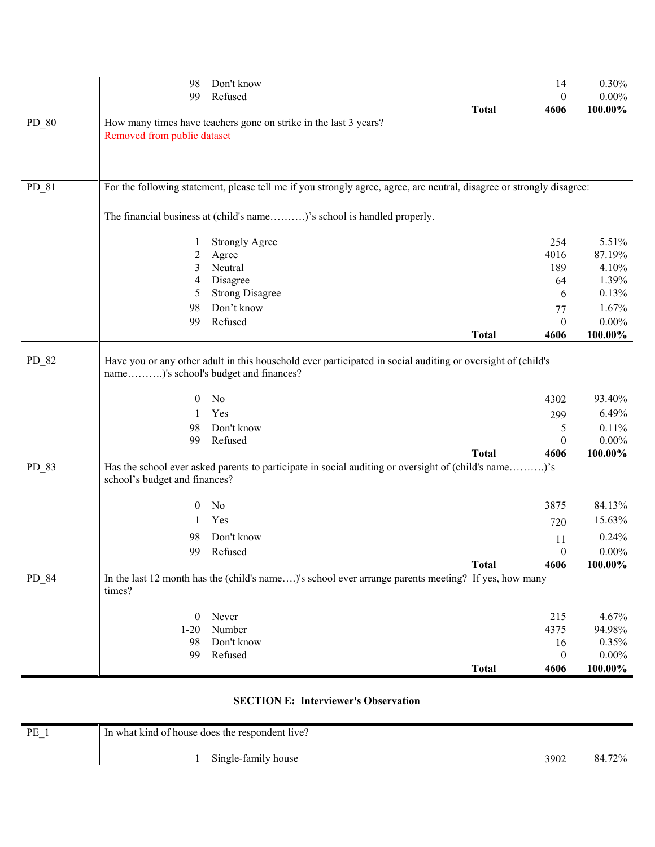|       | 98                                                      | Don't know                                                                                                                             |              | 14                | 0.30%                    |
|-------|---------------------------------------------------------|----------------------------------------------------------------------------------------------------------------------------------------|--------------|-------------------|--------------------------|
|       | 99                                                      | Refused                                                                                                                                |              | $\overline{0}$    | $0.00\%$                 |
| PD 80 | Removed from public dataset                             | How many times have teachers gone on strike in the last 3 years?                                                                       | <b>Total</b> | 4606              | 100.00%                  |
| PD_81 |                                                         | For the following statement, please tell me if you strongly agree, agree, are neutral, disagree or strongly disagree:                  |              |                   |                          |
|       |                                                         | The financial business at (child's name)'s school is handled properly.                                                                 |              |                   |                          |
|       | 1                                                       | <b>Strongly Agree</b>                                                                                                                  |              | 254               | 5.51%                    |
|       | $\overline{c}$                                          | Agree                                                                                                                                  |              | 4016              | 87.19%                   |
|       | 3                                                       | Neutral                                                                                                                                |              | 189               | 4.10%                    |
|       | 4                                                       | Disagree                                                                                                                               |              | 64                | 1.39%                    |
|       | 5                                                       | <b>Strong Disagree</b>                                                                                                                 |              | 6                 | 0.13%                    |
|       | 98                                                      | Don't know                                                                                                                             |              | 77                | 1.67%                    |
|       | 99                                                      | Refused                                                                                                                                |              | $\overline{0}$    | $0.00\%$                 |
|       |                                                         |                                                                                                                                        | <b>Total</b> | 4606              | 100.00%                  |
| PD_82 | name)'s school's budget and finances?<br>$\theta$<br>98 | Have you or any other adult in this household ever participated in social auditing or oversight of (child's<br>No<br>Yes<br>Don't know |              | 4302<br>299       | 93.40%<br>6.49%<br>0.11% |
|       | 99                                                      | Refused                                                                                                                                |              | 5<br>$\mathbf{0}$ | $0.00\%$                 |
|       |                                                         |                                                                                                                                        | <b>Total</b> | 4606              | 100.00%                  |
| PD_83 | school's budget and finances?                           | Has the school ever asked parents to participate in social auditing or oversight of (child's name)'s                                   |              |                   |                          |
|       | $\mathbf{0}$                                            | No                                                                                                                                     |              | 3875              | 84.13%                   |
|       | 1                                                       | Yes                                                                                                                                    |              | 720               | 15.63%                   |
|       | 98                                                      | Don't know                                                                                                                             |              | 11                | 0.24%                    |
|       | 99                                                      | Refused                                                                                                                                |              | $\Omega$          | $0.00\%$                 |
|       |                                                         |                                                                                                                                        | <b>Total</b> | 4606              | 100.00%                  |
| PD 84 | times?                                                  | In the last 12 month has the (child's name)'s school ever arrange parents meeting? If yes, how many                                    |              |                   |                          |
|       | $\mathbf{0}$                                            | Never                                                                                                                                  |              | 215               | 4.67%                    |
|       | $1-20$                                                  | Number                                                                                                                                 |              | 4375              | 94.98%                   |
|       | 98                                                      | Don't know                                                                                                                             |              | 16                | 0.35%                    |
|       | 99                                                      | Refused                                                                                                                                |              | $\boldsymbol{0}$  | $0.00\%$                 |
|       |                                                         |                                                                                                                                        | <b>Total</b> | 4606              | 100.00%                  |

## **SECTION E: Interviewer's Observation**

| PE<br>$\overline{\phantom{m}}$ | If In what kind of house does the respondent live? |      |        |
|--------------------------------|----------------------------------------------------|------|--------|
|                                | Single-family house                                | 3902 | 84.72% |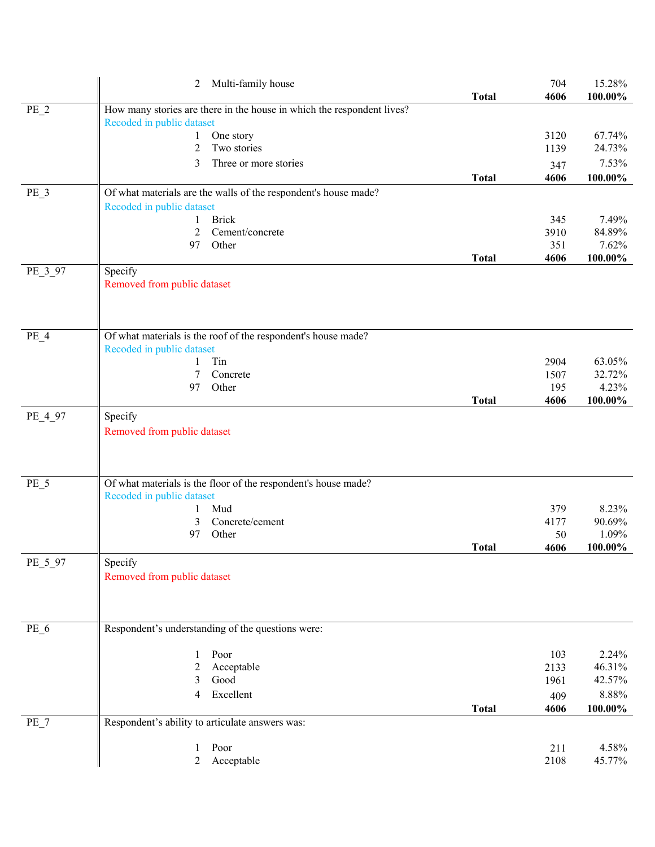|         | Multi-family house<br>2                                                |              | 704          | 15.28%           |
|---------|------------------------------------------------------------------------|--------------|--------------|------------------|
|         |                                                                        | <b>Total</b> | 4606         | 100.00%          |
| $PE_2$  | How many stories are there in the house in which the respondent lives? |              |              |                  |
|         | Recoded in public dataset                                              |              | 3120         | 67.74%           |
|         | One story<br>$\bf{l}$<br>Two stories<br>2                              |              | 1139         | 24.73%           |
|         |                                                                        |              |              | 7.53%            |
|         | 3<br>Three or more stories                                             |              | 347          |                  |
|         |                                                                        | <b>Total</b> | 4606         | 100.00%          |
| $PE_3$  | Of what materials are the walls of the respondent's house made?        |              |              |                  |
|         | Recoded in public dataset                                              |              |              |                  |
|         | <b>Brick</b><br>1<br>2<br>Cement/concrete                              |              | 345<br>3910  | 7.49%<br>84.89%  |
|         | Other<br>97                                                            |              | 351          | 7.62%            |
|         |                                                                        | <b>Total</b> | 4606         | 100.00%          |
| PE_3_97 | Specify                                                                |              |              |                  |
|         | Removed from public dataset                                            |              |              |                  |
|         |                                                                        |              |              |                  |
|         |                                                                        |              |              |                  |
|         |                                                                        |              |              |                  |
| $PE_4$  | Of what materials is the roof of the respondent's house made?          |              |              |                  |
|         | Recoded in public dataset                                              |              |              |                  |
|         | Tin<br>1                                                               |              | 2904         | 63.05%           |
|         | 7<br>Concrete                                                          |              | 1507         | 32.72%           |
|         | Other<br>97                                                            |              | 195          | 4.23%            |
|         |                                                                        | <b>Total</b> | 4606         | 100.00%          |
| PE_4_97 | Specify                                                                |              |              |                  |
|         | Removed from public dataset                                            |              |              |                  |
|         |                                                                        |              |              |                  |
|         |                                                                        |              |              |                  |
| $PE_5$  | Of what materials is the floor of the respondent's house made?         |              |              |                  |
|         | Recoded in public dataset                                              |              |              |                  |
|         | Mud<br>1                                                               |              | 379          | 8.23%            |
|         | 3<br>Concrete/cement                                                   |              | 4177         | 90.69%           |
|         | Other<br>97                                                            |              | 50           | 1.09%            |
|         |                                                                        | <b>Total</b> | 4606         | 100.00%          |
| PE_5_97 | Specify                                                                |              |              |                  |
|         | Removed from public dataset                                            |              |              |                  |
|         |                                                                        |              |              |                  |
|         |                                                                        |              |              |                  |
|         |                                                                        |              |              |                  |
| PE_6    | Respondent's understanding of the questions were:                      |              |              |                  |
|         |                                                                        |              |              |                  |
|         | Poor<br>1                                                              |              | 103          | 2.24%            |
|         | Acceptable<br>2<br>Good<br>3                                           |              | 2133<br>1961 | 46.31%<br>42.57% |
|         | Excellent<br>4                                                         |              |              | 8.88%            |
|         |                                                                        |              | 409          |                  |
|         |                                                                        | <b>Total</b> | 4606         | 100.00%          |
| $PE_7$  | Respondent's ability to articulate answers was:                        |              |              |                  |
|         | Poor<br>1                                                              |              | 211          | 4.58%            |
|         | Acceptable<br>$\overline{2}$                                           |              | 2108         | 45.77%           |
|         |                                                                        |              |              |                  |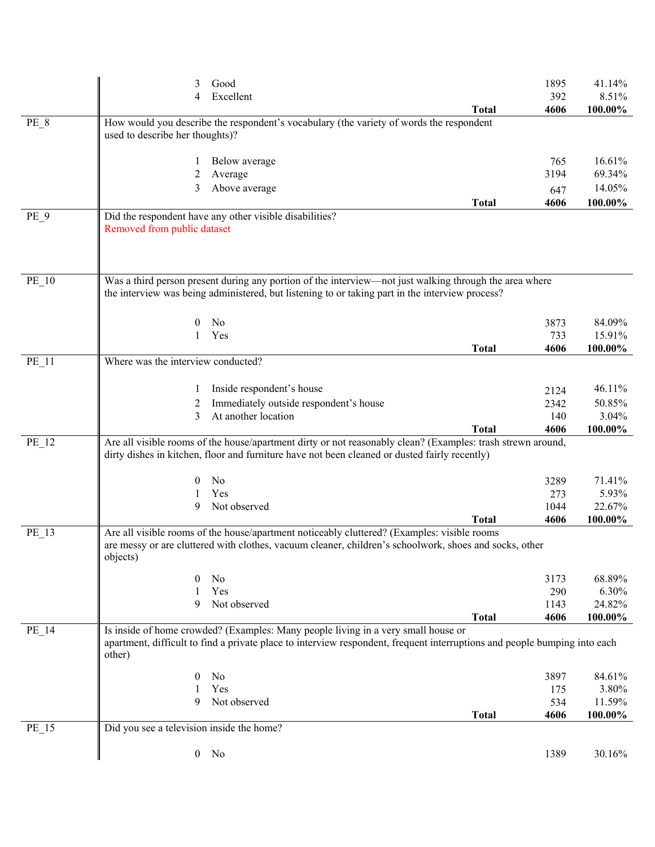|                 | 3                                         | Good                                                                                                                                                                                                           |              | 1895        | 41.14%           |
|-----------------|-------------------------------------------|----------------------------------------------------------------------------------------------------------------------------------------------------------------------------------------------------------------|--------------|-------------|------------------|
|                 | 4                                         | Excellent                                                                                                                                                                                                      | <b>Total</b> | 392<br>4606 | 8.51%<br>100.00% |
| PE 8            |                                           | How would you describe the respondent's vocabulary (the variety of words the respondent                                                                                                                        |              |             |                  |
|                 | used to describe her thoughts)?           |                                                                                                                                                                                                                |              |             |                  |
|                 |                                           |                                                                                                                                                                                                                |              |             |                  |
|                 | 1                                         | Below average                                                                                                                                                                                                  |              | 765<br>3194 | 16.61%<br>69.34% |
|                 | 2<br>3                                    | Average<br>Above average                                                                                                                                                                                       |              |             | 14.05%           |
|                 |                                           |                                                                                                                                                                                                                | <b>Total</b> | 647<br>4606 | 100.00%          |
| PE <sub>9</sub> |                                           | Did the respondent have any other visible disabilities?                                                                                                                                                        |              |             |                  |
|                 | Removed from public dataset               |                                                                                                                                                                                                                |              |             |                  |
|                 |                                           |                                                                                                                                                                                                                |              |             |                  |
|                 |                                           |                                                                                                                                                                                                                |              |             |                  |
| $PE_10$         |                                           | Was a third person present during any portion of the interview—not just walking through the area where                                                                                                         |              |             |                  |
|                 |                                           | the interview was being administered, but listening to or taking part in the interview process?                                                                                                                |              |             |                  |
|                 |                                           |                                                                                                                                                                                                                |              |             |                  |
|                 | 0                                         | No                                                                                                                                                                                                             |              | 3873        | 84.09%           |
|                 | 1                                         | Yes                                                                                                                                                                                                            |              | 733         | 15.91%           |
|                 |                                           |                                                                                                                                                                                                                | <b>Total</b> | 4606        | 100.00%          |
| $PE_11$         | Where was the interview conducted?        |                                                                                                                                                                                                                |              |             |                  |
|                 |                                           | Inside respondent's house                                                                                                                                                                                      |              | 2124        | 46.11%           |
|                 | 2                                         | Immediately outside respondent's house                                                                                                                                                                         |              | 2342        | 50.85%           |
|                 | 3                                         | At another location                                                                                                                                                                                            |              | 140         | 3.04%            |
|                 |                                           |                                                                                                                                                                                                                | <b>Total</b> | 4606        | 100.00%          |
| PE_12           |                                           | Are all visible rooms of the house/apartment dirty or not reasonably clean? (Examples: trash strewn around,                                                                                                    |              |             |                  |
|                 |                                           | dirty dishes in kitchen, floor and furniture have not been cleaned or dusted fairly recently)                                                                                                                  |              |             |                  |
|                 | $\theta$                                  | N <sub>0</sub>                                                                                                                                                                                                 |              | 3289        | 71.41%           |
|                 |                                           | Yes                                                                                                                                                                                                            |              | 273         | 5.93%            |
|                 | 9                                         | Not observed                                                                                                                                                                                                   |              | 1044        | 22.67%           |
|                 |                                           |                                                                                                                                                                                                                | Total        | 4606        | 100.00%          |
| $PE_13$         |                                           | Are all visible rooms of the house/apartment noticeably cluttered? (Examples: visible rooms<br>are messy or are cluttered with clothes, vacuum cleaner, children's schoolwork, shoes and socks, other          |              |             |                  |
|                 | objects)                                  |                                                                                                                                                                                                                |              |             |                  |
|                 | 0                                         | No                                                                                                                                                                                                             |              | 3173        | 68.89%           |
|                 |                                           | Yes                                                                                                                                                                                                            |              | 290         | 6.30%            |
|                 | 9                                         | Not observed                                                                                                                                                                                                   |              | 1143        | 24.82%           |
|                 |                                           |                                                                                                                                                                                                                | <b>Total</b> | 4606        | 100.00%          |
| PE_14           |                                           | Is inside of home crowded? (Examples: Many people living in a very small house or<br>apartment, difficult to find a private place to interview respondent, frequent interruptions and people bumping into each |              |             |                  |
|                 | other)                                    |                                                                                                                                                                                                                |              |             |                  |
|                 |                                           |                                                                                                                                                                                                                |              |             |                  |
|                 | 0                                         | No                                                                                                                                                                                                             |              | 3897        | 84.61%           |
|                 | 9                                         | Yes<br>Not observed                                                                                                                                                                                            |              | 175<br>534  | 3.80%<br>11.59%  |
|                 |                                           |                                                                                                                                                                                                                | <b>Total</b> | 4606        | 100.00%          |
| $PE_15$         | Did you see a television inside the home? |                                                                                                                                                                                                                |              |             |                  |
|                 |                                           |                                                                                                                                                                                                                |              |             |                  |
|                 |                                           | $0$ No                                                                                                                                                                                                         |              | 1389        | 30.16%           |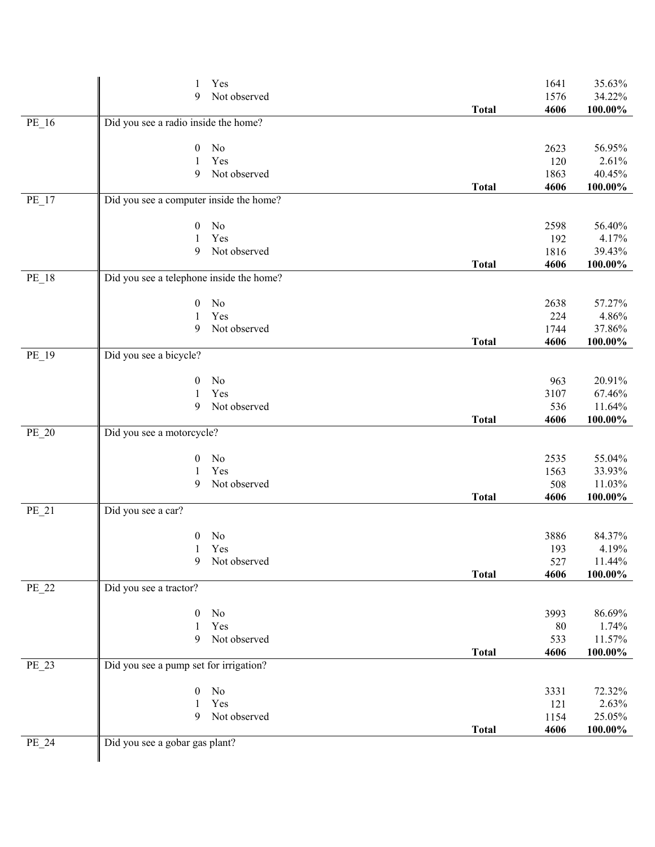|         | Yes<br>1                                 |              | 1641 | 35.63%     |
|---------|------------------------------------------|--------------|------|------------|
|         | Not observed<br>9                        |              | 1576 | 34.22%     |
|         |                                          | <b>Total</b> | 4606 | 100.00%    |
| PE_16   | Did you see a radio inside the home?     |              |      |            |
|         | No<br>$\overline{0}$                     |              | 2623 | 56.95%     |
|         | Yes<br>1                                 |              | 120  | 2.61%      |
|         | Not observed<br>9                        |              | 1863 | 40.45%     |
|         |                                          | <b>Total</b> | 4606 | 100.00%    |
| $PE_17$ | Did you see a computer inside the home?  |              |      |            |
|         | No<br>$\mathbf{0}$                       |              | 2598 | 56.40%     |
|         | Yes<br>1                                 |              | 192  | 4.17%      |
|         | Not observed<br>9                        |              | 1816 | 39.43%     |
|         |                                          | <b>Total</b> | 4606 | 100.00%    |
| PE_18   | Did you see a telephone inside the home? |              |      |            |
|         | No<br>$\overline{0}$                     |              | 2638 | 57.27%     |
|         | Yes<br>1                                 |              | 224  | 4.86%      |
|         | Not observed<br>9                        |              | 1744 | 37.86%     |
|         |                                          | <b>Total</b> | 4606 | 100.00%    |
| PE_19   | Did you see a bicycle?                   |              |      |            |
|         |                                          |              |      |            |
|         | No<br>$\boldsymbol{0}$                   |              | 963  | 20.91%     |
|         | Yes<br>1                                 |              | 3107 | 67.46%     |
|         | 9<br>Not observed                        |              | 536  | 11.64%     |
|         |                                          | <b>Total</b> | 4606 | $100.00\%$ |
| PE_20   | Did you see a motorcycle?                |              |      |            |
|         |                                          |              |      |            |
|         | No<br>$\boldsymbol{0}$                   |              | 2535 | 55.04%     |
|         | Yes<br>1                                 |              | 1563 | 33.93%     |
|         | 9<br>Not observed                        |              | 508  | 11.03%     |
|         |                                          | <b>Total</b> | 4606 | $100.00\%$ |
| PE_21   | Did you see a car?                       |              |      |            |
|         | No<br>$\boldsymbol{0}$                   |              | 3886 | 84.37%     |
|         | Yes<br>1                                 |              | 193  | 4.19%      |
|         | Not observed<br>9                        |              | 527  | 11.44%     |
|         |                                          | <b>Total</b> | 4606 | $100.00\%$ |
| PE_22   | Did you see a tractor?                   |              |      |            |
|         | $\boldsymbol{0}$<br>No                   |              | 3993 | 86.69%     |
|         | Yes<br>1                                 |              | 80   | 1.74%      |
|         | Not observed<br>9                        |              | 533  | 11.57%     |
|         |                                          | <b>Total</b> | 4606 | $100.00\%$ |
| PE_23   | Did you see a pump set for irrigation?   |              |      |            |
|         |                                          |              |      |            |
|         | No<br>$\boldsymbol{0}$                   |              | 3331 | 72.32%     |
|         | Yes                                      |              | 121  | 2.63%      |
|         | Not observed<br>9                        |              | 1154 | 25.05%     |
|         |                                          | <b>Total</b> | 4606 | $100.00\%$ |
| PE_24   | Did you see a gobar gas plant?           |              |      |            |
|         |                                          |              |      |            |